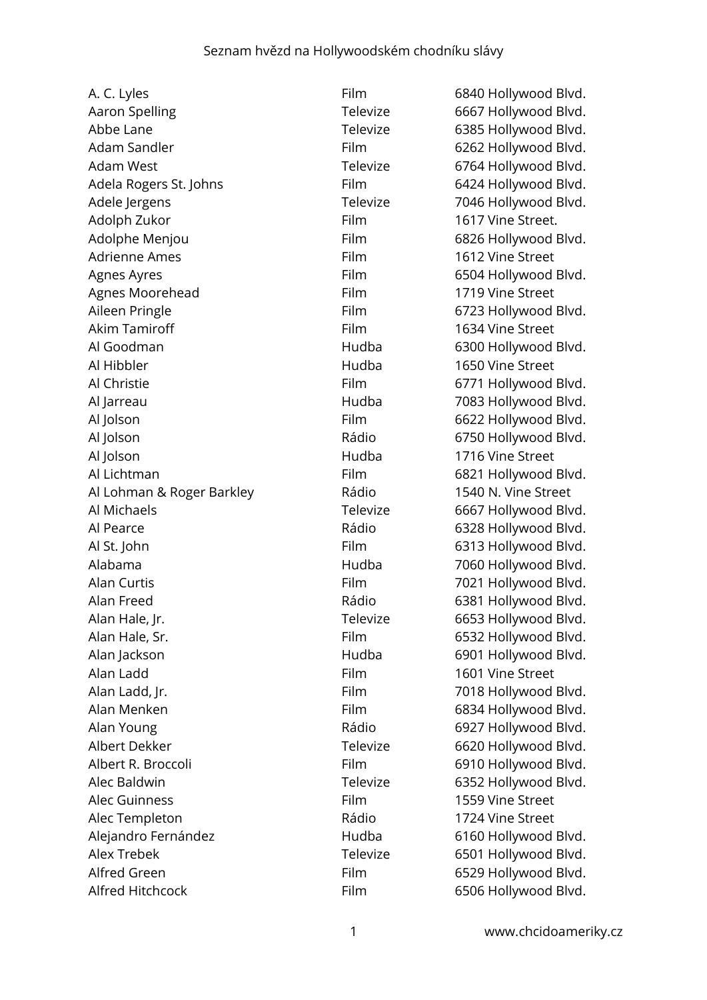| A. C. Lyles               | Film        | 6840 Hollywood Blvd. |
|---------------------------|-------------|----------------------|
| <b>Aaron Spelling</b>     | Televize    | 6667 Hollywood Blvd. |
| Abbe Lane                 | Televize    | 6385 Hollywood Blvd. |
| Adam Sandler              | Film        | 6262 Hollywood Blvd. |
| <b>Adam West</b>          | Televize    | 6764 Hollywood Blvd. |
| Adela Rogers St. Johns    | Film        | 6424 Hollywood Blvd. |
| Adele Jergens             | Televize    | 7046 Hollywood Blvd. |
| Adolph Zukor              | Film        | 1617 Vine Street.    |
| Adolphe Menjou            | Film        | 6826 Hollywood Blvd. |
| <b>Adrienne Ames</b>      | Film        | 1612 Vine Street     |
| Agnes Ayres               | Film        | 6504 Hollywood Blvd. |
| Agnes Moorehead           | Film        | 1719 Vine Street     |
| Aileen Pringle            | Film        | 6723 Hollywood Blvd. |
| <b>Akim Tamiroff</b>      | Film        | 1634 Vine Street     |
| Al Goodman                | Hudba       | 6300 Hollywood Blvd. |
| Al Hibbler                | Hudba       | 1650 Vine Street     |
| Al Christie               | Film        | 6771 Hollywood Blvd. |
| Al Jarreau                | Hudba       | 7083 Hollywood Blvd. |
| Al Jolson                 | Film        | 6622 Hollywood Blvd. |
| Al Jolson                 | Rádio       | 6750 Hollywood Blvd. |
| Al Jolson                 | Hudba       | 1716 Vine Street     |
| Al Lichtman               | Film        | 6821 Hollywood Blvd. |
| Al Lohman & Roger Barkley | Rádio       | 1540 N. Vine Street  |
| Al Michaels               | Televize    | 6667 Hollywood Blvd. |
| Al Pearce                 | Rádio       | 6328 Hollywood Blvd. |
| Al St. John               | Film        | 6313 Hollywood Blvd. |
| Alabama                   | Hudba       | 7060 Hollywood Blvd. |
| Alan Curtis               | Film        | 7021 Hollywood Blvd. |
| Alan Freed                | Rádio       | 6381 Hollywood Blvd. |
| Alan Hale, Jr.            | Televize    | 6653 Hollywood Blvd. |
| Alan Hale, Sr.            | Film        | 6532 Hollywood Blvd. |
| Alan Jackson              | Hudba       | 6901 Hollywood Blvd. |
| Alan Ladd                 | Film        | 1601 Vine Street     |
| Alan Ladd, Jr.            | Film        | 7018 Hollywood Blvd. |
| Alan Menken               | Film        | 6834 Hollywood Blvd. |
| Alan Young                | Rádio       | 6927 Hollywood Blvd. |
| Albert Dekker             | Televize    | 6620 Hollywood Blvd. |
| Albert R. Broccoli        | Film        | 6910 Hollywood Blvd. |
| Alec Baldwin              | Televize    | 6352 Hollywood Blvd. |
| <b>Alec Guinness</b>      | <b>Film</b> | 1559 Vine Street     |
| Alec Templeton            | Rádio       | 1724 Vine Street     |
| Alejandro Fernández       | Hudba       | 6160 Hollywood Blvd. |
| <b>Alex Trebek</b>        | Televize    | 6501 Hollywood Blvd. |
| Alfred Green              | Film        | 6529 Hollywood Blvd. |
| Alfred Hitchcock          | Film        | 6506 Hollywood Blvd. |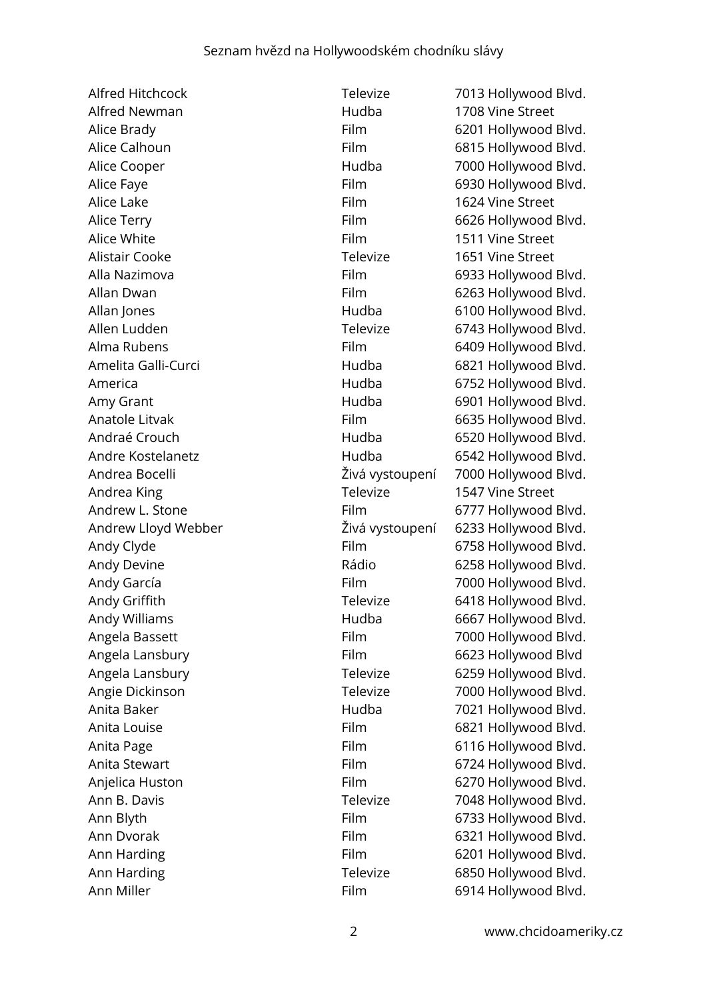Alfred Newman **1708** Vine Street Alice Lake **Film** 1624 Vine Street Alice White **Alice White Film** 1511 Vine Street Alistair Cooke Televize 1651 Vine Street Andrea King Televize 1547 Vine Street Ann Miller **Film** 6914 Hollywood Blvd.

Alfred Hitchcock Televize 7013 Hollywood Blvd. Alice Brady **Film** 6201 Hollywood Blvd. Alice Calhoun **Film** 6815 Hollywood Blvd. Alice Cooper Hudba 7000 Hollywood Blvd. Alice Faye **Film** 6930 Hollywood Blvd. Alice Terry **Film** 6626 Hollywood Blvd. Alla Nazimova **Film** 6933 Hollywood Blvd. Allan Dwan **Film** 6263 Hollywood Blvd. Allan Jones **Allan Jones Hudba** 6100 Hollywood Blvd. Allen Ludden Televize 6743 Hollywood Blvd. Alma Rubens **Film** 6409 Hollywood Blvd. Amelita Galli-Curci **Amelita Galli-Curci Hudba** 6821 Hollywood Blvd. America **America Hudba** 6752 Hollywood Blvd. Amy Grant **Amy Grant Contract Contract Contract Contract Contract Contract Contract Contract Contract Contract Contract Contract Contract Contract Contract Contract Contract Contract Contract Contract Contract Contract Con** Anatole Litvak **Film** 6635 Hollywood Blvd. Andraé Crouch **Hudba** 6520 Hollywood Blvd. Andre Kostelanetz **Hudba** 6542 Hollywood Blvd. Andrea Bocelli Živá vystoupení 7000 Hollywood Blvd. Andrew L. Stone Film Film 6777 Hollywood Blvd. Andrew Lloyd Webber Živá vystoupení 6233 Hollywood Blvd. Andy Clyde **Film** 6758 Hollywood Blvd. Andy Devine **Andy Devine Community** Rádio 6258 Hollywood Blvd. Andy García **Film** 7000 Hollywood Blvd. Andy Griffith Televize 6418 Hollywood Blvd. Andy Williams **Andy Williams Hudba** 6667 Hollywood Blvd. Angela Bassett **Film** Film 7000 Hollywood Blvd. Angela Lansbury **Film** 6623 Hollywood Blvd Angela Lansbury **Televize** 6259 Hollywood Blvd. Angie Dickinson Televize 7000 Hollywood Blvd. Anita Baker **Anita Baker** Hudba 1021 Hollywood Blvd. Anita Louise **Film** 6821 Hollywood Blvd. Anita Page **Film** 6116 Hollywood Blvd. Anita Stewart **Film** Film 6724 Hollywood Blvd. Anjelica Huston **Film** 6270 Hollywood Blvd. Ann B. Davis **National Anniel State 10 and Televize** 7048 Hollywood Blvd. Ann Blyth **Film** 6733 Hollywood Blvd. Ann Dvorak **Film** 6321 Hollywood Blvd. Ann Harding **Film** 6201 Hollywood Blvd. Ann Harding **Televize** 6850 Hollywood Blvd.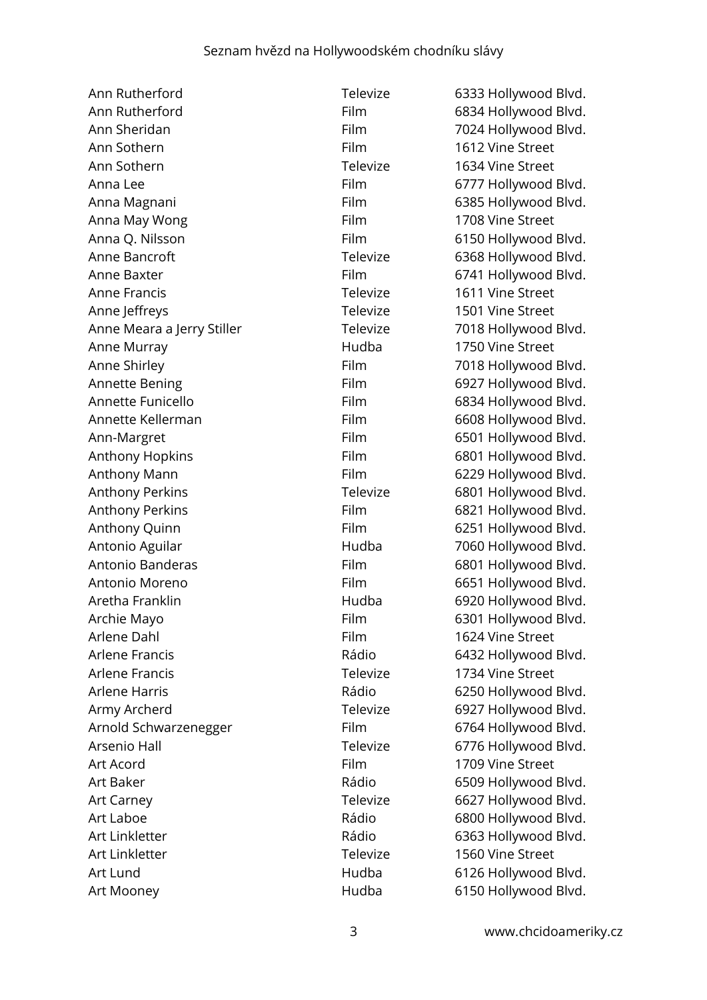Ann Rutherford **Televize** 6333 Hollywood Blvd. Ann Rutherford **Film** 6834 Hollywood Blvd. Ann Sheridan Film 7024 Hollywood Blvd. Ann Sothern Film 1612 Vine Street Ann Sothern Televize 1634 Vine Street Anna Lee Film 6777 Hollywood Blvd. Anna Magnani Film 6385 Hollywood Blvd. Anna May Wong **Film** Film 1708 Vine Street Anna Q. Nilsson **Film** 6150 Hollywood Blvd. Anne Bancroft **Televize** 6368 Hollywood Blvd. Anne Baxter **Film** Film 6741 Hollywood Blvd. Anne Francis Televize 1611 Vine Street Anne Jeffreys **Televize** 1501 Vine Street Anne Meara a Jerry Stiller Televize 7018 Hollywood Blvd. Anne Murray **Anne Murray 1750** Vine Street Anne Shirley **Film** Film 7018 Hollywood Blvd. Annette Bening **Film** Film 6927 Hollywood Blvd. Annette Funicello **Film** 6834 Hollywood Blvd. Annette Kellerman Film 6608 Hollywood Blvd. Ann-Margret Film 6501 Hollywood Blvd. Anthony Hopkins **Film** 6801 Hollywood Blvd. Anthony Mann **Film** 6229 Hollywood Blvd. Anthony Perkins **Anthony Perkins Televize** 6801 Hollywood Blvd. Anthony Perkins **Film** 6821 Hollywood Blvd. Anthony Quinn Film Film 6251 Hollywood Blvd. Antonio Aguilar **Antonio Aguilar** Hudba 7060 Hollywood Blvd. Antonio Banderas Film 6801 Hollywood Blvd. Antonio Moreno **Film** 6651 Hollywood Blvd. Aretha Franklin **Aretha Franklin** Hudba 6920 Hollywood Blvd. Archie Mayo **Film** 6301 Hollywood Blvd. Arlene Dahl **Film** Film 1624 Vine Street Arlene Francis **Exercise Example 2018** Rádio 6432 Hollywood Blvd. Arlene Francis **Televize** 1734 Vine Street Arlene Harris **Rádio Rádio** 6250 Hollywood Blvd. Army Archerd Televize 6927 Hollywood Blvd. Arnold Schwarzenegger Film 6764 Hollywood Blvd. Arsenio Hall **Televize** 6776 Hollywood Blvd. Art Acord **Film** Film 1709 Vine Street Art Baker **Art Baker Rádio** 6509 Hollywood Blvd. Art Carney **Televize** 6627 Hollywood Blvd. Art Laboe **Art Laboe Rádio Rádio** 6800 Hollywood Blvd. Art Linkletter **Art Linkletter Rádio** 6363 Hollywood Blvd. Art Linkletter Televize 1560 Vine Street Art Lund **Art Lund Construction Construction** Hudba 6126 Hollywood Blvd. Art Mooney **Art Mooney Hudba** 6150 Hollywood Blvd.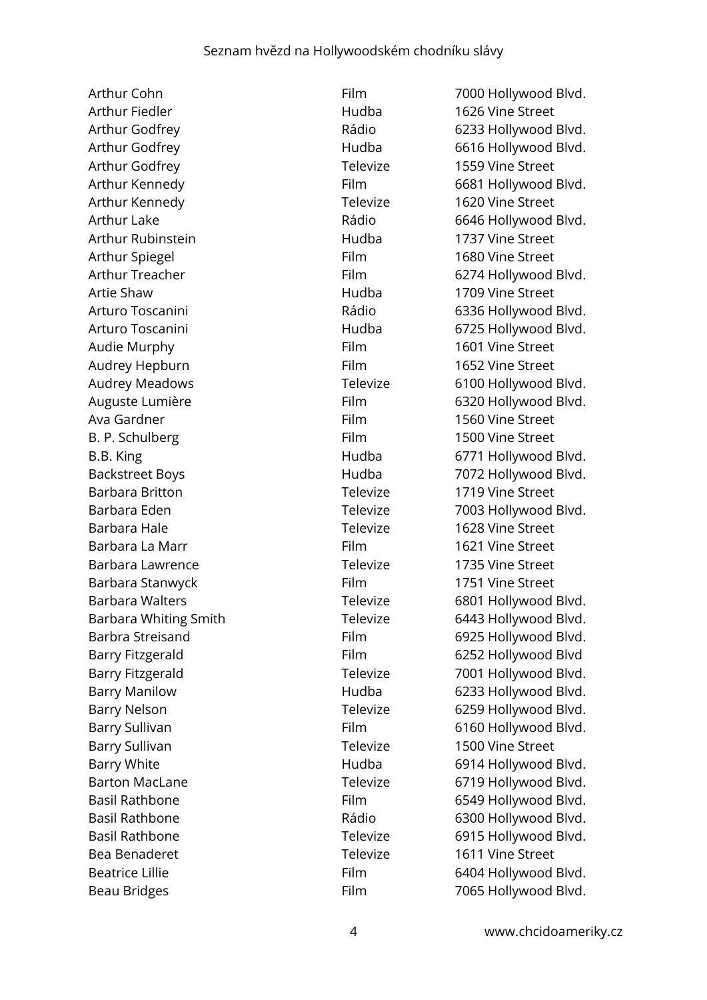Arthur Fiedler **Matter Communist Communist Communist Communist Communist Communist Communist Communist Communist Communist Communist Communist Communist Communist Communist Communist Communist Communist Communist Communist** Arthur Godfrey **Televize** 1559 Vine Street Arthur Kennedy Televize 1620 Vine Street Arthur Rubinstein **Arthur Rubinstein Hudba** 1737 Vine Street Arthur Spiegel **Film** Film 1680 Vine Street Artie Shaw Hudba 1709 Vine Street Audie Murphy **Audie Murphy Film** 1601 Vine Street Audrey Hepburn Film Film 1652 Vine Street Ava Gardner **Film** 1560 Vine Street B. P. Schulberg Film Film 1500 Vine Street Barbara Britton Televize 1719 Vine Street Barbara Hale Televize 1628 Vine Street Barbara La Marr **Film** Film 1621 Vine Street Barbara Lawrence Televize 1735 Vine Street Barbara Stanwyck Film Film 1751 Vine Street Barry Sullivan **Televize** 1500 Vine Street Bea Benaderet Televize 1611 Vine Street

Arthur Cohn Film Film 7000 Hollywood Blvd. Arthur Godfrey **East Communist Communist Communist Communist Communist Communist Communist Communist Communist Communist Communist Communist Communist Communist Communist Communist Communist Communist Communist Communist C** Arthur Godfrey **Arthur Godfrey Hudba** 6616 Hollywood Blvd. Arthur Kennedy **Film** 6681 Hollywood Blvd. Arthur Lake **Rádio** Rádio 6646 Hollywood Blvd. Arthur Treacher **Film** 6274 Hollywood Blvd. Arturo Toscanini **Arturo Toscanini** Rádio 6336 Hollywood Blvd. Arturo Toscanini **Arturo Toscanini Hudba** 6725 Hollywood Blvd. Audrey Meadows Televize 6100 Hollywood Blvd. Auguste Lumière **Film** 6320 Hollywood Blvd. B.B. King **Example 20 Server Control** Hudba 6771 Hollywood Blvd. Backstreet Boys **Hudba** 7072 Hollywood Blvd. Barbara Eden Televize 7003 Hollywood Blvd. Barbara Walters Televize 6801 Hollywood Blvd. Barbara Whiting Smith Televize 6443 Hollywood Blvd. Barbra Streisand Film 6925 Hollywood Blvd. Barry Fitzgerald Film 6252 Hollywood Blvd Barry Fitzgerald **Televize** 7001 Hollywood Blvd. Barry Manilow **Hudba** 6233 Hollywood Blvd. Barry Nelson **Example 2018** Televize 6259 Hollywood Blvd. Barry Sullivan **Film** 6160 Hollywood Blvd. Barry White **Example 2014** Hudba 6914 Hollywood Blvd. Barton MacLane Televize 6719 Hollywood Blvd. Basil Rathbone Film 6549 Hollywood Blvd. Basil Rathbone **Example 2018** Rádio 6300 Hollywood Blvd. Basil Rathbone Televize 6915 Hollywood Blvd. Beatrice Lillie **Film** 6404 Hollywood Blvd. Beau Bridges Film Film 7065 Hollywood Blvd.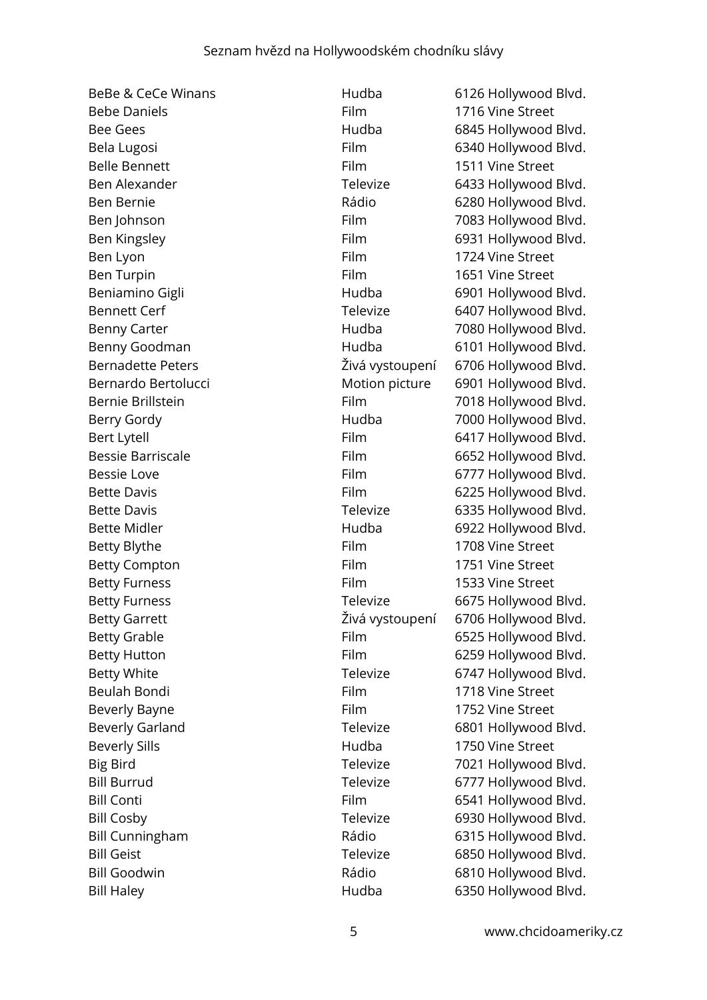| <b>BeBe &amp; CeCe Winans</b> | Hudba           | 6126 Hollywood Blvd.                 |
|-------------------------------|-----------------|--------------------------------------|
| <b>Bebe Daniels</b>           | Film            | 1716 Vine Street                     |
| <b>Bee Gees</b>               | Hudba           | 6845 Hollywood Blvd.                 |
| Bela Lugosi                   | Film            | 6340 Hollywood Blvd.                 |
| <b>Belle Bennett</b>          | Film            | 1511 Vine Street                     |
| Ben Alexander                 | Televize        | 6433 Hollywood Blvd.                 |
| Ben Bernie                    | Rádio           | 6280 Hollywood Blvd.                 |
| Ben Johnson                   | Film            | 7083 Hollywood Blvd.                 |
| Ben Kingsley                  | Film            | 6931 Hollywood Blvd.                 |
| Ben Lyon                      | Film            | 1724 Vine Street                     |
| Ben Turpin                    | Film            | 1651 Vine Street                     |
| Beniamino Gigli               | Hudba           | 6901 Hollywood Blvd.                 |
| <b>Bennett Cerf</b>           | Televize        | 6407 Hollywood Blvd.                 |
| <b>Benny Carter</b>           | Hudba           | 7080 Hollywood Blvd.                 |
| Benny Goodman                 | Hudba           | 6101 Hollywood Blvd.                 |
| <b>Bernadette Peters</b>      | Živá vystoupení | 6706 Hollywood Blvd.                 |
| Bernardo Bertolucci           | Motion picture  | 6901 Hollywood Blvd.                 |
| Bernie Brillstein             | Film            | 7018 Hollywood Blvd.                 |
| Berry Gordy                   | Hudba           | 7000 Hollywood Blvd.                 |
| <b>Bert Lytell</b>            | Film            | 6417 Hollywood Blvd.                 |
| <b>Bessie Barriscale</b>      | Film            | 6652 Hollywood Blvd.                 |
| <b>Bessie Love</b>            | Film            | 6777 Hollywood Blvd.                 |
| <b>Bette Davis</b>            | Film            | 6225 Hollywood Blvd.                 |
| <b>Bette Davis</b>            | Televize        | 6335 Hollywood Blvd.                 |
| <b>Bette Midler</b>           | Hudba           | 6922 Hollywood Blvd.                 |
| Betty Blythe                  | Film            | 1708 Vine Street                     |
| <b>Betty Compton</b>          | Film            | 1751 Vine Street                     |
| <b>Betty Furness</b>          | Film            | 1533 Vine Street                     |
| <b>Betty Furness</b>          | Televize        | 6675 Hollywood Blvd.                 |
| <b>Betty Garrett</b>          |                 | Živá vystoupení 6706 Hollywood Blvd. |
| <b>Betty Grable</b>           | Film            | 6525 Hollywood Blvd.                 |
| <b>Betty Hutton</b>           | Film            | 6259 Hollywood Blvd.                 |
| <b>Betty White</b>            | Televize        | 6747 Hollywood Blvd.                 |
| Beulah Bondi                  | Film            | 1718 Vine Street                     |
| <b>Beverly Bayne</b>          | Film            | 1752 Vine Street                     |
| <b>Beverly Garland</b>        | Televize        | 6801 Hollywood Blvd.                 |
| <b>Beverly Sills</b>          | Hudba           | 1750 Vine Street                     |
| <b>Big Bird</b>               | Televize        | 7021 Hollywood Blvd.                 |
| <b>Bill Burrud</b>            | Televize        | 6777 Hollywood Blvd.                 |
| <b>Bill Conti</b>             | <b>Film</b>     | 6541 Hollywood Blvd.                 |
| <b>Bill Cosby</b>             | Televize        | 6930 Hollywood Blvd.                 |
| <b>Bill Cunningham</b>        | Rádio           | 6315 Hollywood Blvd.                 |
| <b>Bill Geist</b>             | Televize        | 6850 Hollywood Blvd.                 |
| <b>Bill Goodwin</b>           | Rádio           | 6810 Hollywood Blvd.                 |
| <b>Bill Haley</b>             | Hudba           | 6350 Hollywood Blvd.                 |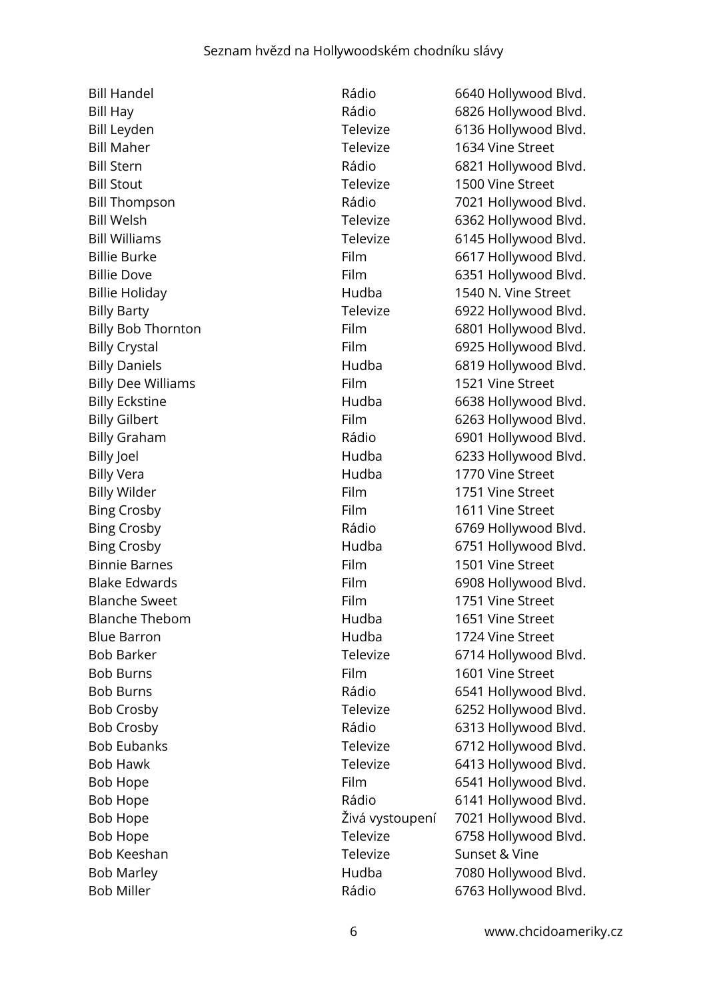Bill Maher Televize 1634 Vine Street Bill Stout Televize 1500 Vine Street Billie Holiday Hudba 1540 N. Vine Street Billy Dee Williams **Film** 1521 Vine Street Billy Vera **1770** Vine Street Billy Wilder **Film** 1751 Vine Street Bing Crosby **Film** 1611 Vine Street Binnie Barnes Film 1501 Vine Street Blanche Sweet Film 1751 Vine Street Blanche Thebom Hudba 1651 Vine Street Blue Barron Hudba 1724 Vine Street Bob Burns Film 1601 Vine Street Bob Keeshan Televize Sunset & Vine Bob Miller **Bob Miller Rádio** 6763 Hollywood Blvd.

Bill Handel **Bill Handel Rádio** 6640 Hollywood Blvd. Bill Hay **Bill Hay Community Community** Rádio 6826 Hollywood Blvd. Bill Leyden Televize 6136 Hollywood Blvd. Bill Stern Rádio 6821 Hollywood Blvd. Bill Thompson Rádio 7021 Hollywood Blvd. Bill Welsh Televize 6362 Hollywood Blvd. Bill Williams **Televize** 6145 Hollywood Blvd. Billie Burke Film 6617 Hollywood Blvd. Billie Dove Film 6351 Hollywood Blvd. Billy Barty **Televize** 6922 Hollywood Blvd. Billy Bob Thornton Film 6801 Hollywood Blvd. Billy Crystal **Film** 6925 Hollywood Blvd. Billy Daniels **Example 2819** Hudba 6819 Hollywood Blvd. Billy Eckstine **Example 20 Follows** Hudba 6638 Hollywood Blvd. Billy Gilbert Film 6263 Hollywood Blvd. Billy Graham **Rádio** Rádio 6901 Hollywood Blvd. Billy Joel **Billy Joel** Hudba 6233 Hollywood Blvd. Bing Crosby **Bing Crosby** Rádio 6769 Hollywood Blvd. Bing Crosby **Example 20** Hudba 6751 Hollywood Blvd. Blake Edwards Film 6908 Hollywood Blvd. Bob Barker Televize 6714 Hollywood Blvd. Bob Burns **Rádio 6541 Hollywood Blvd.** Bob Crosby **Televize** 6252 Hollywood Blvd. Bob Crosby **Rádio** Rádio 6313 Hollywood Blvd. Bob Eubanks Televize 6712 Hollywood Blvd. Bob Hawk **Televize** 6413 Hollywood Blvd. Bob Hope Film 6541 Hollywood Blvd. Bob Hope **Rádio** Rádio 6141 Hollywood Blvd. Bob Hope Živá vystoupení 7021 Hollywood Blvd. Bob Hope Televize 6758 Hollywood Blvd. Bob Marley **1980 Hollywood Blvd.** Hudba 1980 Hollywood Blvd.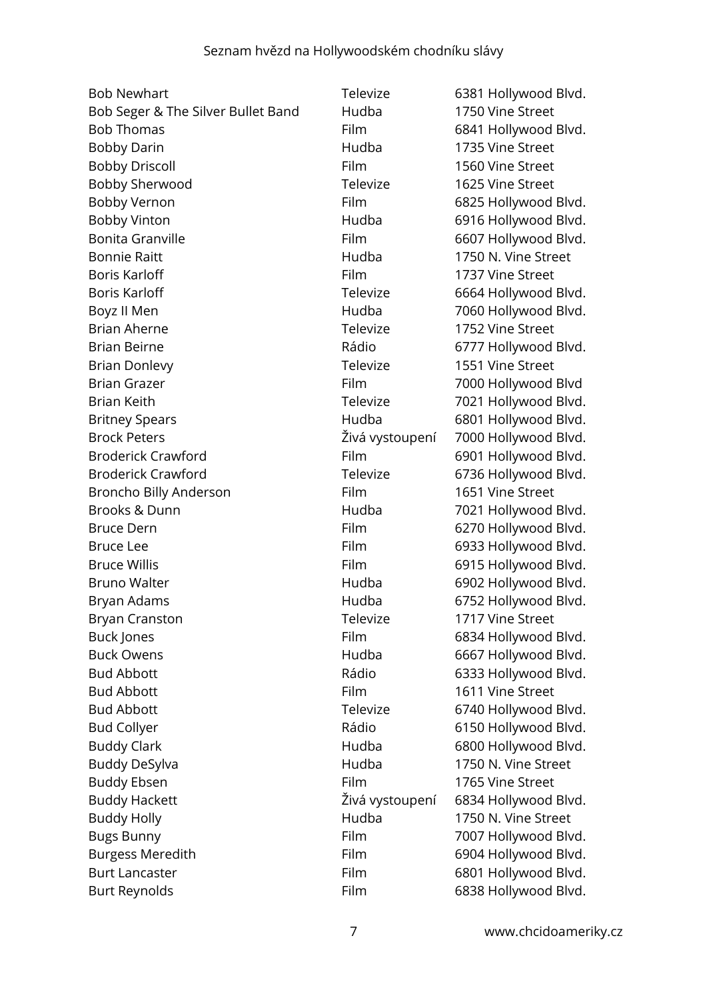| <b>Bob Newhart</b>                 | Televize        | 6381 Hollywood Blvd. |
|------------------------------------|-----------------|----------------------|
| Bob Seger & The Silver Bullet Band | Hudba           | 1750 Vine Street     |
| <b>Bob Thomas</b>                  | Film            | 6841 Hollywood Blvd. |
| <b>Bobby Darin</b>                 | Hudba           | 1735 Vine Street     |
| <b>Bobby Driscoll</b>              | Film            | 1560 Vine Street     |
| <b>Bobby Sherwood</b>              | Televize        | 1625 Vine Street     |
| Bobby Vernon                       | Film            | 6825 Hollywood Blvd. |
| <b>Bobby Vinton</b>                | Hudba           | 6916 Hollywood Blvd. |
| <b>Bonita Granville</b>            | Film            | 6607 Hollywood Blvd. |
| <b>Bonnie Raitt</b>                | Hudba           | 1750 N. Vine Street  |
| <b>Boris Karloff</b>               | <b>Film</b>     | 1737 Vine Street     |
| <b>Boris Karloff</b>               | Televize        | 6664 Hollywood Blvd. |
| Boyz II Men                        | Hudba           | 7060 Hollywood Blvd. |
| <b>Brian Aherne</b>                | Televize        | 1752 Vine Street     |
| <b>Brian Beirne</b>                | Rádio           | 6777 Hollywood Blvd. |
| <b>Brian Donlevy</b>               | Televize        | 1551 Vine Street     |
| <b>Brian Grazer</b>                | Film            | 7000 Hollywood Blvd  |
| <b>Brian Keith</b>                 | Televize        | 7021 Hollywood Blvd. |
| <b>Britney Spears</b>              | Hudba           | 6801 Hollywood Blvd. |
| <b>Brock Peters</b>                | Živá vystoupení | 7000 Hollywood Blvd. |
| <b>Broderick Crawford</b>          | Film            | 6901 Hollywood Blvd. |
| <b>Broderick Crawford</b>          | Televize        | 6736 Hollywood Blvd. |
| Broncho Billy Anderson             | Film            | 1651 Vine Street     |
| Brooks & Dunn                      | Hudba           | 7021 Hollywood Blvd. |
| <b>Bruce Dern</b>                  | Film            | 6270 Hollywood Blvd. |
| <b>Bruce Lee</b>                   | <b>Film</b>     | 6933 Hollywood Blvd. |
| <b>Bruce Willis</b>                | Film            | 6915 Hollywood Blvd. |
| <b>Bruno Walter</b>                | Hudba           | 6902 Hollywood Blvd. |
| Bryan Adams                        | Hudba           | 6752 Hollywood Blvd. |
| <b>Bryan Cranston</b>              | Televize        | 1717 Vine Street     |
| Buck Jones                         | Film            | 6834 Hollywood Blvd. |
| <b>Buck Owens</b>                  | Hudba           | 6667 Hollywood Blvd. |
| <b>Bud Abbott</b>                  | Rádio           | 6333 Hollywood Blvd. |
| <b>Bud Abbott</b>                  | Film            | 1611 Vine Street     |
| <b>Bud Abbott</b>                  | Televize        | 6740 Hollywood Blvd. |
| <b>Bud Collyer</b>                 | Rádio           | 6150 Hollywood Blvd. |
| <b>Buddy Clark</b>                 | Hudba           | 6800 Hollywood Blvd. |
| <b>Buddy DeSylva</b>               | Hudba           | 1750 N. Vine Street  |
| <b>Buddy Ebsen</b>                 | <b>Film</b>     | 1765 Vine Street     |
| <b>Buddy Hackett</b>               | Živá vystoupení | 6834 Hollywood Blvd. |
| <b>Buddy Holly</b>                 | Hudba           | 1750 N. Vine Street  |
| <b>Bugs Bunny</b>                  | Film            | 7007 Hollywood Blvd. |
| <b>Burgess Meredith</b>            | Film            | 6904 Hollywood Blvd. |
| <b>Burt Lancaster</b>              | Film            | 6801 Hollywood Blvd. |
| <b>Burt Reynolds</b>               | Film            | 6838 Hollywood Blvd. |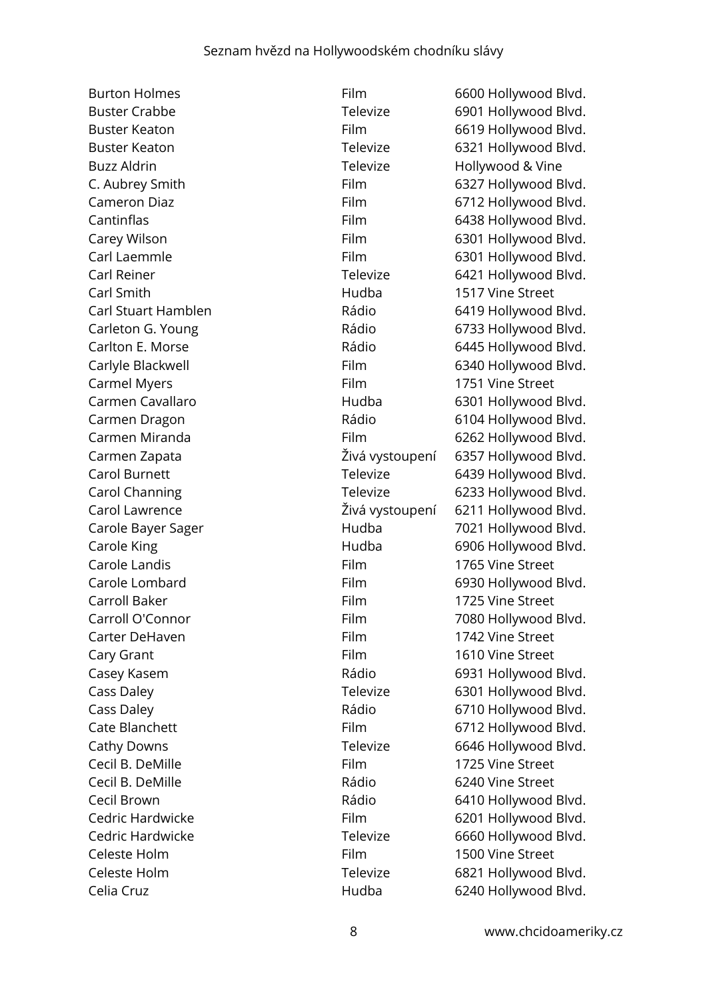Buzz Aldrin Televize Hollywood & Vine Carl Smith Hudba 1517 Vine Street Carmel Myers **Film** Film 1751 Vine Street Carole Landis Film 1765 Vine Street Carroll Baker **Film** 1725 Vine Street Carter DeHaven **Film** Film 1742 Vine Street Cary Grant **Film** 1610 Vine Street Cecil B. DeMille Film 1725 Vine Street Cecil B. DeMille **Cecil B. Demille Rádio** 6240 Vine Street Celeste Holm **Film** Film 1500 Vine Street

Burton Holmes **Film** 6600 Hollywood Blvd. Buster Crabbe Televize 6901 Hollywood Blvd. Buster Keaton Film Film 6619 Hollywood Blvd. Buster Keaton Televize 6321 Hollywood Blvd. C. Aubrey Smith Film Film 6327 Hollywood Blvd. Cameron Diaz **Film** 6712 Hollywood Blvd. Cantinflas **Film** 6438 Hollywood Blvd. Carey Wilson **Film** 6301 Hollywood Blvd. Carl Laemmle Film 6301 Hollywood Blvd. Carl Reiner **Televize** 6421 Hollywood Blvd. Carl Stuart Hamblen Rádio 6419 Hollywood Blvd. Carleton G. Young The Carleton G. Young Carleton G. Young Carlton E. Morse **Carlton E. Morse** Rádio 6445 Hollywood Blvd. Carlyle Blackwell **Film** 6340 Hollywood Blvd. Carmen Cavallaro **1988** Hudba 6301 Hollywood Blvd. Carmen Dragon **Carmen Dragon** Rádio 6104 Hollywood Blvd. Carmen Miranda Film 6262 Hollywood Blvd. Carmen Zapata Živá vystoupení 6357 Hollywood Blvd. Carol Burnett **Televize** 6439 Hollywood Blvd. Carol Channing Televize 6233 Hollywood Blvd. Carol Lawrence Živá vystoupení 6211 Hollywood Blvd. Carole Bayer Sager **Figure 2018** Hudba **1021** Hollywood Blvd. Carole King **Carole King Carole King Carole King Carole King Carole King Carole Additional** Carole Lombard Film 6930 Hollywood Blvd. Carroll O'Connor **Film** 7080 Hollywood Blvd. Casey Kasem **Casey Kasem** Rádio 6931 Hollywood Blvd. Cass Daley **Cass Daley Cass Daley Cass Daley Cass Daley Cass Daley Cass Daley Cass Daley Cass Daley Cass Daley Cass Daley Cass Daley Cass Daley Cass Daley Cass Daley Cass Daley Cass Daley Ca** Cass Daley **Cass Daley Cass Daley Rádio** 6710 Hollywood Blvd. Cate Blanchett Film 6712 Hollywood Blvd. Cathy Downs **Televize** 6646 Hollywood Blvd. Cecil Brown **Cecil Brown** Rádio 6410 Hollywood Blvd. Cedric Hardwicke Film 6201 Hollywood Blvd. Cedric Hardwicke Televize 6660 Hollywood Blvd. Celeste Holm **Televize** 6821 Hollywood Blvd. Celia Cruz **Celia Cruz** Celia Cruz **Hudba** 6240 Hollywood Blvd.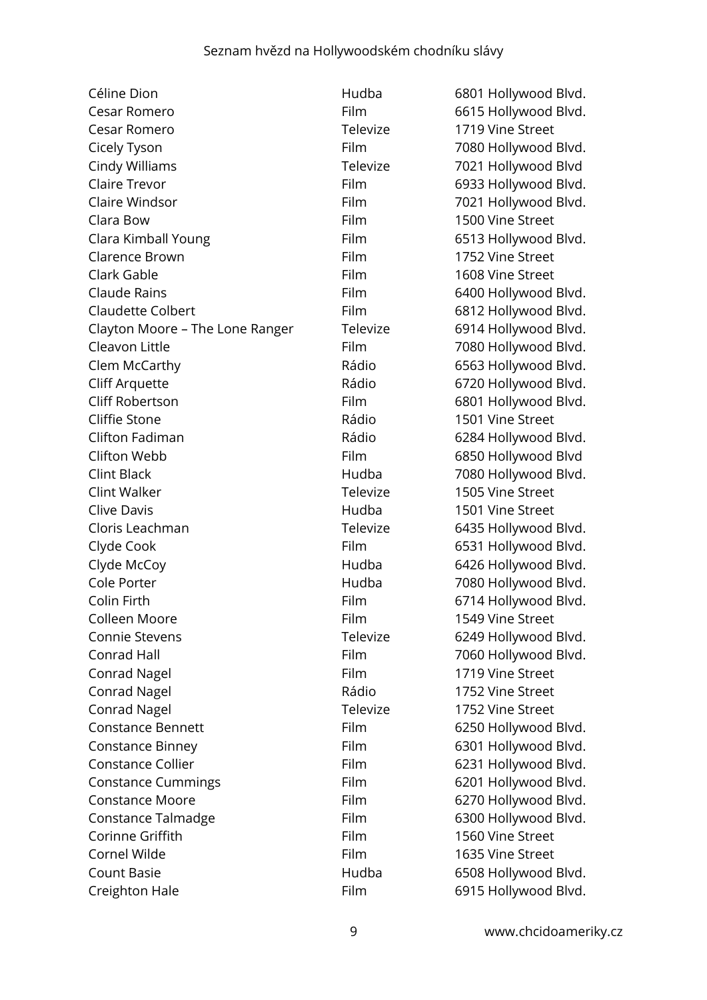| Céline Dion                     | Hudba       | 6801 Hollywood Blvd. |
|---------------------------------|-------------|----------------------|
| Cesar Romero                    | Film        | 6615 Hollywood Blvd. |
| Cesar Romero                    | Televize    | 1719 Vine Street     |
| Cicely Tyson                    | Film        | 7080 Hollywood Blvd. |
| Cindy Williams                  | Televize    | 7021 Hollywood Blvd  |
| Claire Trevor                   | Film        | 6933 Hollywood Blvd. |
| Claire Windsor                  | Film        | 7021 Hollywood Blvd. |
| Clara Bow                       | Film        | 1500 Vine Street     |
| Clara Kimball Young             | Film        | 6513 Hollywood Blvd. |
| Clarence Brown                  | Film        | 1752 Vine Street     |
| Clark Gable                     | Film        | 1608 Vine Street     |
| Claude Rains                    | Film        | 6400 Hollywood Blvd. |
| <b>Claudette Colbert</b>        | Film        | 6812 Hollywood Blvd. |
| Clayton Moore - The Lone Ranger | Televize    | 6914 Hollywood Blvd. |
| Cleavon Little                  | Film        | 7080 Hollywood Blvd. |
| Clem McCarthy                   | Rádio       | 6563 Hollywood Blvd. |
| <b>Cliff Arquette</b>           | Rádio       | 6720 Hollywood Blvd. |
| Cliff Robertson                 | Film        | 6801 Hollywood Blvd. |
| Cliffie Stone                   | Rádio       | 1501 Vine Street     |
| Clifton Fadiman                 | Rádio       | 6284 Hollywood Blvd. |
| Clifton Webb                    | Film        | 6850 Hollywood Blvd  |
| Clint Black                     | Hudba       | 7080 Hollywood Blvd. |
| Clint Walker                    | Televize    | 1505 Vine Street     |
| <b>Clive Davis</b>              | Hudba       | 1501 Vine Street     |
| Cloris Leachman                 | Televize    | 6435 Hollywood Blvd. |
| Clyde Cook                      | Film        | 6531 Hollywood Blvd. |
| Clyde McCoy                     | Hudba       | 6426 Hollywood Blvd. |
| Cole Porter                     | Hudba       | 7080 Hollywood Blvd. |
| Colin Firth                     | Film        | 6714 Hollywood Blvd. |
| Colleen Moore                   | <b>Film</b> | 1549 Vine Street     |
| Connie Stevens                  | Televize    | 6249 Hollywood Blvd. |
| Conrad Hall                     | Film        | 7060 Hollywood Blvd. |
| <b>Conrad Nagel</b>             | Film        | 1719 Vine Street     |
| <b>Conrad Nagel</b>             | Rádio       | 1752 Vine Street     |
| <b>Conrad Nagel</b>             | Televize    | 1752 Vine Street     |
| <b>Constance Bennett</b>        | Film        | 6250 Hollywood Blvd. |
| <b>Constance Binney</b>         | Film        | 6301 Hollywood Blvd. |
| <b>Constance Collier</b>        | Film        | 6231 Hollywood Blvd. |
| <b>Constance Cummings</b>       | Film        | 6201 Hollywood Blvd. |
| <b>Constance Moore</b>          | Film        | 6270 Hollywood Blvd. |
| Constance Talmadge              | Film        | 6300 Hollywood Blvd. |
| Corinne Griffith                | Film        | 1560 Vine Street     |
| Cornel Wilde                    | Film        | 1635 Vine Street     |
| <b>Count Basie</b>              | Hudba       | 6508 Hollywood Blvd. |
| Creighton Hale                  | Film        | 6915 Hollywood Blvd. |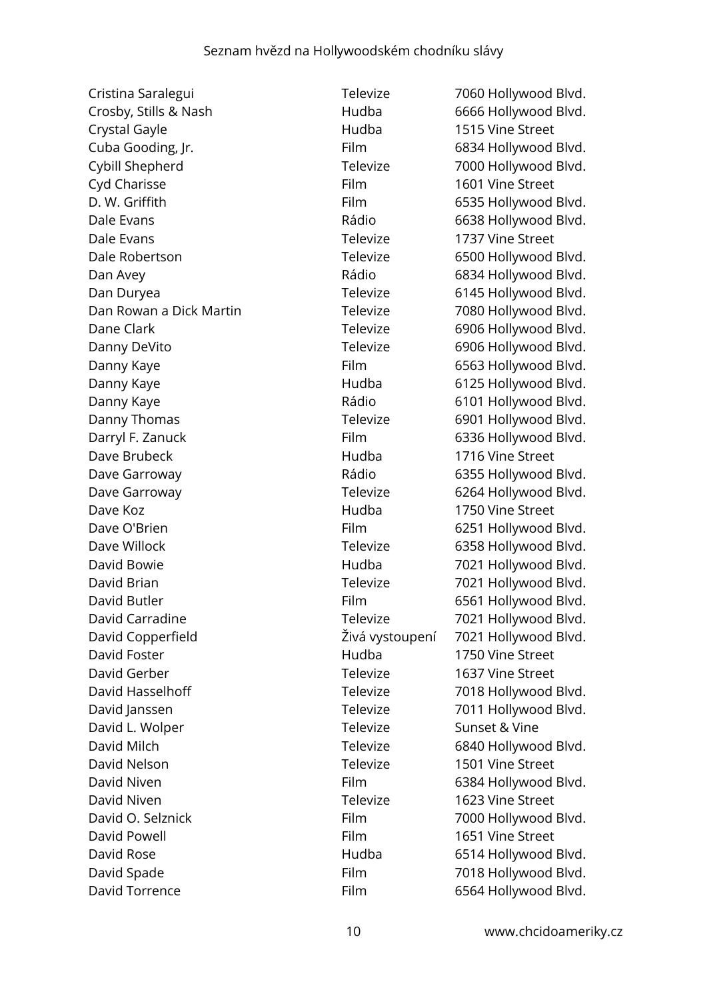Cristina Saralegui Televize 7060 Hollywood Blvd. Crosby, Stills & Nash Hudba 6666 Hollywood Blvd. Crystal Gayle **1515** Vine Street Cuba Gooding, Jr. **Film** 6834 Hollywood Blvd. Cybill Shepherd Televize 7000 Hollywood Blvd. Cyd Charisse Film 1601 Vine Street D. W. Griffith **Film** 6535 Hollywood Blvd. Dale Evans **Dale Evans Rádio** 6638 Hollywood Blvd. Dale Evans Televize 1737 Vine Street Dale Robertson Televize 6500 Hollywood Blvd. Dan Avey **Dan Avey Rádio** 6834 Hollywood Blvd. Dan Duryea **Televize** 6145 Hollywood Blvd. Dan Rowan a Dick Martin Televize 7080 Hollywood Blvd. Dane Clark **Televize** 6906 Hollywood Blvd. Danny DeVito **Televize** 6906 Hollywood Blvd. Danny Kaye **Film** 6563 Hollywood Blvd. Danny Kaye **Manny Kaye 19 Manny Kaye 19 Manny Kaye** Hudba 6125 Hollywood Blvd. Danny Kaye **Canny Kaye Cannon Care Accord Blvd.** Rádio 6101 Hollywood Blvd. Danny Thomas Televize 6901 Hollywood Blvd. Darryl F. Zanuck Film 6336 Hollywood Blvd. Dave Brubeck Hudba 1716 Vine Street Dave Garroway **Example 20** Rádio 6355 Hollywood Blvd. Dave Garroway **Televize** 6264 Hollywood Blvd. Dave Koz Hudba 1750 Vine Street Dave O'Brien Film Film 6251 Hollywood Blvd. Dave Willock **Televize** 6358 Hollywood Blvd. David Bowie **No. 2021** Hudba 7021 Hollywood Blvd. David Brian **David Brian** Contract Contract Televize 7021 Hollywood Blvd. David Butler **Film** 6561 Hollywood Blvd. David Carradine Televize 7021 Hollywood Blvd. David Copperfield Živá vystoupení 7021 Hollywood Blvd. David Foster Hudba 1750 Vine Street David Gerber Televize 1637 Vine Street David Hasselhoff Televize 7018 Hollywood Blvd. David Janssen **Televize** 7011 Hollywood Blvd. David L. Wolper Televize Sunset & Vine David Milch **Televize** 6840 Hollywood Blvd. David Nelson Televize 1501 Vine Street David Niven **Film** 6384 Hollywood Blvd. David Niven Televize 1623 Vine Street David O. Selznick Film Film 7000 Hollywood Blvd. David Powell **Example 2018** Film 1651 Vine Street David Rose **Matter Contract Contract Hudba** 6514 Hollywood Blvd. David Spade Film Film 7018 Hollywood Blvd.

David Torrence Film 6564 Hollywood Blvd.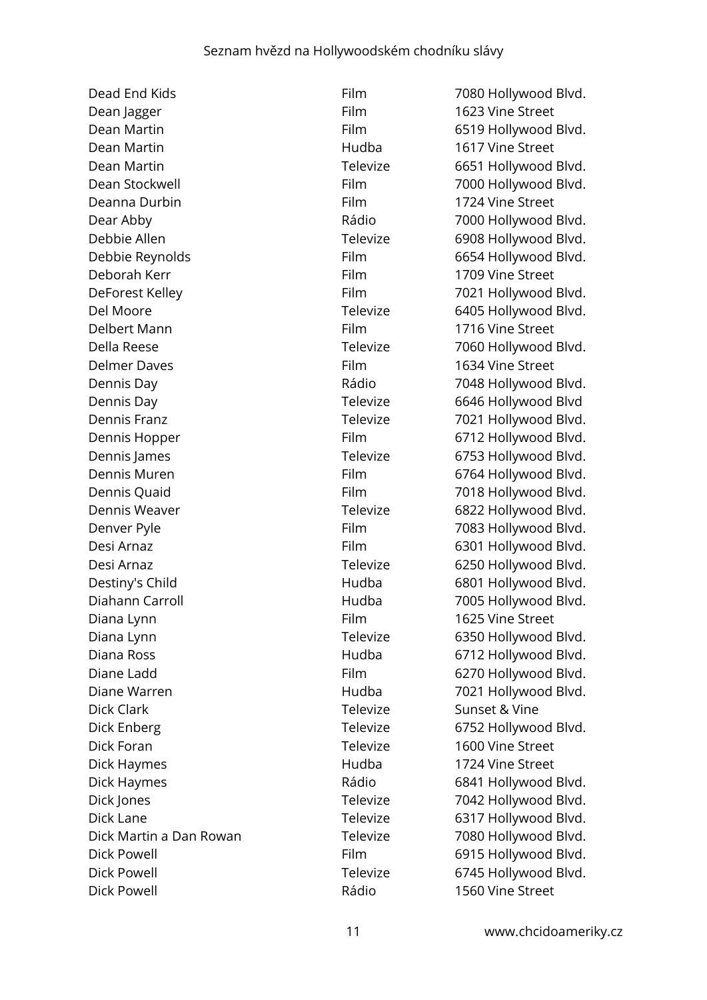Dean Jagger Film 1623 Vine Street Dean Martin Film 6519 Hollywood Blvd. Dean Martin Hudba 1617 Vine Street Dean Martin Televize 6651 Hollywood Blvd. Dean Stockwell **Film** Film 7000 Hollywood Blvd. Deanna Durbin Film Film 1724 Vine Street Dear Abby **Dear Abby** Rádio 7000 Hollywood Blvd. Debbie Allen Televize 6908 Hollywood Blvd. Debbie Reynolds Film 6654 Hollywood Blvd. Deborah Kerr Film Film 1709 Vine Street DeForest Kelley **Film** 7021 Hollywood Blvd. Del Moore **Televize** 6405 Hollywood Blvd. Delbert Mann Film 1716 Vine Street Della Reese Televize Televize 7060 Hollywood Blvd. Delmer Daves Film 1634 Vine Street Dennis Day **Dennis Day Rádio** 7048 Hollywood Blvd. Dennis Day **Dennis Day Televize** 6646 Hollywood Blvd Dennis Franz **Televize** 7021 Hollywood Blvd. Dennis Hopper Film Film 6712 Hollywood Blvd. Dennis James **Televize** 6753 Hollywood Blvd. Dennis Muren Film Film 6764 Hollywood Blvd. Dennis Quaid **Film** Film 7018 Hollywood Blvd. Dennis Weaver **Televize** 6822 Hollywood Blvd. Denver Pyle Film 7083 Hollywood Blvd. Desi Arnaz **Film 6301 Hollywood Blvd.** Desi Arnaz **Televize** 6250 Hollywood Blvd. Destiny's Child **Example 2801** Hudba 6801 Hollywood Blvd. Diahann Carroll Hudba 7005 Hollywood Blvd. Diana Lynn **Film** Film 1625 Vine Street Diana Lynn **Televize** 6350 Hollywood Blvd. Diana Ross **Example 28 Hudba** 6712 Hollywood Blvd. Diane Ladd **Film** 6270 Hollywood Blvd. Diane Warren **Market Market Communist Communist Hudba** 7021 Hollywood Blvd. Dick Clark Televize Sunset & Vine Dick Enberg Televize 6752 Hollywood Blvd. Dick Foran Televize 1600 Vine Street Dick Haymes **1724** Vine Street Dick Haymes **Example 2018** Rádio 6841 Hollywood Blvd. Dick Jones **Televize** 7042 Hollywood Blvd. Dick Lane **Televize** 6317 Hollywood Blvd. Dick Martin a Dan Rowan Televize 7080 Hollywood Blvd. Dick Powell **Film** 6915 Hollywood Blvd. Dick Powell **Dick Powell Televize** 6745 Hollywood Blvd. Dick Powell Rádio 1560 Vine Street

Dead End Kids **Film** 7080 Hollywood Blvd.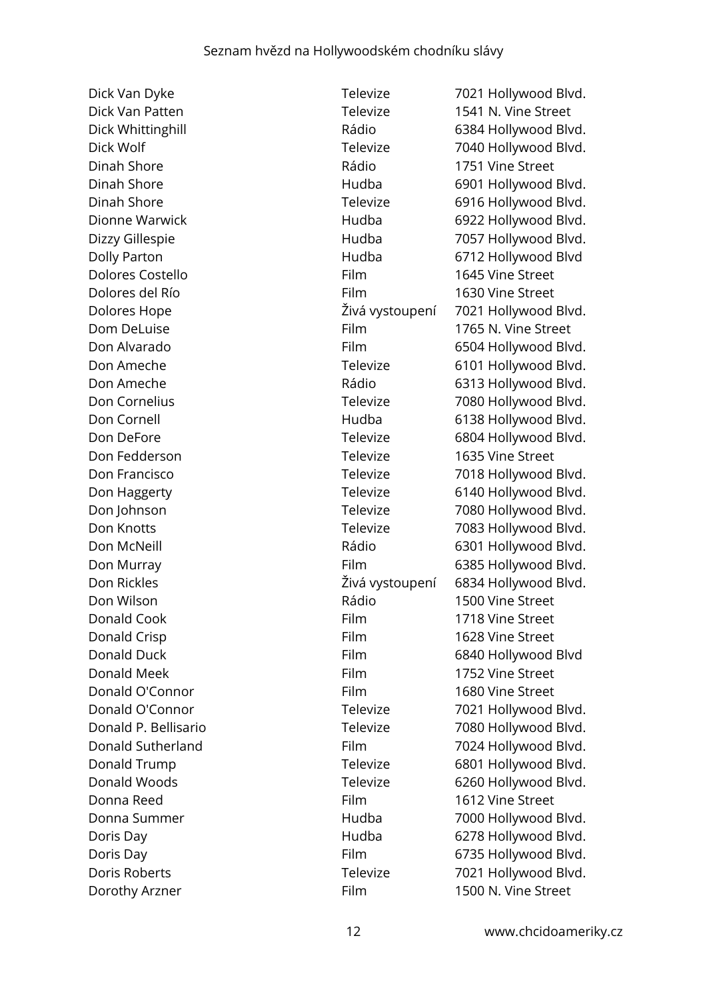Dinah Shore Rádio 1751 Vine Street Dolores Costello Film 1645 Vine Street Dolores del Río **Film** 1630 Vine Street Don Fedderson Televize 1635 Vine Street Don Wilson Rádio 1500 Vine Street Donald Cook Film 1718 Vine Street **Donald Crisp Conald Crisp Conald Crisp Conald Crisp Conald Crisp Conald Crisp Conald Crisp Conald Crisp Conald C** Donald Meek Film 1752 Vine Street Donald O'Connor Film 1680 Vine Street Donna Reed Film 1612 Vine Street

Dick Van Dyke Televize 7021 Hollywood Blvd. Dick Van Patten Televize 1541 N. Vine Street Dick Whittinghill **Dick Whittinghill Example 2018** Rádio 6384 Hollywood Blvd. Dick Wolf **Televize** 7040 Hollywood Blvd. Dinah Shore Hudba 6901 Hollywood Blvd. Dinah Shore **Televize** 6916 Hollywood Blvd. Dionne Warwick **Hudba** 6922 Hollywood Blvd. Dizzy Gillespie **1988** Hudba 1057 Hollywood Blvd. Dolly Parton Hudba 6712 Hollywood Blvd Dolores Hope Živá vystoupení 7021 Hollywood Blvd. Dom DeLuise Film 1765 N. Vine Street Don Alvarado **Film** 6504 Hollywood Blvd. Don Ameche Televize 6101 Hollywood Blvd. Don Ameche **Example 2018** Rádio 6313 Hollywood Blvd. Don Cornelius **Televize** 7080 Hollywood Blvd. Don Cornell **Example 2018** Hudba 6138 Hollywood Blvd. Don DeFore Televize 6804 Hollywood Blvd. Don Francisco **Televize** 7018 Hollywood Blvd. Don Haggerty **Televize** 6140 Hollywood Blvd. Don Johnson **Televize** 7080 Hollywood Blvd. Don Knotts Televize 7083 Hollywood Blvd. Don McNeill **Don McNeill Contract Contract Contract Contract Contract Contract Contract Contract Contract Contract Contract Contract Contract Contract Contract Contract Contract Contract Contract Contract Contract Contra** Don Murray **Film** 6385 Hollywood Blvd. Don Rickles Živá vystoupení 6834 Hollywood Blvd. Donald Duck Film 6840 Hollywood Blvd Donald O'Connor Televize 7021 Hollywood Blvd. Donald P. Bellisario Televize 7080 Hollywood Blvd. Donald Sutherland Film Film 7024 Hollywood Blvd. Donald Trump Televize 6801 Hollywood Blvd. Donald Woods Televize 6260 Hollywood Blvd. Donna Summer Hudba 7000 Hollywood Blvd. Doris Day **Markov Edge Control Control Control** Hudba 6278 Hollywood Blvd. Doris Day **Film** 6735 Hollywood Blvd. Doris Roberts **Televize** 7021 Hollywood Blvd. Dorothy Arzner **Film** Film 1500 N. Vine Street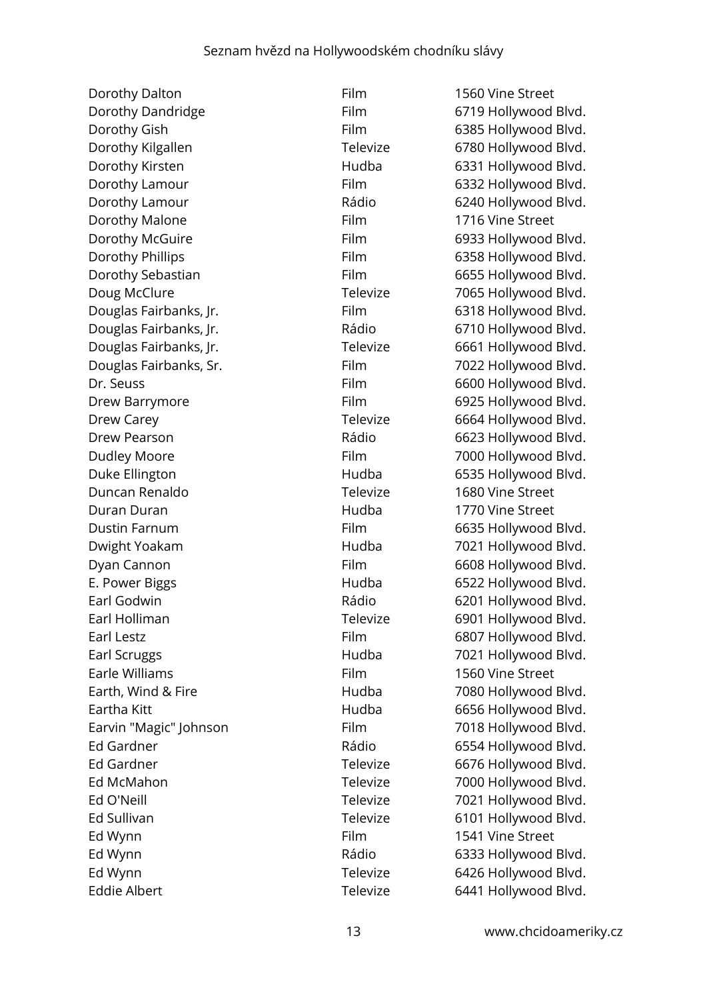Dorothy Dalton Film Film 1560 Vine Street Dorothy Dandridge Film 6719 Hollywood Blvd. Dorothy Gish **Film** 6385 Hollywood Blvd. Dorothy Kilgallen Televize 6780 Hollywood Blvd. Dorothy Kirsten **Example 2018** Hudba 6331 Hollywood Blvd. Dorothy Lamour **Film** 6332 Hollywood Blvd. Dorothy Lamour **Example 2018** Rádio 6240 Hollywood Blvd. Dorothy Malone Film Film 1716 Vine Street Dorothy McGuire **Film** 6933 Hollywood Blvd. Dorothy Phillips **Film** 6358 Hollywood Blvd. Dorothy Sebastian Film 6655 Hollywood Blvd. Doug McClure Televize 7065 Hollywood Blvd. Douglas Fairbanks, Jr. **Film** 6318 Hollywood Blvd. Douglas Fairbanks, Jr. (2008) Rádio 6710 Hollywood Blvd. Douglas Fairbanks, Jr. Televize 6661 Hollywood Blvd. Douglas Fairbanks, Sr. The Film Film 7022 Hollywood Blvd. Dr. Seuss **Film** 6600 Hollywood Blvd. Drew Barrymore **Film** 6925 Hollywood Blvd. Drew Carey **Televize** 6664 Hollywood Blvd. Drew Pearson **Calculation Contract Contract Contract Contract Contract Contract Contract Contract Contract Contract Contract Contract Contract Contract Contract Contract Contract Contract Contract Contract Contract Contrac** Dudley Moore **Film** 7000 Hollywood Blvd. Duke Ellington **Ellington** Hudba 6535 Hollywood Blvd. Duncan Renaldo Televize 1680 Vine Street Duran Duran Hudba 1770 Vine Street Dustin Farnum Film Film 6635 Hollywood Blvd. Dwight Yoakam **Fight Allian Controllering Hudba** 7021 Hollywood Blvd. Dyan Cannon **Film** 6608 Hollywood Blvd. E. Power Biggs **E. Power Biggs Hudba** 6522 Hollywood Blvd. Earl Godwin **Earl Godwin** Rádio 6201 Hollywood Blvd. Earl Holliman **Earl Holliman** Televize 6901 Hollywood Blvd. Earl Lestz **Film** 6807 Hollywood Blvd. Earl Scruggs **Farmer Hudba** 7021 Hollywood Blvd. Earle Williams Film 1560 Vine Street Earth, Wind & Fire **Earth, Wind & Fire Hudba** 7080 Hollywood Blvd. Eartha Kitt **Eartha Kitt Eartha Kitt Hudba** 6656 Hollywood Blvd. Earvin "Magic" Johnson Film Film 7018 Hollywood Blvd. Ed Gardner **Ed Gardner Communist Communist Communist Communist Communist Communist Communist Communist Communist Communist Communist Communist Communist Communist Communist Communist Communist Communist Communist Communist** Ed Gardner Televize 6676 Hollywood Blvd. Ed McMahon Televize 7000 Hollywood Blvd. Ed O'Neill **Ed O'Neill Televize** 7021 Hollywood Blvd. Ed Sullivan **Ed Sullivan Televize** 6101 Hollywood Blvd. Ed Wynn **Film** Film 1541 Vine Street Ed Wynn **Ed Wynn** Ed Wynn **Ed Wynn** Ed Wynn **Ed Wynn** Ed Wynn **Televize** 6426 Hollywood Blvd. Eddie Albert **Televize** 6441 Hollywood Blvd.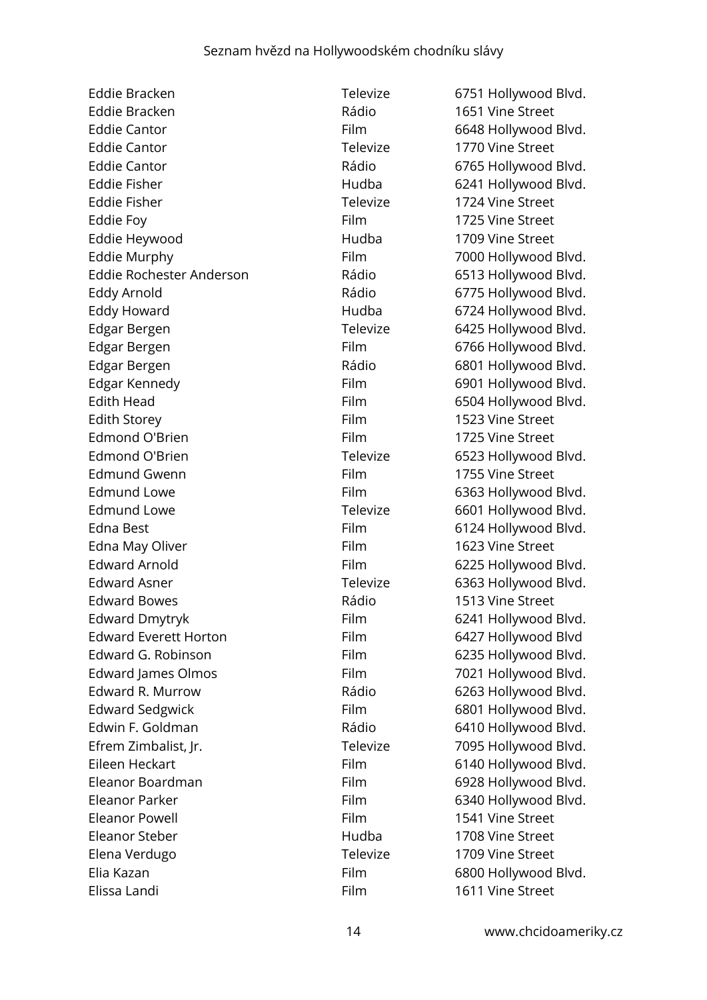Eddie Bracken Televize 6751 Hollywood Blvd. Eddie Bracken **Rádio** 1651 Vine Street Eddie Cantor **Film** 6648 Hollywood Blvd. Eddie Cantor **Televize** 1770 Vine Street Eddie Cantor **Eddie Cantor Rádio** 6765 Hollywood Blvd. Eddie Fisher **Eddie Fisher Hudba** 6241 Hollywood Blvd. Eddie Fisher Televize 1724 Vine Street Eddie Foy **Film** 1725 Vine Street Eddie Heywood **Hudba** 1709 Vine Street Eddie Murphy **Film** Film 7000 Hollywood Blvd. Eddie Rochester Anderson Rádio 6513 Hollywood Blvd. Eddy Arnold **Eddy Arnold** Eddy Arnold **Eddy Arnold** Eddy Howard **Eddy Howard** Hudba 6724 Hollywood Blvd. Edgar Bergen Televize 6425 Hollywood Blvd. Edgar Bergen Film Film 6766 Hollywood Blvd. Edgar Bergen **Edgar Bergen** Edgar Bergen Rádio 6801 Hollywood Blvd. Edgar Kennedy **Film** 6901 Hollywood Blvd. Edith Head **Film** 6504 Hollywood Blvd. Edith Storey **Film** 1523 Vine Street Edmond O'Brien Film Film 1725 Vine Street Edmond O'Brien Televize 6523 Hollywood Blvd. Edmund Gwenn Film Film 1755 Vine Street Edmund Lowe Film 6363 Hollywood Blvd. Edmund Lowe **Televize** 6601 Hollywood Blvd. Edna Best Film 6124 Hollywood Blvd. Edna May Oliver **Film** 1623 Vine Street Edward Arnold Film 6225 Hollywood Blvd. Edward Asner Televize 6363 Hollywood Blvd. Edward Bowes **Rádio** Rádio 1513 Vine Street Edward Dmytryk Film 6241 Hollywood Blvd. Edward Everett Horton Film Film 6427 Hollywood Blvd Edward G. Robinson Film 6235 Hollywood Blvd. Edward James Olmos Film Film 7021 Hollywood Blvd. Edward R. Murrow **Rádio** Rádio 6263 Hollywood Blvd. Edward Sedgwick Film 6801 Hollywood Blvd. Edwin F. Goldman **Edwin F. Goldman** Rádio 6410 Hollywood Blvd. Efrem Zimbalist, Jr. Televize 7095 Hollywood Blvd. Eileen Heckart **Film** Film 6140 Hollywood Blvd. Eleanor Boardman Film 6928 Hollywood Blvd. Eleanor Parker Film Film 6340 Hollywood Blvd. Eleanor Powell **Eleanor** Powell **Film** 1541 Vine Street Eleanor Steber Hudba 1708 Vine Street Elena Verdugo Televize 1709 Vine Street Elia Kazan **Film 6800 Hollywood Blvd.** Elissa Landi Film 1611 Vine Street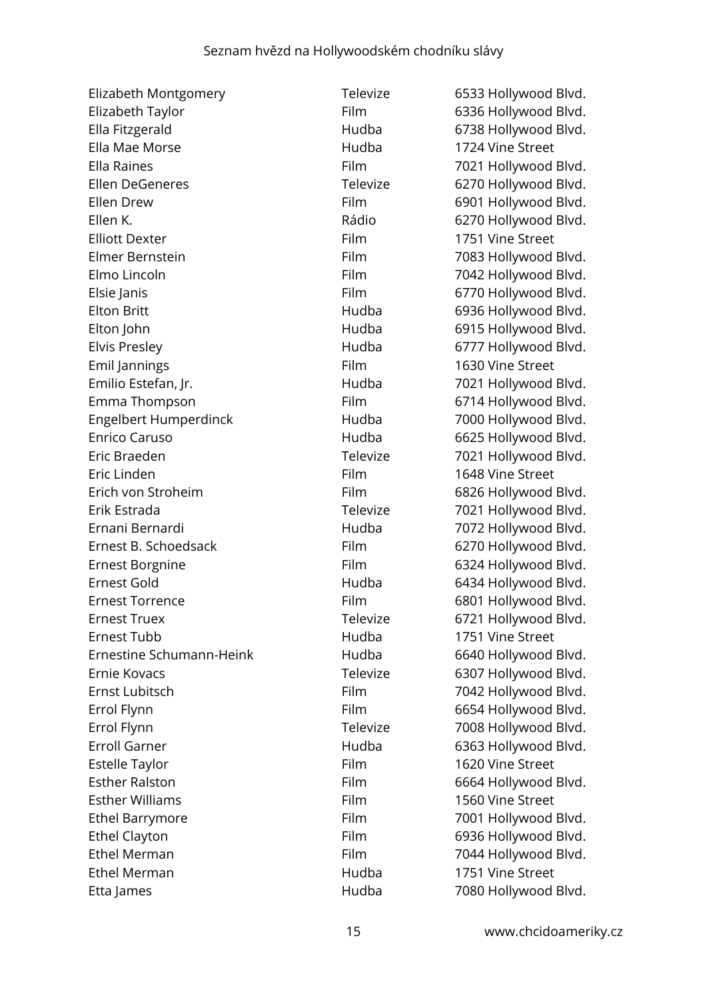| Elizabeth Montgomery         | Televize | 6533 Hollywood Blvd. |
|------------------------------|----------|----------------------|
| Elizabeth Taylor             | Film     | 6336 Hollywood Blvd. |
| Ella Fitzgerald              | Hudba    | 6738 Hollywood Blvd. |
| Ella Mae Morse               | Hudba    | 1724 Vine Street     |
| Ella Raines                  | Film     | 7021 Hollywood Blvd. |
| <b>Ellen DeGeneres</b>       | Televize | 6270 Hollywood Blvd. |
| Ellen Drew                   | Film     | 6901 Hollywood Blvd. |
| Ellen K.                     | Rádio    | 6270 Hollywood Blvd. |
| <b>Elliott Dexter</b>        | Film     | 1751 Vine Street     |
| Elmer Bernstein              | Film     | 7083 Hollywood Blvd. |
| Elmo Lincoln                 | Film     | 7042 Hollywood Blvd. |
| Elsie Janis                  | Film     | 6770 Hollywood Blvd. |
| <b>Elton Britt</b>           | Hudba    | 6936 Hollywood Blvd. |
| Elton John                   | Hudba    | 6915 Hollywood Blvd. |
| <b>Elvis Presley</b>         | Hudba    | 6777 Hollywood Blvd. |
| Emil Jannings                | Film     | 1630 Vine Street     |
| Emilio Estefan, Jr.          | Hudba    | 7021 Hollywood Blvd. |
| Emma Thompson                | Film     | 6714 Hollywood Blvd. |
| <b>Engelbert Humperdinck</b> | Hudba    | 7000 Hollywood Blvd. |
| Enrico Caruso                | Hudba    | 6625 Hollywood Blvd. |
| Eric Braeden                 | Televize | 7021 Hollywood Blvd. |
| Eric Linden                  | Film     | 1648 Vine Street     |
| Erich von Stroheim           | Film     | 6826 Hollywood Blvd. |
| Erik Estrada                 | Televize | 7021 Hollywood Blvd. |
| Ernani Bernardi              | Hudba    | 7072 Hollywood Blvd. |
| Ernest B. Schoedsack         | Film     | 6270 Hollywood Blvd. |
| <b>Ernest Borgnine</b>       | Film     | 6324 Hollywood Blvd. |
| Ernest Gold                  | Hudba    | 6434 Hollywood Blvd. |
| <b>Ernest Torrence</b>       | Film     | 6801 Hollywood Blvd. |
| <b>Ernest Truex</b>          | Televize | 6721 Hollywood Blvd. |
| <b>Ernest Tubb</b>           | Hudba    | 1751 Vine Street     |
| Ernestine Schumann-Heink     | Hudba    | 6640 Hollywood Blvd. |
| Ernie Kovacs                 | Televize | 6307 Hollywood Blvd. |
| Ernst Lubitsch               | Film     | 7042 Hollywood Blvd. |
| Errol Flynn                  | Film     | 6654 Hollywood Blvd. |
| Errol Flynn                  | Televize | 7008 Hollywood Blvd. |
| <b>Erroll Garner</b>         | Hudba    | 6363 Hollywood Blvd. |
| <b>Estelle Taylor</b>        | Film     | 1620 Vine Street     |
| <b>Esther Ralston</b>        | Film     | 6664 Hollywood Blvd. |
| <b>Esther Williams</b>       | Film     | 1560 Vine Street     |
| <b>Ethel Barrymore</b>       | Film     | 7001 Hollywood Blvd. |
| <b>Ethel Clayton</b>         | Film     | 6936 Hollywood Blvd. |
| <b>Ethel Merman</b>          | Film     | 7044 Hollywood Blvd. |
| <b>Ethel Merman</b>          | Hudba    | 1751 Vine Street     |
| Etta James                   | Hudba    | 7080 Hollywood Blvd. |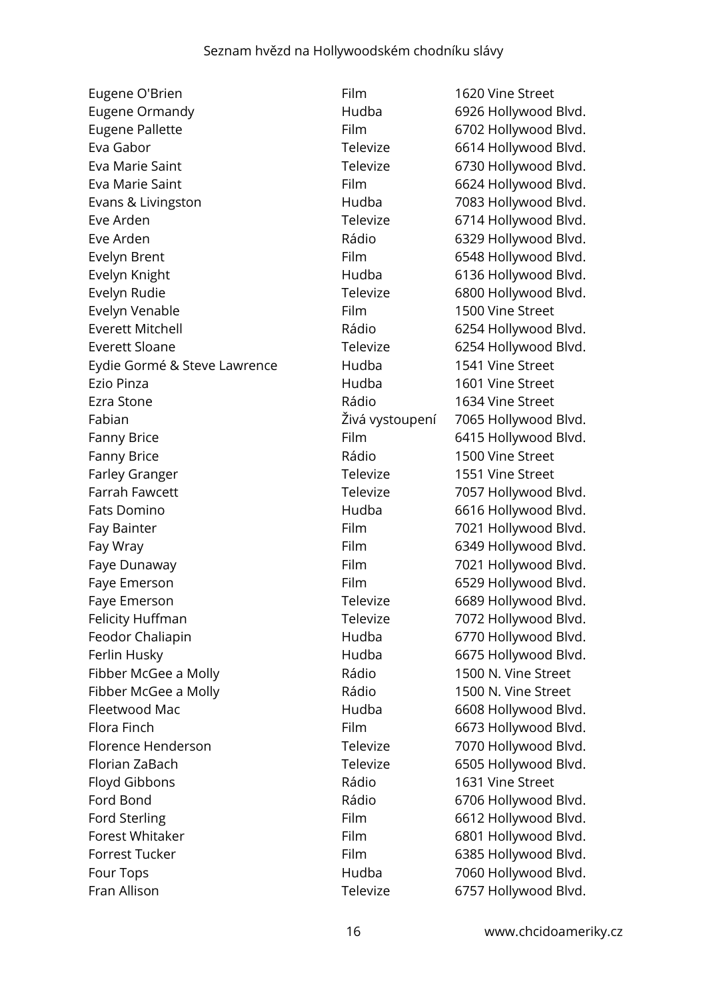Eugene O'Brien Film Film 1620 Vine Street Eugene Ormandy **Eugene Ormandy Hudba** 6926 Hollywood Blvd. Eugene Pallette Film Film 6702 Hollywood Blvd. Eva Gabor **Televize** 6614 Hollywood Blvd. Eva Marie Saint Televize 6730 Hollywood Blvd. Eva Marie Saint **Film** Film 6624 Hollywood Blvd. Evans & Livingston **Evans & Livingston Hudba** 7083 Hollywood Blvd. Eve Arden **Televize** 6714 Hollywood Blvd. Eve Arden **Eve Arden** Eve Arden **Rádio 6329 Hollywood Blvd.** Evelyn Brent Film Film 6548 Hollywood Blvd. Evelyn Knight **Hudba Hudba** 6136 Hollywood Blvd. Evelyn Rudie **Televize** Felevize 6800 Hollywood Blvd. Evelyn Venable **Film** Film 1500 Vine Street Everett Mitchell **Everett Mitchell Everett Mitchell** Everett Sloane Televize Felevize 6254 Hollywood Blvd. Eydie Gormé & Steve Lawrence hudba 1541 Vine Street Ezio Pinza Hudba 1601 Vine Street Ezra Stone **1634** Vine Street Fabian Živá vystoupení 7065 Hollywood Blvd. Fanny Brice **Film** Film 6415 Hollywood Blvd. Fanny Brice **1500** Vine Street Farley Granger Televize 1551 Vine Street Farrah Fawcett **Televize** Televize 7057 Hollywood Blvd. Fats Domino **Fats Domino Hudba** 6616 Hollywood Blvd. Fay Bainter Fay Bainter Film Film 7021 Hollywood Blvd. Fay Wray Film 6349 Hollywood Blvd. Faye Dunaway **Film** Film 7021 Hollywood Blvd. Faye Emerson **Film** Film 6529 Hollywood Blvd. Faye Emerson **Televize** 6689 Hollywood Blvd. Felicity Huffman Televize 7072 Hollywood Blvd. Feodor Chaliapin **Feodor Chaliapin Hudba** 6770 Hollywood Blvd. Ferlin Husky **Ferlin Husky** Hudba 6675 Hollywood Blvd. Fibber McGee a Molly **Rádio** Rádio 1500 N. Vine Street Fibber McGee a Molly **Rádio** Rádio 1500 N. Vine Street Fleetwood Mac Hudba 6608 Hollywood Blvd. Flora Finch Film Film 6673 Hollywood Blvd. Florence Henderson Televize 7070 Hollywood Blvd. Florian ZaBach Televize 6505 Hollywood Blvd. Floyd Gibbons **Rádio** 1631 Vine Street Ford Bond **Ford Bond 2008** Construction Rádio 6706 Hollywood Blvd. Ford Sterling **Film** 6612 Hollywood Blvd. Forest Whitaker Film Film 6801 Hollywood Blvd. Forrest Tucker Forrest Tucker Film Film 6385 Hollywood Blvd. Four Tops **Four Tops Hudba** 7060 Hollywood Blvd. Fran Allison **Televize** 6757 Hollywood Blvd.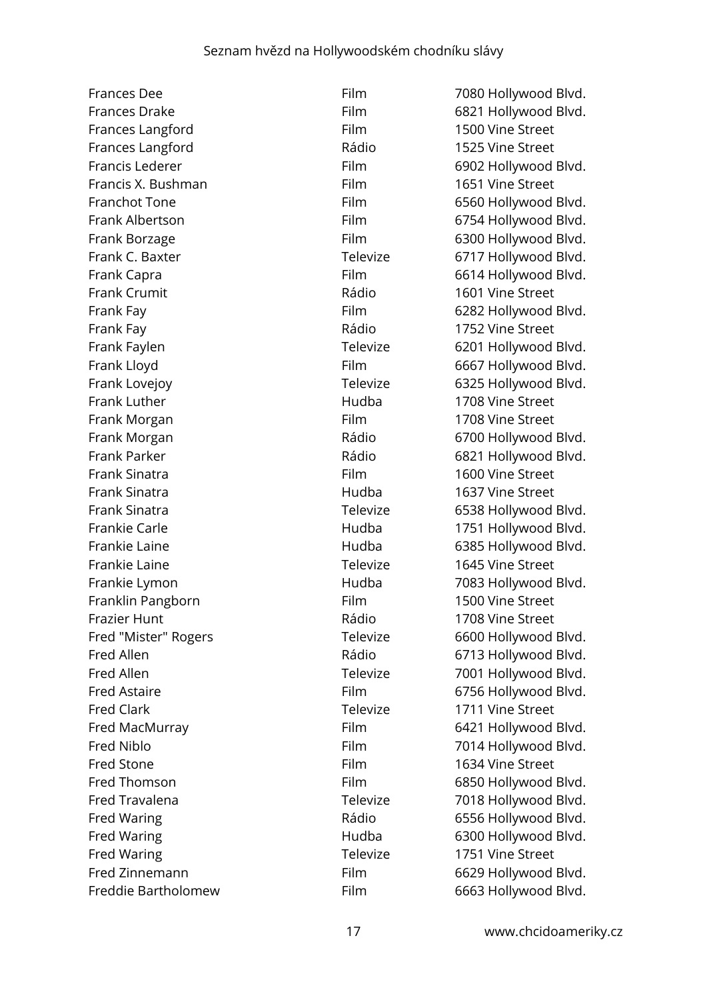Frances Dee Film Film 7080 Hollywood Blvd. Frances Drake Film Film 6821 Hollywood Blvd. Frances Langford Film Film 1500 Vine Street Frances Langford **Example 20** Rádio 1525 Vine Street Francis Lederer Film 6902 Hollywood Blvd. Francis X. Bushman Film Film 1651 Vine Street Franchot Tone **Film** Film 6560 Hollywood Blvd. Frank Albertson Film Film 6754 Hollywood Blvd. Frank Borzage **Film** 6300 Hollywood Blvd. Frank C. Baxter **Televize** 6717 Hollywood Blvd. Frank Capra **Film** Film 6614 Hollywood Blvd. Frank Crumit **Example 2018** Rádio 1601 Vine Street Frank Fay **Film** 6282 Hollywood Blvd. Frank Fay **Frank Fay Communist Communist Pays** Rádio 1752 Vine Street Frank Faylen **Televize** 6201 Hollywood Blvd. Frank Lloyd **Film** 6667 Hollywood Blvd. Frank Lovejoy **Televize** 6325 Hollywood Blvd. Frank Luther **Frank Luther Hudba** 1708 Vine Street Frank Morgan **Film** Film 1708 Vine Street Frank Morgan **Example 2018** Rádio 6700 Hollywood Blvd. Frank Parker **Frank Parker Example 2018** Rádio 6821 Hollywood Blvd. Frank Sinatra **Film 1600** Vine Street Frank Sinatra Hudba 1637 Vine Street Frank Sinatra **Televize** 6538 Hollywood Blvd. Frankie Carle **Frankie Carle Frankie Carle Hudba** 1751 Hollywood Blvd. Frankie Laine Hudba 6385 Hollywood Blvd. Frankie Laine Televize 1645 Vine Street Frankie Lymon **Frankie Lymon Hudba** 7083 Hollywood Blvd. Franklin Pangborn Film Film 1500 Vine Street Frazier Hunt **Example 2018** Vine Street Rádio 1708 Vine Street Fred "Mister" Rogers Televize 6600 Hollywood Blvd. Fred Allen **Fred Allen Rádio** 6713 Hollywood Blvd. Fred Allen Televize 7001 Hollywood Blvd. Fred Astaire **Film** 6756 Hollywood Blvd. Fred Clark Televize 1711 Vine Street Fred MacMurray Film 6421 Hollywood Blvd. Fred Niblo **Film** 7014 Hollywood Blvd. Fred Stone **Film** 1634 Vine Street Fred Thomson **Film** 6850 Hollywood Blvd. Fred Travalena Televize Televize 7018 Hollywood Blvd. Fred Waring **Example 20 Inc.** Rádio 6556 Hollywood Blvd. Fred Waring **Fred Waring Community** Hudba 6300 Hollywood Blvd. Fred Waring Televize Televize 1751 Vine Street Fred Zinnemann Film Film 6629 Hollywood Blvd. Freddie Bartholomew Film 6663 Hollywood Blvd.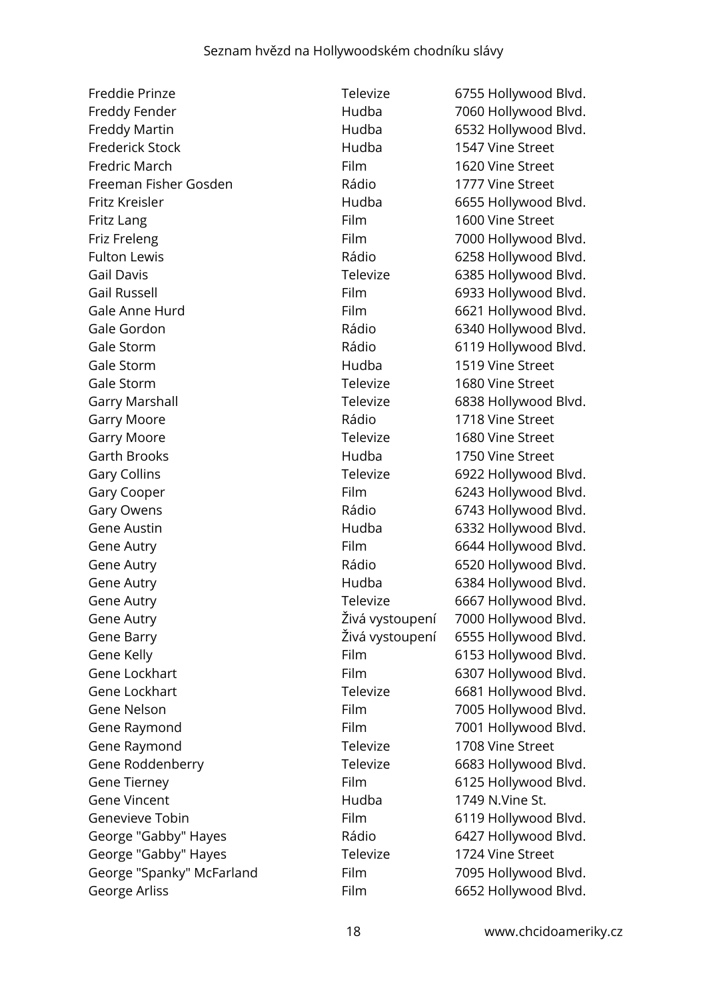Freddie Prinze **Televize** Televize 6755 Hollywood Blvd. Freddy Fender **Freddy Fender** Hudba 7060 Hollywood Blvd. Freddy Martin **Freddy Martin Hudba** 6532 Hollywood Blvd. Frederick Stock Hudba 1547 Vine Street Fredric March **Film** Film 1620 Vine Street Freeman Fisher Gosden The Rádio 1777 Vine Street Fritz Kreisler **Example 2018** Hudba 6655 Hollywood Blvd. Fritz Lang **Film** Film 1600 Vine Street Friz Freleng **Film** Film 7000 Hollywood Blvd. Fulton Lewis **Example 2018** Rádio 6258 Hollywood Blvd. Gail Davis **Gail Davis Call Davis Call Davis Call Davis Call Davis Call Davis Call Davis Call Davis Call Davis Call Davis Call Davis Call Davis Call Davis Call Davis Call Davis Call Davis Ca** Gail Russell **Film** 6933 Hollywood Blvd. Gale Anne Hurd Film 6621 Hollywood Blvd. Gale Gordon **Gale Gordon** Rádio 6340 Hollywood Blvd. Gale Storm **Gale Storm** Rádio 6119 Hollywood Blvd. Gale Storm **1519** Vine Street Gale Storm **Televize** 1680 Vine Street Garry Marshall **Garry Marshall Televize** 6838 Hollywood Blvd. Garry Moore **1718** Vine Street Garry Moore **Televize** 1680 Vine Street Garth Brooks **Example 20** Hudba 1750 Vine Street Gary Collins **Gary Collins Gary Colling Gary Colling Gary Colling Gary Colling Gary Colling Gary Colling Gary Colling Gary Colling Gary Colling Gary Colling Gary Colling Gary Colling Gary Colling** Gary Cooper Film 6243 Hollywood Blvd. Gary Owens **Gary Owens Gary Owens Gary Owens Gary Owens Gary Owens Gary Owens Gary Owens Gary Owens Gary Owens Gary Owens Gary Owens Gary Owens Gary Owens Gary Owens Gary Owens Gary Owens Ga** Gene Austin **Figure 2018** Hudba **6332 Hollywood Blvd.** Gene Autry **Film** 6644 Hollywood Blvd. Gene Autry **Gallactic Control Control Control Control Control Control Control Control Control Control Control Control Control Control Control Control Control Control Control Control Control Control Control Control Control** Gene Autry **Gallace Controller Controller Controller Controller Controller Controller Gallace Controller Controller Controller Gallace Controller Gallace Controller Controller Controller Controller Controller Controller Co** Gene Autry **Gallery** Controller Cherry Televize 6667 Hollywood Blvd. Gene Autry Živá vystoupení 7000 Hollywood Blvd. Gene Barry Živá vystoupení 6555 Hollywood Blvd. Gene Kelly **Film** 6153 Hollywood Blvd. Gene Lockhart Film 6307 Hollywood Blvd. Gene Lockhart Televize 6681 Hollywood Blvd. Gene Nelson **Film** Film 7005 Hollywood Blvd. Gene Raymond Film Film 7001 Hollywood Blvd. Gene Raymond **Televize** 1708 Vine Street Gene Roddenberry Televize 6683 Hollywood Blvd. Gene Tierney **Film** 6125 Hollywood Blvd. Gene Vincent **1749 N.Vine St. Hudba** 1749 N.Vine St. Genevieve Tobin **Film** Film 6119 Hollywood Blvd. George "Gabby" Hayes **Rádio** Rádio 6427 Hollywood Blvd. George "Gabby" Hayes Televize 1724 Vine Street George "Spanky" McFarland Film Film 7095 Hollywood Blvd. George Arliss **Film** 6652 Hollywood Blvd.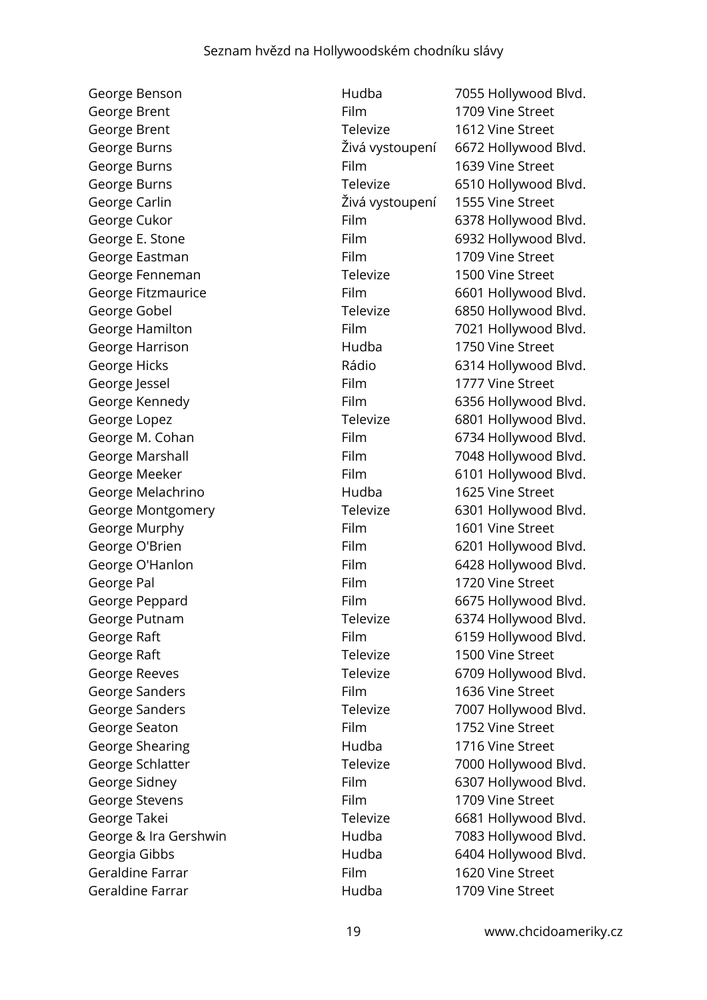George Brent Film Film 1709 Vine Street George Brent Televize 1612 Vine Street George Burns Film Film 1639 Vine Street George Carlin Živá vystoupení 1555 Vine Street George Eastman Film Film 1709 Vine Street George Fenneman Televize 1500 Vine Street George Harrison **Example 20 For the Hudba** 1750 Vine Street George Jessel **Film** 1777 Vine Street George Melachrino **1625** Vine Street George Murphy **Film** 1601 Vine Street George Pal **Film** 1720 Vine Street George Raft **Televize** 1500 Vine Street George Sanders **Film** 1636 Vine Street George Seaton **Film** Film 1752 Vine Street George Shearing The Contract Hudba 1716 Vine Street George Stevens **Film** Film 1709 Vine Street Geraldine Farrar Film Film 1620 Vine Street Geraldine Farrar The Street Hudba 1709 Vine Street

George Benson Hudba 7055 Hollywood Blvd. George Burns Živá vystoupení 6672 Hollywood Blvd. George Burns **Canadian Control Control Control Televize** 6510 Hollywood Blvd. George Cukor **Film** 6378 Hollywood Blvd. George E. Stone Film 6932 Hollywood Blvd. George Fitzmaurice Film Film 6601 Hollywood Blvd. George Gobel **George Gobel Televize** 6850 Hollywood Blvd. George Hamilton Film Film 7021 Hollywood Blvd. George Hicks **Contract Contract Contract Contract Contract Contract Contract Contract Contract Contract Contract Contract Contract Contract Contract Contract Contract Contract Contract Contract Contract Contract Contract C** George Kennedy Film 6356 Hollywood Blvd. George Lopez **Televize** 6801 Hollywood Blvd. George M. Cohan Film 6734 Hollywood Blvd. George Marshall **Film** Film 7048 Hollywood Blvd. George Meeker Film 6101 Hollywood Blvd. George Montgomery Televize 6301 Hollywood Blvd. George O'Brien Film Film 6201 Hollywood Blvd. George O'Hanlon Film Film 6428 Hollywood Blvd. George Peppard Film 6675 Hollywood Blvd. George Putnam Televize 6374 Hollywood Blvd. George Raft **Film** Film 6159 Hollywood Blvd. George Reeves **Televize** 6709 Hollywood Blvd. George Sanders Televize 7007 Hollywood Blvd. George Schlatter Televize 7000 Hollywood Blvd. George Sidney **Film** 6307 Hollywood Blvd. George Takei Televize Felevize 6681 Hollywood Blvd. George & Ira Gershwin **Franch Hudba** 7083 Hollywood Blvd. Georgia Gibbs **Hudba** 6404 Hollywood Blvd.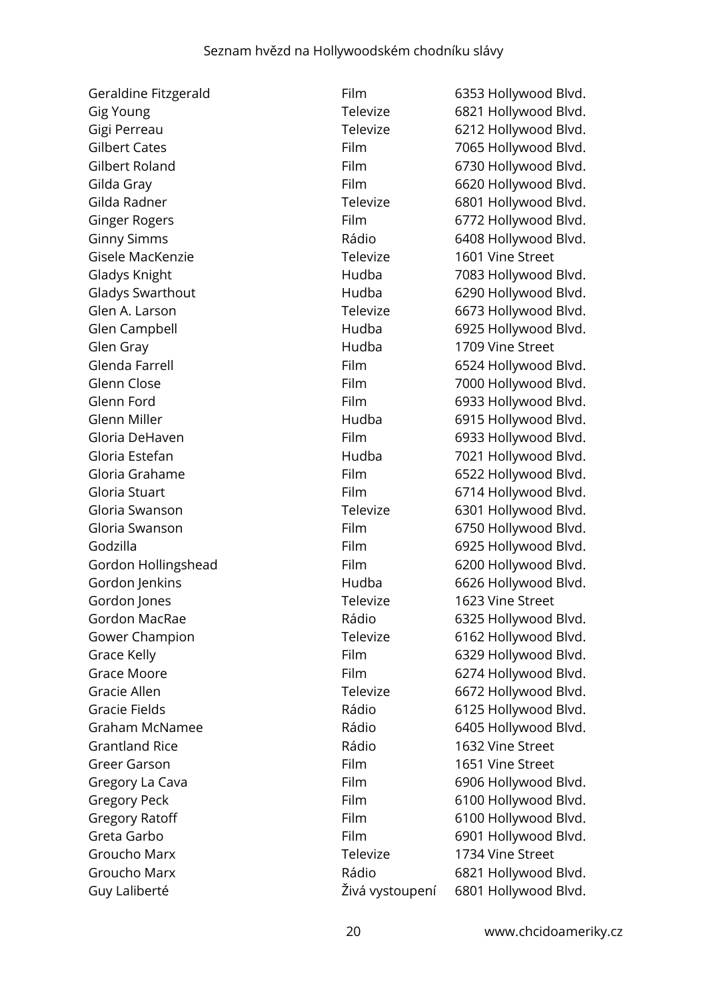| Geraldine Fitzgerald  | Film            | 6353 Hollywood Blvd. |
|-----------------------|-----------------|----------------------|
| Gig Young             | Televize        | 6821 Hollywood Blvd. |
| Gigi Perreau          | Televize        | 6212 Hollywood Blvd. |
| <b>Gilbert Cates</b>  | Film            | 7065 Hollywood Blvd. |
| Gilbert Roland        | Film            | 6730 Hollywood Blvd. |
| Gilda Gray            | Film            | 6620 Hollywood Blvd. |
| Gilda Radner          | Televize        | 6801 Hollywood Blvd. |
| <b>Ginger Rogers</b>  | Film            | 6772 Hollywood Blvd. |
| <b>Ginny Simms</b>    | Rádio           | 6408 Hollywood Blvd. |
| Gisele MacKenzie      | Televize        | 1601 Vine Street     |
| Gladys Knight         | Hudba           | 7083 Hollywood Blvd. |
| Gladys Swarthout      | Hudba           | 6290 Hollywood Blvd. |
| Glen A. Larson        | Televize        | 6673 Hollywood Blvd. |
| Glen Campbell         | Hudba           | 6925 Hollywood Blvd. |
| Glen Gray             | Hudba           | 1709 Vine Street     |
| Glenda Farrell        | Film            | 6524 Hollywood Blvd. |
| Glenn Close           | Film            | 7000 Hollywood Blvd. |
| Glenn Ford            | Film            | 6933 Hollywood Blvd. |
| Glenn Miller          | Hudba           | 6915 Hollywood Blvd. |
| Gloria DeHaven        | Film            | 6933 Hollywood Blvd. |
| Gloria Estefan        | Hudba           | 7021 Hollywood Blvd. |
| Gloria Grahame        | Film            | 6522 Hollywood Blvd. |
| Gloria Stuart         | Film            | 6714 Hollywood Blvd. |
| Gloria Swanson        | Televize        | 6301 Hollywood Blvd. |
| Gloria Swanson        | Film            | 6750 Hollywood Blvd. |
| Godzilla              | Film            | 6925 Hollywood Blvd. |
| Gordon Hollingshead   | Film            | 6200 Hollywood Blvd. |
| Gordon Jenkins        | Hudba           | 6626 Hollywood Blvd. |
| Gordon Jones          | Televize        | 1623 Vine Street     |
| Gordon MacRae         | Rádio           | 6325 Hollywood Blvd. |
| Gower Champion        | Televize        | 6162 Hollywood Blvd. |
| Grace Kelly           | Film            | 6329 Hollywood Blvd. |
| <b>Grace Moore</b>    | Film            | 6274 Hollywood Blvd. |
| Gracie Allen          | Televize        | 6672 Hollywood Blvd. |
| <b>Gracie Fields</b>  | Rádio           | 6125 Hollywood Blvd. |
| <b>Graham McNamee</b> | Rádio           | 6405 Hollywood Blvd. |
| <b>Grantland Rice</b> | Rádio           | 1632 Vine Street     |
| <b>Greer Garson</b>   | Film            | 1651 Vine Street     |
| Gregory La Cava       | Film            | 6906 Hollywood Blvd. |
| <b>Gregory Peck</b>   | Film            | 6100 Hollywood Blvd. |
| <b>Gregory Ratoff</b> | Film            | 6100 Hollywood Blvd. |
| Greta Garbo           | Film            | 6901 Hollywood Blvd. |
| Groucho Marx          | Televize        | 1734 Vine Street     |
| Groucho Marx          | Rádio           | 6821 Hollywood Blvd. |
| Guy Laliberté         | Živá vystoupení | 6801 Hollywood Blvd. |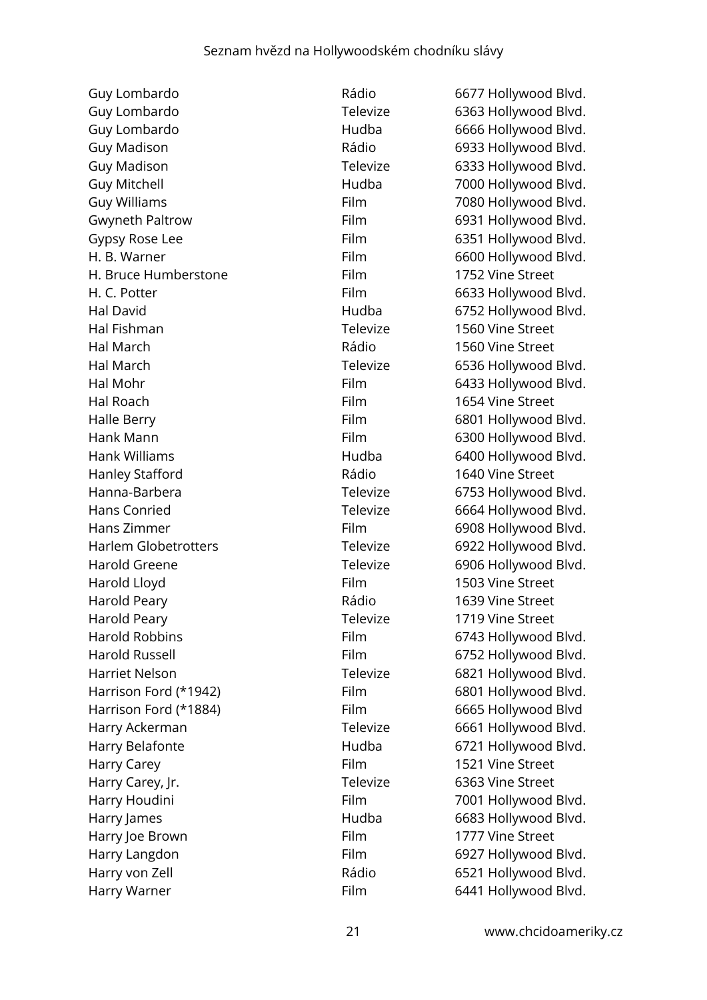Guy Lombardo **Example 26 Fisher Contract Contract Contract Contract Contract Contract Contract Contract Contract Contract Contract Contract Contract Contract Contract Contract Contract Contract Contract Contract Contract C** Guy Lombardo Televize 6363 Hollywood Blvd. Guy Lombardo **Figure 10. Hudba** 6666 Hollywood Blvd. Guy Madison **Guy Madison** Rádio 6933 Hollywood Blvd. Guy Madison Televize 6333 Hollywood Blvd. Guy Mitchell Hudba 7000 Hollywood Blvd. Guy Williams **Film** Film 7080 Hollywood Blvd. Gwyneth Paltrow Film Film 6931 Hollywood Blvd. Gypsy Rose Lee Film 6351 Hollywood Blvd. H. B. Warner **Film** Film 6600 Hollywood Blvd. H. Bruce Humberstone Film Film 1752 Vine Street H. C. Potter **Film** 6633 Hollywood Blvd. Hal David **Hudba Hudba** 6752 Hollywood Blvd. Hal Fishman Televize 1560 Vine Street Hal March Rádio 1560 Vine Street Hal March **Televize** 6536 Hollywood Blvd. Hal Mohr Film 6433 Hollywood Blvd. Hal Roach **Film** Film 1654 Vine Street Halle Berry **Film** 6801 Hollywood Blvd. Hank Mann **Film** Film 6300 Hollywood Blvd. Hank Williams **Hudba Hudba** 6400 Hollywood Blvd. Hanley Stafford **1640** Vine Street Hanna-Barbera **Televize** 6753 Hollywood Blvd. Hans Conried **Televize** 6664 Hollywood Blvd. Hans Zimmer Film 6908 Hollywood Blvd. Harlem Globetrotters Televize 6922 Hollywood Blvd. Harold Greene Televize 6906 Hollywood Blvd. Harold Lloyd **Film** 1503 Vine Street Harold Peary **National Community Property** Rádio 1639 Vine Street Harold Peary **Televize** 1719 Vine Street Harold Robbins **Film** 6743 Hollywood Blvd. Harold Russell **Film** 6752 Hollywood Blvd. Harriet Nelson **Netwood Blvd.** Televize 6821 Hollywood Blvd. Harrison Ford (\*1942) Film 6801 Hollywood Blvd. Harrison Ford (\*1884) Film 6665 Hollywood Blvd Harry Ackerman Televize 6661 Hollywood Blvd. Harry Belafonte **Hudba** 6721 Hollywood Blvd. Harry Carey **Film** 1521 Vine Street Harry Carey, Jr. **Example 20 Franch Carey, Inc.** Televize 6363 Vine Street Harry Houdini **Film** Film 7001 Hollywood Blvd. Harry James **Hudba** Hudba 6683 Hollywood Blvd. Harry Joe Brown **Film** Film 1777 Vine Street Harry Langdon Film Film 6927 Hollywood Blvd. Harry von Zell **Example 2018** Rádio 6521 Hollywood Blvd. Harry Warner **Film** Film 6441 Hollywood Blvd.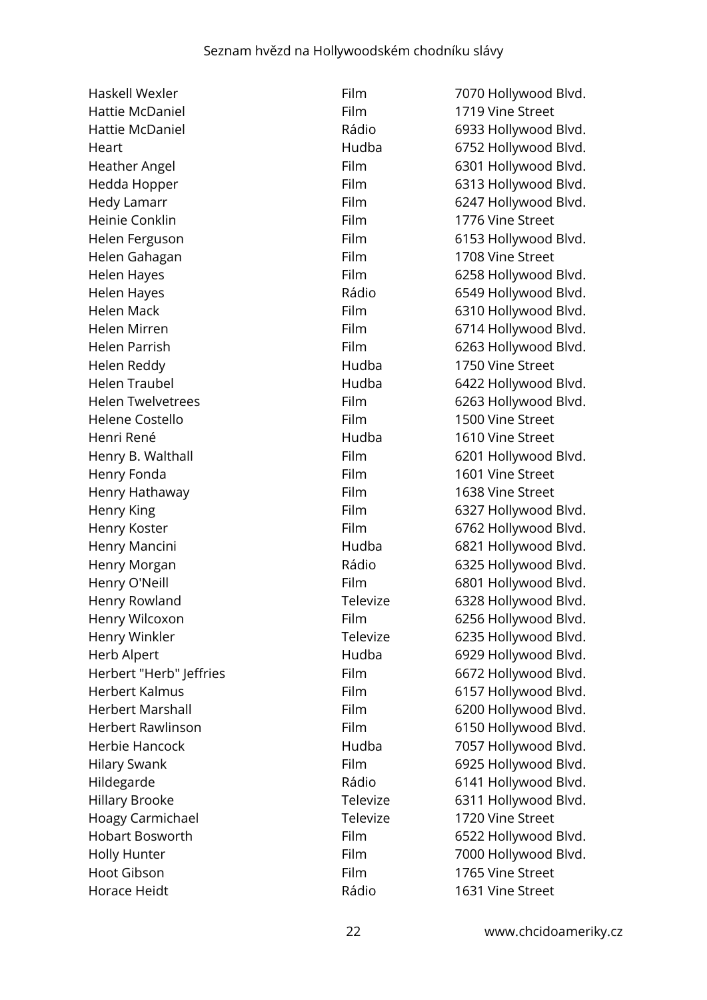| Haskell Wexler           | Film        | 7070 Hollywood Blvd. |
|--------------------------|-------------|----------------------|
| Hattie McDaniel          | Film        | 1719 Vine Street     |
| Hattie McDaniel          | Rádio       | 6933 Hollywood Blvd. |
| Heart                    | Hudba       | 6752 Hollywood Blvd. |
| Heather Angel            | Film        | 6301 Hollywood Blvd. |
| Hedda Hopper             | Film        | 6313 Hollywood Blvd. |
| <b>Hedy Lamarr</b>       | Film        | 6247 Hollywood Blvd. |
| Heinie Conklin           | Film        | 1776 Vine Street     |
| Helen Ferguson           | Film        | 6153 Hollywood Blvd. |
| Helen Gahagan            | Film        | 1708 Vine Street     |
| <b>Helen Hayes</b>       | Film        | 6258 Hollywood Blvd. |
| Helen Hayes              | Rádio       | 6549 Hollywood Blvd. |
| <b>Helen Mack</b>        | Film        | 6310 Hollywood Blvd. |
| Helen Mirren             | Film        | 6714 Hollywood Blvd. |
| Helen Parrish            | Film        | 6263 Hollywood Blvd. |
| Helen Reddy              | Hudba       | 1750 Vine Street     |
| <b>Helen Traubel</b>     | Hudba       | 6422 Hollywood Blvd. |
| <b>Helen Twelvetrees</b> | Film        | 6263 Hollywood Blvd. |
| Helene Costello          | Film        | 1500 Vine Street     |
| Henri René               | Hudba       | 1610 Vine Street     |
| Henry B. Walthall        | Film        | 6201 Hollywood Blvd. |
| Henry Fonda              | Film        | 1601 Vine Street     |
| Henry Hathaway           | <b>Film</b> | 1638 Vine Street     |
| Henry King               | Film        | 6327 Hollywood Blvd. |
| Henry Koster             | Film        | 6762 Hollywood Blvd. |
| Henry Mancini            | Hudba       | 6821 Hollywood Blvd. |
| Henry Morgan             | Rádio       | 6325 Hollywood Blvd. |
| Henry O'Neill            | Film        | 6801 Hollywood Blvd. |
| Henry Rowland            | Televize    | 6328 Hollywood Blvd. |
| Henry Wilcoxon           | Film        | 6256 Hollywood Blvd. |
| Henry Winkler            | Televize    | 6235 Hollywood Blvd. |
| Herb Alpert              | Hudba       | 6929 Hollywood Blvd. |
| Herbert "Herb" Jeffries  | Film        | 6672 Hollywood Blvd. |
| Herbert Kalmus           | Film        | 6157 Hollywood Blvd. |
| <b>Herbert Marshall</b>  | Film        | 6200 Hollywood Blvd. |
| <b>Herbert Rawlinson</b> | Film        | 6150 Hollywood Blvd. |
| Herbie Hancock           | Hudba       | 7057 Hollywood Blvd. |
| <b>Hilary Swank</b>      | Film        | 6925 Hollywood Blvd. |
| Hildegarde               | Rádio       | 6141 Hollywood Blvd. |
| <b>Hillary Brooke</b>    | Televize    | 6311 Hollywood Blvd. |
| Hoagy Carmichael         | Televize    | 1720 Vine Street     |
| <b>Hobart Bosworth</b>   | Film        | 6522 Hollywood Blvd. |
| <b>Holly Hunter</b>      | Film        | 7000 Hollywood Blvd. |
| <b>Hoot Gibson</b>       | Film        | 1765 Vine Street     |
| Horace Heidt             | Rádio       | 1631 Vine Street     |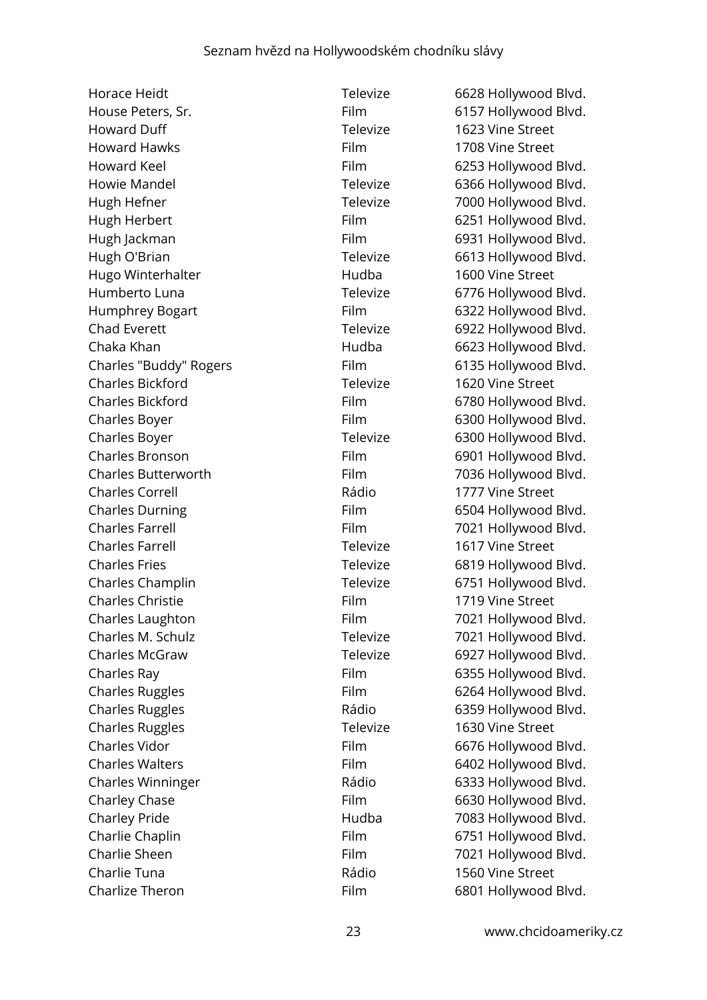Horace Heidt **Televize** 6628 Hollywood Blvd. House Peters, Sr. The Community School Blvd. Film 6157 Hollywood Blvd. Howard Duff Televize 1623 Vine Street Howard Hawks Film 1708 Vine Street Howard Keel **Film** 6253 Hollywood Blvd. Howie Mandel **Televize** 6366 Hollywood Blvd. Hugh Hefner Televize Televize 7000 Hollywood Blvd. Hugh Herbert **Film** 6251 Hollywood Blvd. Hugh Jackman Film Film 6931 Hollywood Blvd. Hugh O'Brian Televize 6613 Hollywood Blvd. Hugo Winterhalter **Hudba** 1600 Vine Street Humberto Luna Televize 6776 Hollywood Blvd. Humphrey Bogart Film 6322 Hollywood Blvd. Chad Everett **Televize** 6922 Hollywood Blvd. Chaka Khan **Example 2018** Hudba 6623 Hollywood Blvd. Charles "Buddy" Rogers Film 6135 Hollywood Blvd. Charles Bickford Televize 1620 Vine Street Charles Bickford Film 6780 Hollywood Blvd. Charles Boyer Film 6300 Hollywood Blvd. Charles Boyer Televize 6300 Hollywood Blvd. Charles Bronson Film 6901 Hollywood Blvd. Charles Butterworth Film Film 7036 Hollywood Blvd. Charles Correll Rádio 1777 Vine Street Charles Durning Film 6504 Hollywood Blvd. Charles Farrell Film 7021 Hollywood Blvd. Charles Farrell Televize 1617 Vine Street Charles Fries Televize Fries Charles Fries Charles Fries Charles Champlin Televize 6751 Hollywood Blvd. Charles Christie Film 1719 Vine Street Charles Laughton Film 7021 Hollywood Blvd. Charles M. Schulz Televize 7021 Hollywood Blvd. Charles McGraw Televize 6927 Hollywood Blvd. Charles Ray **Film** 6355 Hollywood Blvd. Charles Ruggles Film 6264 Hollywood Blvd. Charles Ruggles **Charles Ruggles** Rádio 6359 Hollywood Blvd. Charles Ruggles Televize 1630 Vine Street Charles Vidor **Film** 6676 Hollywood Blvd. Charles Walters **Film** 6402 Hollywood Blvd. Charles Winninger **Charles Winninger** Rádio 6333 Hollywood Blvd. Charley Chase Film 6630 Hollywood Blvd. Charley Pride **Figure 2008** Hudba 7083 Hollywood Blvd. Charlie Chaplin Film Film 6751 Hollywood Blvd. Charlie Sheen Film Film 7021 Hollywood Blvd. Charlie Tuna **1560 Vine Street** Rádio 1560 Vine Street Charlize Theron Film 6801 Hollywood Blvd.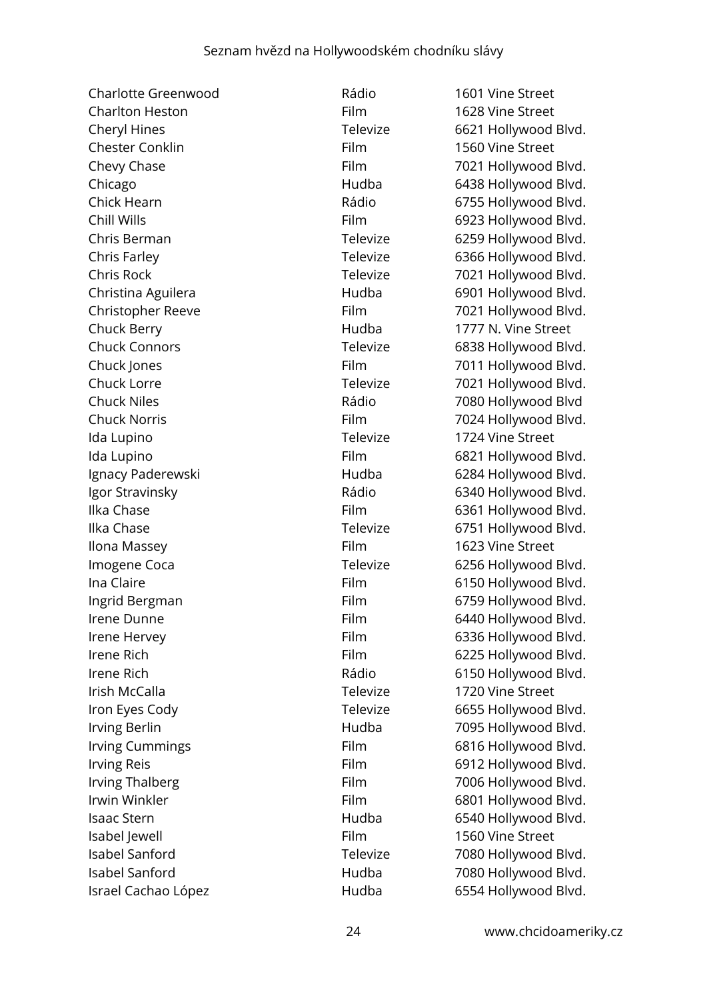| Charlotte Greenwood      | Rádio    | 1601 Vine Street     |
|--------------------------|----------|----------------------|
| <b>Charlton Heston</b>   | Film     | 1628 Vine Street     |
| Cheryl Hines             | Televize | 6621 Hollywood Blvd. |
| <b>Chester Conklin</b>   | Film     | 1560 Vine Street     |
| Chevy Chase              | Film     | 7021 Hollywood Blvd. |
| Chicago                  | Hudba    | 6438 Hollywood Blvd. |
| Chick Hearn              | Rádio    | 6755 Hollywood Blvd. |
| Chill Wills              | Film     | 6923 Hollywood Blvd. |
| Chris Berman             | Televize | 6259 Hollywood Blvd. |
| Chris Farley             | Televize | 6366 Hollywood Blvd. |
| Chris Rock               | Televize | 7021 Hollywood Blvd. |
| Christina Aguilera       | Hudba    | 6901 Hollywood Blvd. |
| <b>Christopher Reeve</b> | Film     | 7021 Hollywood Blvd. |
| Chuck Berry              | Hudba    | 1777 N. Vine Street  |
| <b>Chuck Connors</b>     | Televize | 6838 Hollywood Blvd. |
| Chuck Jones              | Film     | 7011 Hollywood Blvd. |
| Chuck Lorre              | Televize | 7021 Hollywood Blvd. |
| <b>Chuck Niles</b>       | Rádio    | 7080 Hollywood Blvd  |
| <b>Chuck Norris</b>      | Film     | 7024 Hollywood Blvd. |
| Ida Lupino               | Televize | 1724 Vine Street     |
| Ida Lupino               | Film     | 6821 Hollywood Blvd. |
| Ignacy Paderewski        | Hudba    | 6284 Hollywood Blvd. |
| Igor Stravinsky          | Rádio    | 6340 Hollywood Blvd. |
| Ilka Chase               | Film     | 6361 Hollywood Blvd. |
| Ilka Chase               | Televize | 6751 Hollywood Blvd. |
| Ilona Massey             | Film     | 1623 Vine Street     |
| Imogene Coca             | Televize | 6256 Hollywood Blvd. |
| Ina Claire               | Film     | 6150 Hollywood Blvd. |
| Ingrid Bergman           | Film     | 6759 Hollywood Blvd. |
| Irene Dunne              | Film     | 6440 Hollywood Blvd. |
| Irene Hervey             | Film     | 6336 Hollywood Blvd. |
| Irene Rich               | Film     | 6225 Hollywood Blvd. |
| Irene Rich               | Rádio    | 6150 Hollywood Blvd. |
| Irish McCalla            | Televize | 1720 Vine Street     |
| Iron Eyes Cody           | Televize | 6655 Hollywood Blvd. |
| Irving Berlin            | Hudba    | 7095 Hollywood Blvd. |
| Irving Cummings          | Film     | 6816 Hollywood Blvd. |
| <b>Irving Reis</b>       | Film     | 6912 Hollywood Blvd. |
| <b>Irving Thalberg</b>   | Film     | 7006 Hollywood Blvd. |
| Irwin Winkler            | Film     | 6801 Hollywood Blvd. |
| <b>Isaac Stern</b>       | Hudba    | 6540 Hollywood Blvd. |
| Isabel Jewell            | Film     | 1560 Vine Street     |
| <b>Isabel Sanford</b>    | Televize | 7080 Hollywood Blvd. |
| Isabel Sanford           | Hudba    | 7080 Hollywood Blvd. |
| Israel Cachao López      | Hudba    | 6554 Hollywood Blvd. |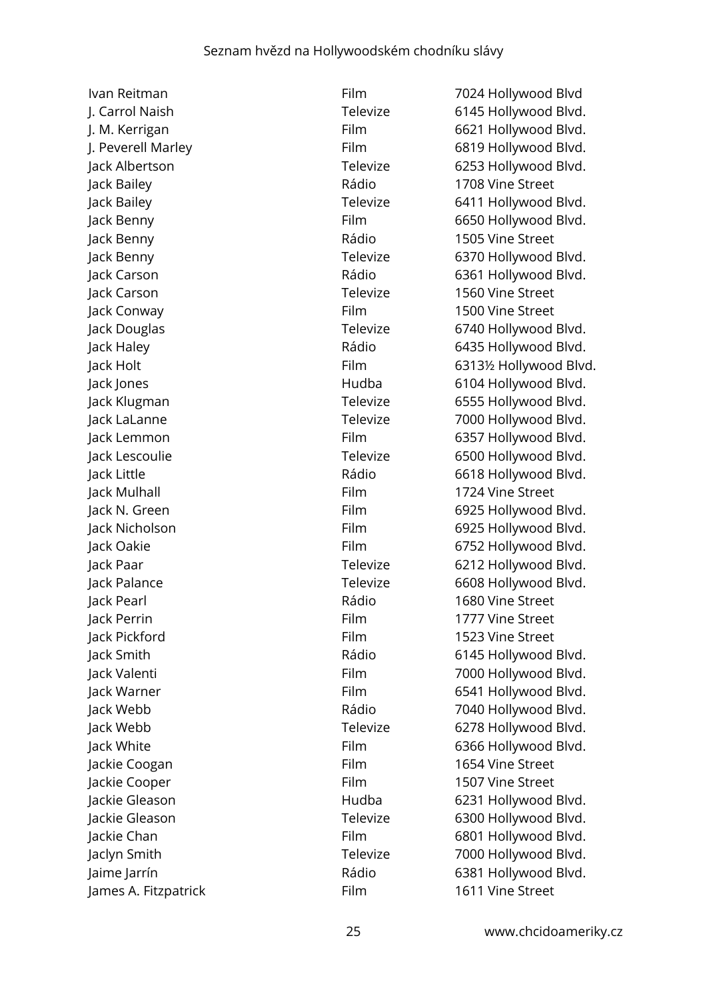Jack Bailey **National Street** Rádio 1708 Vine Street Jack Benny Rádio 1505 Vine Street Jack Carson Televize 1560 Vine Street Jack Conway Film 1500 Vine Street Jack Mulhall Film 1724 Vine Street Jack Pearl Rádio 1680 Vine Street Jack Perrin Film 1777 Vine Street Jack Pickford Film 1523 Vine Street Jackie Coogan **Film** Film 1654 Vine Street Jackie Cooper **Film** 1507 Vine Street

Ivan Reitman Film 7024 Hollywood Blvd J. Carrol Naish Televize 6145 Hollywood Blvd. 1. M. Kerrigan **Film** Film 6621 Hollywood Blvd. J. Peverell Marley **Film** 6819 Hollywood Blvd. Jack Albertson Televize 6253 Hollywood Blvd. Jack Bailey Televize 6411 Hollywood Blvd. Jack Benny Film 6650 Hollywood Blvd. Jack Benny Televize 6370 Hollywood Blvd. Jack Carson Rádio 6361 Hollywood Blvd. Jack Douglas Televize 6740 Hollywood Blvd. Jack Haley Rádio 6435 Hollywood Blvd. Jack Holt Film 6313½ Hollywood Blvd. Jack Jones Hudba 6104 Hollywood Blvd. Jack Klugman Televize 6555 Hollywood Blvd. Jack LaLanne Televize 7000 Hollywood Blvd. Jack Lemmon Film 6357 Hollywood Blvd. Jack Lescoulie Televize 6500 Hollywood Blvd. Jack Little Rádio 6618 Hollywood Blvd. Jack N. Green Film 6925 Hollywood Blvd. Jack Nicholson Film 6925 Hollywood Blvd. Jack Oakie Film 6752 Hollywood Blvd. Jack Paar **Televize** 6212 Hollywood Blvd. Jack Palance **Televize** 6608 Hollywood Blvd. Jack Smith Rádio 6145 Hollywood Blvd. Jack Valenti Film 7000 Hollywood Blvd. Jack Warner Film 6541 Hollywood Blvd. Jack Webb Rádio 7040 Hollywood Blvd. Jack Webb Televize 6278 Hollywood Blvd. Jack White Film 6366 Hollywood Blvd. Jackie Gleason Hudba 6231 Hollywood Blvd. Jackie Gleason Televize 6300 Hollywood Blvd. Jackie Chan Film 6801 Hollywood Blvd. Jaclyn Smith Televize 7000 Hollywood Blvd. Jaime Jarrín Rádio 6381 Hollywood Blvd. James A. Fitzpatrick Film Film 1611 Vine Street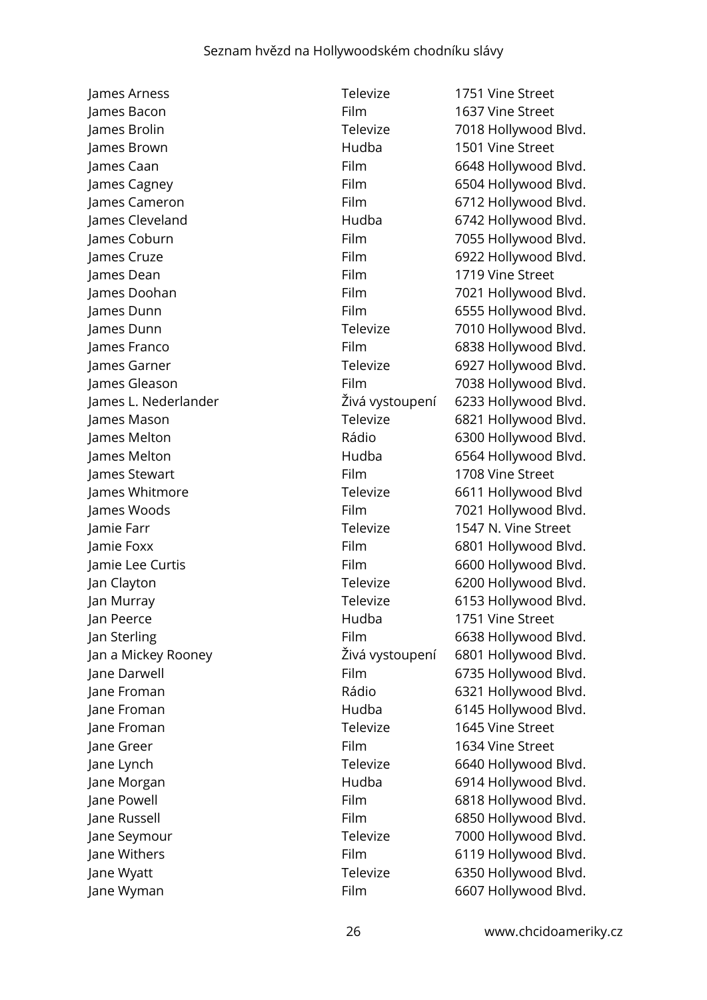James Arness Televize 1751 Vine Street James Bacon Film 1637 Vine Street James Brown Hudba 1501 Vine Street James Dean Film 1719 Vine Street James Stewart **Film** Film 1708 Vine Street Jamie Farr Televize 1547 N. Vine Street Jan Peerce Hudba 1751 Vine Street Jane Froman Televize 1645 Vine Street ane Greer Film 1634 Vine Street Jane Wyman Film 6607 Hollywood Blvd.

James Brolin Televize 7018 Hollywood Blvd. James Caan Film 6648 Hollywood Blvd. James Cagney **Film** 6504 Hollywood Blvd. James Cameron Film 6712 Hollywood Blvd. James Cleveland **Figure 2018** Hudba 6742 Hollywood Blvd. James Coburn Film Film 7055 Hollywood Blvd. James Cruze Film 6922 Hollywood Blvd. James Doohan Film 7021 Hollywood Blvd. James Dunn Film 6555 Hollywood Blvd. James Dunn Televize 7010 Hollywood Blvd. James Franco **Film** Film 6838 Hollywood Blvd. James Garner Televize 6927 Hollywood Blvd. James Gleason Film 7038 Hollywood Blvd. James L. Nederlander Živá vystoupení 6233 Hollywood Blvd. James Mason Televize 6821 Hollywood Blvd. James Melton Rádio 6300 Hollywood Blvd. James Melton Hudba 6564 Hollywood Blvd. James Whitmore Televize 6611 Hollywood Blvd James Woods **Film** 7021 Hollywood Blvd. Jamie Foxx Film 6801 Hollywood Blvd. Jamie Lee Curtis **Film** 6600 Hollywood Blvd. Jan Clayton Televize 6200 Hollywood Blvd. Jan Murray Televize 6153 Hollywood Blvd. Jan Sterling The Communication of the Film Film 6638 Hollywood Blvd. Jan a Mickey Rooney Živá vystoupení 6801 Hollywood Blvd. Jane Darwell **Film** 6735 Hollywood Blvd. Jane Froman Rádio 6321 Hollywood Blvd. Jane Froman Hudba 6145 Hollywood Blvd. Jane Lynch Televize 6640 Hollywood Blvd. Jane Morgan **Hudba** Hudba 6914 Hollywood Blvd. Jane Powell Film 6818 Hollywood Blvd. Jane Russell Film 6850 Hollywood Blvd. Jane Seymour **Televize** 7000 Hollywood Blvd. Jane Withers **Film** Film 6119 Hollywood Blvd. Jane Wyatt Televize 6350 Hollywood Blvd.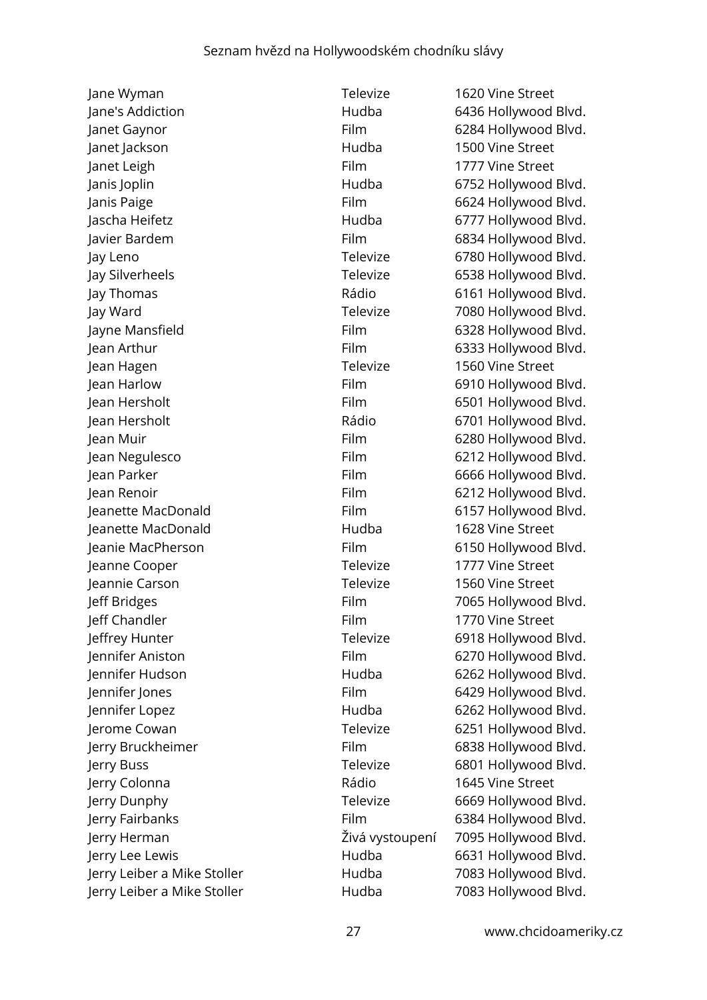Jane Wyman Televize 1620 Vine Street Jane's Addiction **Figure 1 Contract Contract Addiction** Hudba 6436 Hollywood Blvd. Janet Gaynor Film 6284 Hollywood Blvd. Janet Jackson **Hudba** 1500 Vine Street Janet Leigh Film 1777 Vine Street Janis Joplin Hudba 6752 Hollywood Blvd. Janis Paige Film 6624 Hollywood Blvd. Jascha Heifetz Hudba 6777 Hollywood Blvd. Javier Bardem **Film** Film 6834 Hollywood Blvd. Jay Leno Televize 6780 Hollywood Blvd. Jay Silverheels **Televize** 6538 Hollywood Blvd. Jay Thomas Rádio 6161 Hollywood Blvd. Jay Ward Televize 7080 Hollywood Blvd. Jayne Mansfield **Film** 6328 Hollywood Blvd. Jean Arthur Film 6333 Hollywood Blvd. Jean Hagen Televize 1560 Vine Street Jean Harlow Film 6910 Hollywood Blvd. Jean Hersholt Film 6501 Hollywood Blvd. Jean Hersholt Rádio 6701 Hollywood Blvd. Jean Muir Film 6280 Hollywood Blvd. Jean Negulesco **Film** 6212 Hollywood Blvd. Jean Parker Film 6666 Hollywood Blvd. Jean Renoir Film 6212 Hollywood Blvd. Jeanette MacDonald Film 6157 Hollywood Blvd. Jeanette MacDonald Hudba 1628 Vine Street Jeanie MacPherson Film 6150 Hollywood Blvd. Jeanne Cooper Televize 1777 Vine Street Jeannie Carson Televize 1560 Vine Street Jeff Bridges Film 7065 Hollywood Blvd. Jeff Chandler Film 1770 Vine Street Jeffrey Hunter Televize 6918 Hollywood Blvd. Jennifer Aniston Film 6270 Hollywood Blvd. Jennifer Hudson **Hudba** 6262 Hollywood Blvd. Jennifer Jones Film 6429 Hollywood Blvd. Jennifer Lopez **Hudba** 6262 Hollywood Blvd. Jerome Cowan Televize 6251 Hollywood Blvd. Jerry Bruckheimer Film 6838 Hollywood Blvd. Jerry Buss Televize 6801 Hollywood Blvd. Jerry Colonna **1645** Vine Street Jerry Dunphy Televize 6669 Hollywood Blvd. Jerry Fairbanks Film 6384 Hollywood Blvd. Jerry Herman Živá vystoupení 7095 Hollywood Blvd. Jerry Lee Lewis Hudba 6631 Hollywood Blvd. Jerry Leiber a Mike Stoller **Hudba** 7083 Hollywood Blvd. Jerry Leiber a Mike Stoller **Hudba** 7083 Hollywood Blvd.

27 www.chcidoameriky.cz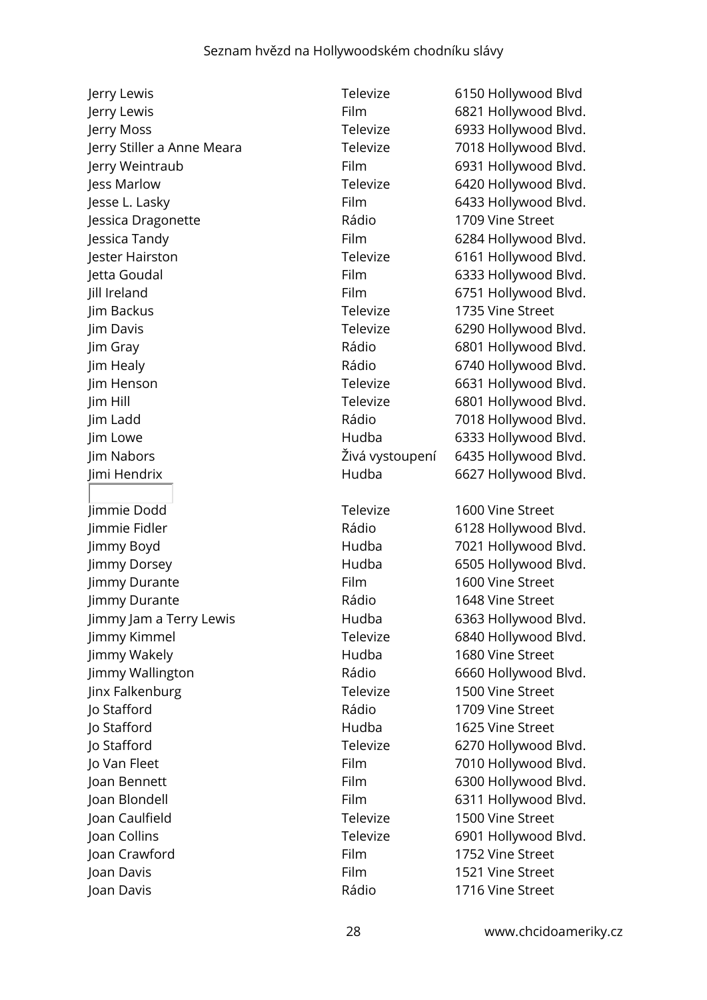Jerry Lewis Televize 6150 Hollywood Blvd Jerry Lewis Film 6821 Hollywood Blvd. Jerry Moss Televize 6933 Hollywood Blvd. Jerry Stiller a Anne Meara Televize 7018 Hollywood Blvd. Jerry Weintraub Film 6931 Hollywood Blvd. Jess Marlow Televize 6420 Hollywood Blvd. Jesse L. Lasky Film 6433 Hollywood Blvd. Jessica Dragonette Rádio 1709 Vine Street Jessica Tandy Film 6284 Hollywood Blvd. Jester Hairston Televize 6161 Hollywood Blvd. Jetta Goudal Film 6333 Hollywood Blvd. Jill Ireland Film 6751 Hollywood Blvd. Jim Backus Televize 1735 Vine Street Jim Davis Televize 6290 Hollywood Blvd. Jim Gray Rádio 6801 Hollywood Blvd. Jim Healy Rádio 6740 Hollywood Blvd. Jim Henson Televize 6631 Hollywood Blvd. Jim Hill Televize 6801 Hollywood Blvd. Jim Ladd Rádio 7018 Hollywood Blvd. Jim Lowe Hudba 6333 Hollywood Blvd. Jim Nabors Živá vystoupení 6435 Hollywood Blvd. Jimi Hendrix Hudba 6627 Hollywood Blvd. Jimmie Dodd Televize 1600 Vine Street Jimmie Fidler Rádio 6128 Hollywood Blvd. Jimmy Boyd Hudba 7021 Hollywood Blvd. Jimmy Dorsey Hudba 6505 Hollywood Blvd. Jimmy Durante **Film** Film 1600 Vine Street Jimmy Durante Rádio 1648 Vine Street Jimmy Jam a Terry Lewis **Hudba** 6363 Hollywood Blvd. Jimmy Kimmel Televize 6840 Hollywood Blvd. Jimmy Wakely **All and Street** Hudba 1680 Vine Street Jimmy Wallington Rádio 6660 Hollywood Blvd. Jinx Falkenburg **Televize** 1500 Vine Street Jo Stafford Rádio 1709 Vine Street Jo Stafford Hudba 1625 Vine Street Jo Stafford Televize 6270 Hollywood Blvd. Jo Van Fleet Film 7010 Hollywood Blvd. Joan Bennett Film 6300 Hollywood Blvd. Joan Blondell Film 6311 Hollywood Blvd. Joan Caulfield Televize 1500 Vine Street Joan Collins Televize 6901 Hollywood Blvd. Joan Crawford Film 1752 Vine Street Joan Davis Film 1521 Vine Street Joan Davis Rádio 1716 Vine Street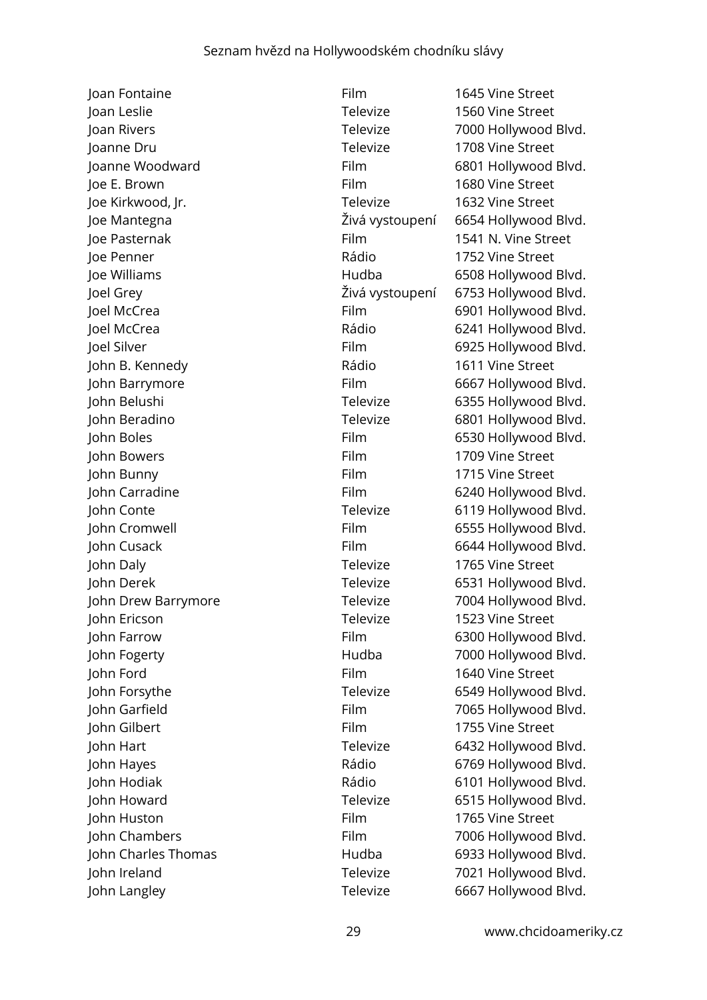Joan Fontaine Film 1645 Vine Street Joan Leslie Televize 1560 Vine Street Joan Rivers Televize 7000 Hollywood Blvd. Joanne Dru Televize 1708 Vine Street Joanne Woodward Film 6801 Hollywood Blvd. Joe E. Brown Film 1680 Vine Street Joe Kirkwood, Jr. Televize 1632 Vine Street Joe Mantegna Živá vystoupení 6654 Hollywood Blvd. Joe Pasternak Film 1541 N. Vine Street Joe Penner Rádio 1752 Vine Street Joe Williams Hudba 6508 Hollywood Blvd. Joel Grey Živá vystoupení 6753 Hollywood Blvd. Joel McCrea Film 6901 Hollywood Blvd. Joel McCrea Rádio 6241 Hollywood Blvd. Joel Silver Film 6925 Hollywood Blvd. John B. Kennedy Rádio 1611 Vine Street John Barrymore Film 6667 Hollywood Blvd. John Belushi Televize 6355 Hollywood Blvd. John Beradino Televize 6801 Hollywood Blvd. John Boles **Film** 6530 Hollywood Blvd. John Bowers Film 1709 Vine Street John Bunny Film 1715 Vine Street John Carradine Film 6240 Hollywood Blvd. John Conte **Televize** 6119 Hollywood Blvd. John Cromwell Film 6555 Hollywood Blvd. John Cusack Film 6644 Hollywood Blvd. John Daly Televize 1765 Vine Street John Derek Televize 6531 Hollywood Blvd. John Drew Barrymore Televize 7004 Hollywood Blvd. John Ericson Televize 1523 Vine Street John Farrow Film 6300 Hollywood Blvd. John Fogerty **Markow Hudba** 7000 Hollywood Blvd. John Ford Film 1640 Vine Street John Forsythe Televize 6549 Hollywood Blvd. John Garfield Film 7065 Hollywood Blvd. John Gilbert Film 1755 Vine Street John Hart Televize 6432 Hollywood Blvd. John Hayes Rádio 6769 Hollywood Blvd. John Hodiak **Marson Company Rádio** 6101 Hollywood Blvd. John Howard Televize 6515 Hollywood Blvd. John Huston Film 1765 Vine Street John Chambers Film 7006 Hollywood Blvd. John Charles Thomas **Hudba** 6933 Hollywood Blvd. John Ireland Televize 7021 Hollywood Blvd. John Langley Televize 6667 Hollywood Blvd.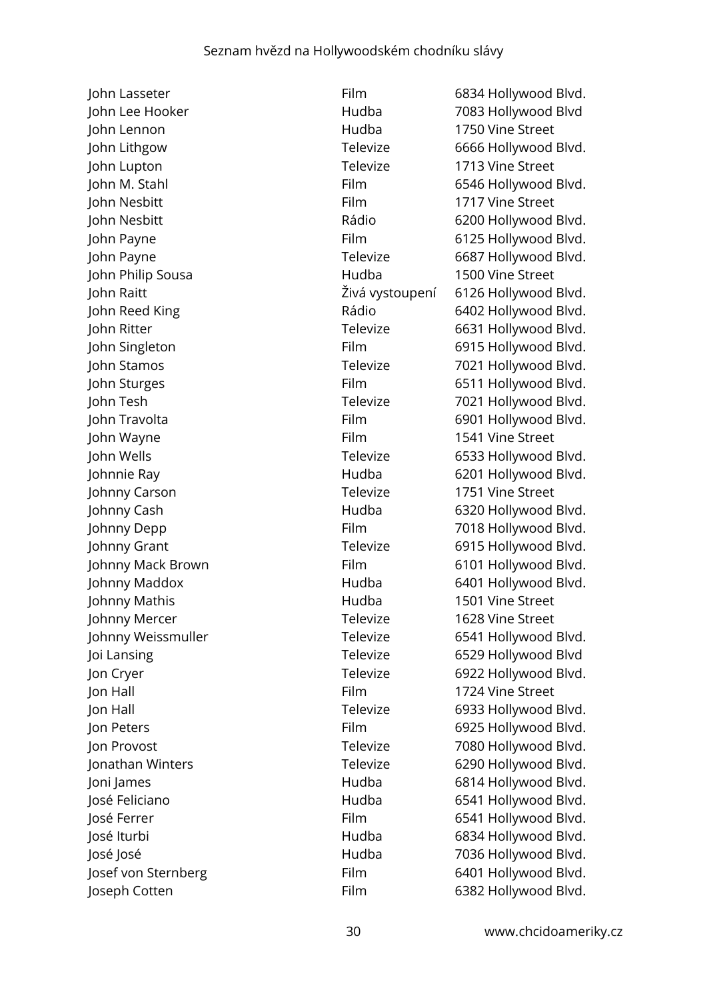John Lasseter **Film** 6834 Hollywood Blvd. John Lennon Hudba 1750 Vine Street John Lupton Televize 1713 Vine Street John Nesbitt Film 1717 Vine Street John Philip Sousa **1500** Vine Street John Wayne Film 1541 Vine Street Johnny Carson Televize 1751 Vine Street Johnny Mathis **1501** Vine Street Johnny Mercer Televize 1628 Vine Street Jon Hall Film 1724 Vine Street Joseph Cotten Film 6382 Hollywood Blvd.

John Lee Hooker Hudba 7083 Hollywood Blvd John Lithgow Televize 6666 Hollywood Blvd. John M. Stahl Film 6546 Hollywood Blvd. John Nesbitt Rádio 6200 Hollywood Blvd. John Payne **Film** 6125 Hollywood Blvd. John Payne Televize 6687 Hollywood Blvd. John Raitt Živá vystoupení 6126 Hollywood Blvd. John Reed King **National Rádio 6402 Hollywood Blvd.** John Ritter Televize 6631 Hollywood Blvd. John Singleton **Film** 6915 Hollywood Blvd. John Stamos Televize 7021 Hollywood Blvd. John Sturges **Film** 6511 Hollywood Blvd. John Tesh Televize 7021 Hollywood Blvd. John Travolta **Film** Film 6901 Hollywood Blvd. John Wells Televize 6533 Hollywood Blvd. Johnnie Ray **Hudba** 6201 Hollywood Blvd. Johnny Cash **Hudba** 6320 Hollywood Blvd. Johnny Depp **Film** Film 7018 Hollywood Blvd. Johnny Grant Televize 6915 Hollywood Blvd. Johnny Mack Brown Film Film 6101 Hollywood Blvd. Johnny Maddox Hudba 6401 Hollywood Blvd. Johnny Weissmuller Televize 6541 Hollywood Blvd. Joi Lansing Televize 6529 Hollywood Blvd Jon Cryer Televize 6922 Hollywood Blvd. Jon Hall Televize 6933 Hollywood Blvd. Jon Peters **Film** 6925 Hollywood Blvd. Jon Provost Televize 7080 Hollywood Blvd. Jonathan Winters Televize 6290 Hollywood Blvd. Joni James **Hudba** Hudba 6814 Hollywood Blvd. José Feliciano Hudba 6541 Hollywood Blvd. José Ferrer Film 6541 Hollywood Blvd. José Iturbi Hudba 6834 Hollywood Blvd. José José National Albert Hudba 2036 Hollywood Blvd. Josef von Sternberg Film 6401 Hollywood Blvd.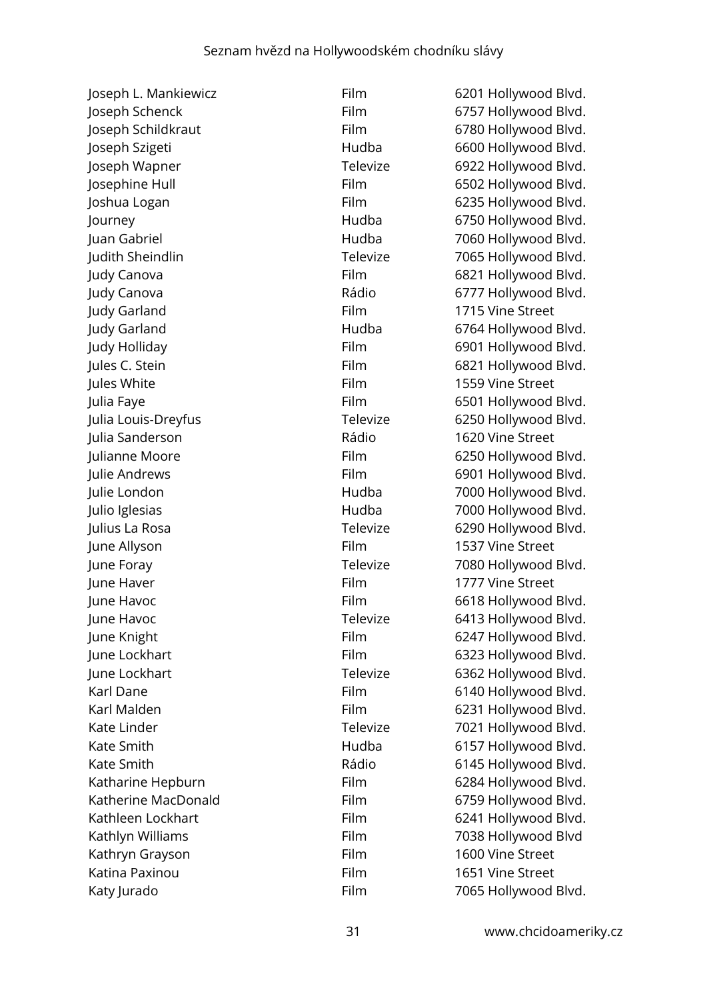| Joseph L. Mankiewicz | Film     | 6201 Hollywood Blvd. |
|----------------------|----------|----------------------|
| Joseph Schenck       | Film     | 6757 Hollywood Blvd. |
| Joseph Schildkraut   | Film     | 6780 Hollywood Blvd. |
| Joseph Szigeti       | Hudba    | 6600 Hollywood Blvd. |
| Joseph Wapner        | Televize | 6922 Hollywood Blvd. |
| Josephine Hull       | Film     | 6502 Hollywood Blvd. |
| Joshua Logan         | Film     | 6235 Hollywood Blvd. |
| Journey              | Hudba    | 6750 Hollywood Blvd. |
| Juan Gabriel         | Hudba    | 7060 Hollywood Blvd. |
| Judith Sheindlin     | Televize | 7065 Hollywood Blvd. |
| Judy Canova          | Film     | 6821 Hollywood Blvd. |
| Judy Canova          | Rádio    | 6777 Hollywood Blvd. |
| Judy Garland         | Film     | 1715 Vine Street     |
| Judy Garland         | Hudba    | 6764 Hollywood Blvd. |
| Judy Holliday        | Film     | 6901 Hollywood Blvd. |
| Jules C. Stein       | Film     | 6821 Hollywood Blvd. |
| Jules White          | Film     | 1559 Vine Street     |
| Julia Faye           | Film     | 6501 Hollywood Blvd. |
| Julia Louis-Dreyfus  | Televize | 6250 Hollywood Blvd. |
| Julia Sanderson      | Rádio    | 1620 Vine Street     |
| Julianne Moore       | Film     | 6250 Hollywood Blvd. |
| Julie Andrews        | Film     | 6901 Hollywood Blvd. |
| Julie London         | Hudba    | 7000 Hollywood Blvd. |
| Julio Iglesias       | Hudba    | 7000 Hollywood Blvd. |
| Julius La Rosa       | Televize | 6290 Hollywood Blvd. |
| June Allyson         | Film     | 1537 Vine Street     |
| June Foray           | Televize | 7080 Hollywood Blvd. |
| June Haver           | Film     | 1777 Vine Street     |
| June Havoc           | Film     | 6618 Hollywood Blvd. |
| June Havoc           | Televize | 6413 Hollywood Blvd. |
| June Knight          | Film     | 6247 Hollywood Blvd. |
| June Lockhart        | Film     | 6323 Hollywood Blvd. |
| June Lockhart        | Televize | 6362 Hollywood Blvd. |
| Karl Dane            | Film     | 6140 Hollywood Blvd. |
| Karl Malden          | Film     | 6231 Hollywood Blvd. |
| Kate Linder          | Televize | 7021 Hollywood Blvd. |
| Kate Smith           | Hudba    | 6157 Hollywood Blvd. |
| Kate Smith           | Rádio    | 6145 Hollywood Blvd. |
| Katharine Hepburn    | Film     | 6284 Hollywood Blvd. |
| Katherine MacDonald  | Film     | 6759 Hollywood Blvd. |
| Kathleen Lockhart    | Film     | 6241 Hollywood Blvd. |
| Kathlyn Williams     | Film     | 7038 Hollywood Blvd  |
| Kathryn Grayson      | Film     | 1600 Vine Street     |
| Katina Paxinou       | Film     | 1651 Vine Street     |
| Katy Jurado          | Film     | 7065 Hollywood Blvd. |

| ilm     |  |
|---------|--|
| ilm     |  |
| ilm     |  |
| ludba   |  |
| elevize |  |
| ilm     |  |
| ilm     |  |
| ludba   |  |
| ludba   |  |
| elevize |  |
| ilm     |  |
| ádio    |  |
| ilm     |  |
| ludba   |  |
| ilm     |  |
| ilm     |  |
| ilm     |  |
| ilm     |  |
| elevize |  |
| ádio    |  |
| ilm     |  |
| ilm     |  |
| ludba   |  |
| ludba   |  |
| elevize |  |
| ilm     |  |
| elevize |  |
| ilm     |  |
| ilm     |  |
| elevize |  |
| ilm     |  |
| ilm     |  |
| elevize |  |
| ilm     |  |
| ilm     |  |
| elevize |  |
| ludba   |  |
| ádio    |  |
| ilm     |  |
| ilm     |  |
| ilm     |  |
| ilm     |  |
| ilm     |  |
| ilm     |  |
| ilm     |  |
|         |  |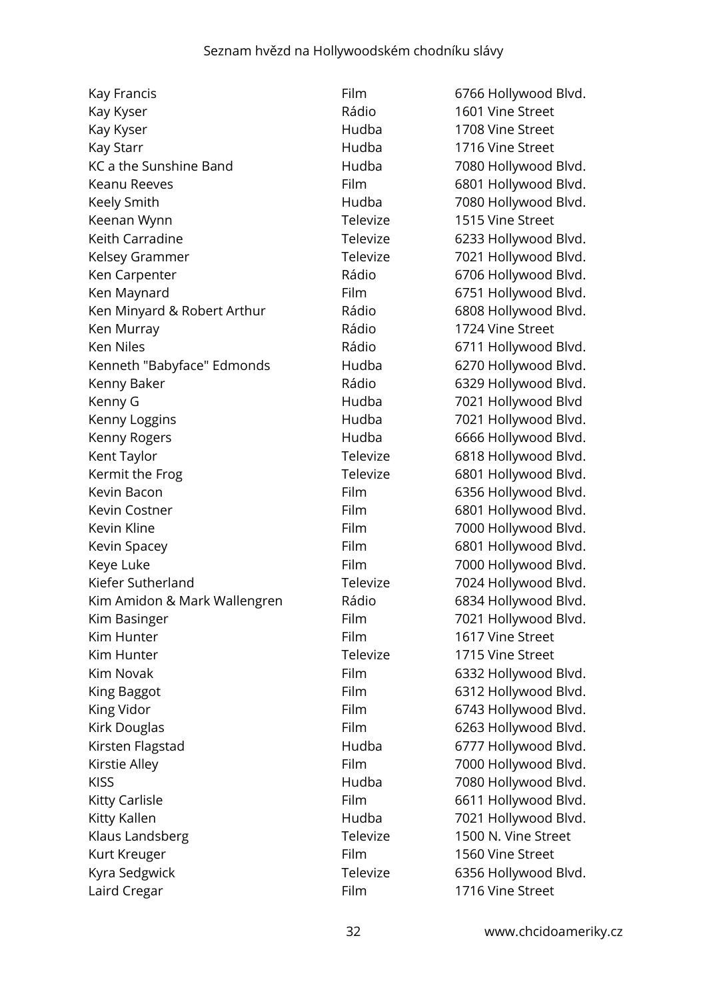| Kay Francis                  | Filn |
|------------------------------|------|
| Kay Kyser                    | Rác  |
| Kay Kyser                    | Hu   |
| Kay Starr                    | Hu   |
| KC a the Sunshine Band       | Hu   |
| Keanu Reeves                 | Filn |
| Keely Smith                  | Hu   |
| Keenan Wynn                  | Tel  |
| Keith Carradine              | Tel  |
| Kelsey Grammer               | Tele |
| Ken Carpenter                | Rác  |
| Ken Maynard                  | Filn |
| Ken Minyard & Robert Arthur  | Rác  |
| Ken Murray                   | Rác  |
| <b>Ken Niles</b>             | Rác  |
| Kenneth "Babyface" Edmonds   | Hu   |
| Kenny Baker                  | Rác  |
| Kenny G                      | Hu   |
| Kenny Loggins                | Hu   |
| Kenny Rogers                 | Hu   |
| Kent Taylor                  | Tele |
| Kermit the Frog              | Tel  |
| Kevin Bacon                  | Filn |
| Kevin Costner                | Filn |
| Kevin Kline                  | Filn |
| Kevin Spacey                 | Filn |
| Keye Luke                    | Filn |
| Kiefer Sutherland            | Tele |
| Kim Amidon & Mark Wallengren | Rác  |
| Kim Basinger                 | Filn |
| Kim Hunter                   | Filn |
| Kim Hunter                   | Tele |
| <b>Kim Novak</b>             | Filn |
| King Baggot                  | Filn |
| King Vidor                   | Filn |
| Kirk Douglas                 | Filn |
| Kirsten Flagstad             | Hu   |
| Kirstie Alley                | Filn |
| <b>KISS</b>                  | Hu   |
| <b>Kitty Carlisle</b>        | Filn |
| Kitty Kallen                 | Hu   |
| Klaus Landsberg              | Tel  |
| Kurt Kreuger                 | Filn |
| Kyra Sedgwick                | Tel  |
| Laird Cregar                 | Filn |

m 6766 Hollywood Blvd. Kay Kyser Rádio 1601 Vine Street dba 1708 Vine Street dba 1716 Vine Street KC a the Sunshine Band Hudba 7080 Hollywood Blvd. m 6801 Hollywood Blvd. Keely Smith Hudba 7080 Hollywood Blvd. evize 1515 Vine Street evize 6233 Hollywood Blvd. evize 7021 Hollywood Blvd. dio 6706 Hollywood Blvd. m 6751 Hollywood Blvd. dio 6808 Hollywood Blvd. dio 1724 Vine Street dio 6711 Hollywood Blvd. Kenneth "Babyface" Edmonds Hudba 6270 Hollywood Blvd. dio 6329 Hollywood Blvd. dba 7021 Hollywood Blvd dba 7021 Hollywood Blvd. dba 6666 Hollywood Blvd. evize 6818 Hollywood Blvd. evize 6801 Hollywood Blvd. m 6356 Hollywood Blvd. m 6801 Hollywood Blvd. m and 7000 Hollywood Blvd. m 6801 Hollywood Blvd. m and 7000 Hollywood Blvd. evize 7024 Hollywood Blvd. dio 6834 Hollywood Blvd. m aasocom 7021 Hollywood Blvd. n 1617 Vine Street evize 1715 Vine Street m 6332 Hollywood Blvd. m 6312 Hollywood Blvd. m 6743 Hollywood Blvd. m 6263 Hollywood Blvd. dba 6777 Hollywood Blvd. m allegs Film 7000 Hollywood Blvd. dba 7080 Hollywood Blvd. m 6611 Hollywood Blvd. dba 7021 Hollywood Blvd. evize 1500 N. Vine Street n 1560 Vine Street evize 6356 Hollywood Blvd. n 1716 Vine Street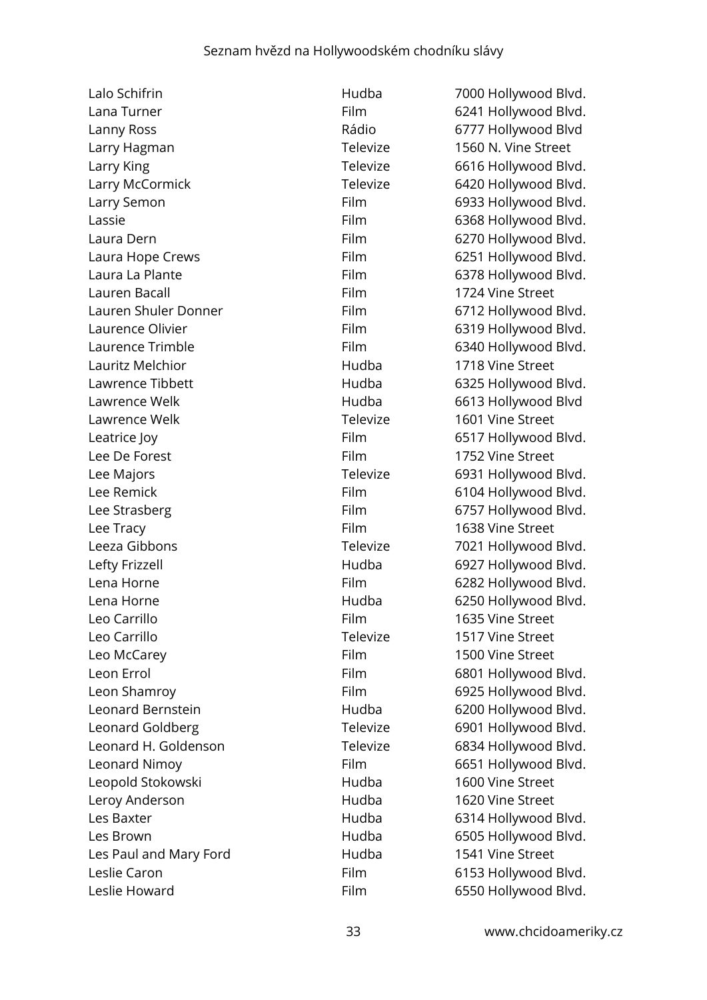Lalo Schifrin **Figure 2018** Hudba 7000 Hollywood Blvd. Lana Turner **Film** Film 6241 Hollywood Blvd. Lanny Ross **Example 2018** Rádio 6777 Hollywood Blvd Larry Hagman **Televize** 1560 N. Vine Street Larry King Televize 6616 Hollywood Blvd. Larry McCormick Televize 6420 Hollywood Blvd. Larry Semon **Film** 6933 Hollywood Blvd. Lassie **Eilm** 6368 Hollywood Blvd. Laura Dern Film 6270 Hollywood Blvd. Laura Hope Crews **Film** 6251 Hollywood Blvd. Laura La Plante **Film** 6378 Hollywood Blvd. Lauren Bacall Film 1724 Vine Street Lauren Shuler Donner Film Film 6712 Hollywood Blvd. Laurence Olivier **Film** 6319 Hollywood Blvd. Laurence Trimble **Film** Film 6340 Hollywood Blvd. Lauritz Melchior **Exercise Structure Control** Hudba 1718 Vine Street Lawrence Tibbett **Hudba** 6325 Hollywood Blvd. Lawrence Welk **Example 2018** Hudba 6613 Hollywood Blvd Lawrence Welk Televize 1601 Vine Street Leatrice lov **Film** 6517 Hollywood Blvd. Lee De Forest Film 1752 Vine Street Lee Majors **Televize** 6931 Hollywood Blvd. Lee Remick **Film** 6104 Hollywood Blvd. Lee Strasberg **Film** 6757 Hollywood Blvd. Lee Tracy **Film** 1638 Vine Street Leeza Gibbons **Televize** 7021 Hollywood Blvd. Lefty Frizzell **Example 2018** Hudba 6927 Hollywood Blvd. Lena Horne **Film** 6282 Hollywood Blvd. Lena Horne Hudba 6250 Hollywood Blvd. Leo Carrillo Film 1635 Vine Street Leo Carrillo Televize 1517 Vine Street Leo McCarey **Film** 1500 Vine Street Leon Errol **Film** 6801 Hollywood Blvd. Leon Shamroy **Film** 6925 Hollywood Blvd. Leonard Bernstein **Example 200 Hollywood Blvd.** All Hudba C200 Hollywood Blvd. Leonard Goldberg Televize 6901 Hollywood Blvd. Leonard H. Goldenson Televize 6834 Hollywood Blvd. Leonard Nimoy **Film** 6651 Hollywood Blvd. Leopold Stokowski Hudba 1600 Vine Street Leroy Anderson **1620** Vine Street Les Baxter **Example 2018** Hudba 6314 Hollywood Blvd. Les Brown Hudba 6505 Hollywood Blvd. Les Paul and Mary Ford **1541 Vine Street** Leslie Caron **Film** Film 6153 Hollywood Blvd. Leslie Howard **Film** 6550 Hollywood Blvd.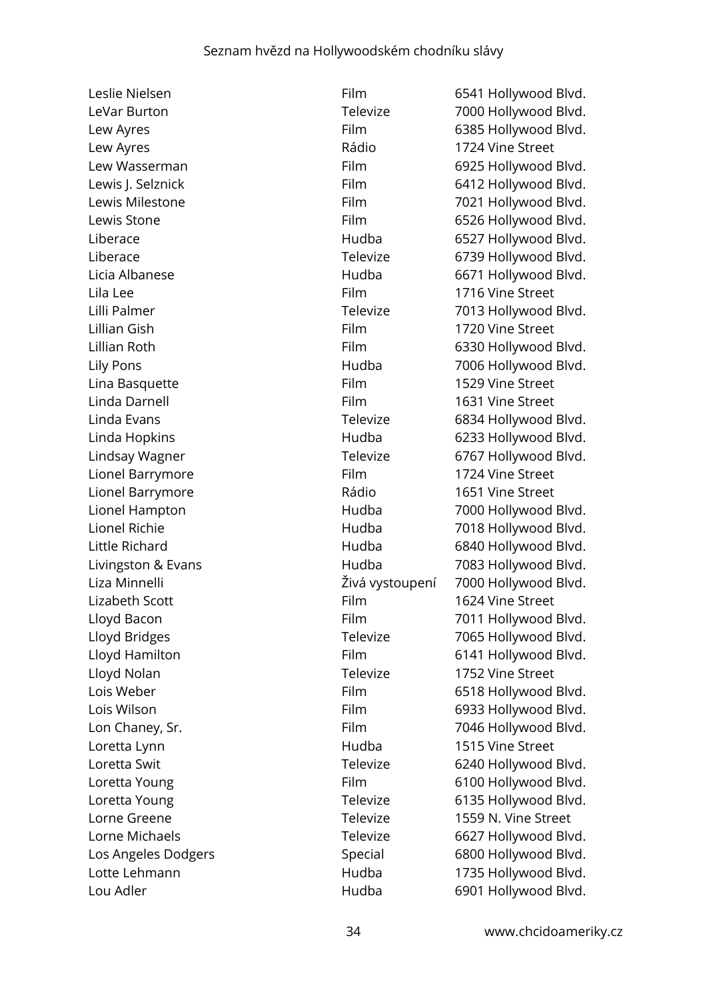Leslie Nielsen Film Film 6541 Hollywood Blvd. LeVar Burton Televize 7000 Hollywood Blvd. Lew Ayres **Film** 6385 Hollywood Blvd. Lew Ayres **1724** Vine Street Lew Wasserman Film 6925 Hollywood Blvd. Lewis I. Selznick **Film** 6412 Hollywood Blvd. Lewis Milestone **Film** 7021 Hollywood Blvd. Lewis Stone **Film** 6526 Hollywood Blvd. Liberace **Hudba** 6527 Hollywood Blvd. Liberace Televize 6739 Hollywood Blvd. Licia Albanese **Exercise Exercise Hudba** 6671 Hollywood Blvd. Lila Lee **Film** 1716 Vine Street Lilli Palmer Televize 7013 Hollywood Blvd. Lillian Gish Film 1720 Vine Street Lillian Roth **Film** 6330 Hollywood Blvd. Lily Pons **Example 2018** Hudba 7006 Hollywood Blvd. Lina Basquette Film 1529 Vine Street Linda Darnell Film 1631 Vine Street Linda Evans Televize 6834 Hollywood Blvd. Linda Hopkins **Example 2018** Hudba 6233 Hollywood Blvd. Lindsay Wagner Televize 6767 Hollywood Blvd. Lionel Barrymore Film 1724 Vine Street Lionel Barrymore Rádio 1651 Vine Street Lionel Hampton **Hudba** 7000 Hollywood Blvd. Lionel Richie Hudba 7018 Hollywood Blvd. Little Richard **Example 20 For the Hudba** 6840 Hollywood Blvd. Livingston & Evans The Reader's Hudba 1983 Hollywood Blvd. Liza Minnelli Živá vystoupení 7000 Hollywood Blvd. Lizabeth Scott **Film** 1624 Vine Street Lloyd Bacon **Film** Film 7011 Hollywood Blvd. Lloyd Bridges Televize 7065 Hollywood Blvd. Lloyd Hamilton **Film** Film 6141 Hollywood Blvd. Lloyd Nolan Televize 1752 Vine Street Lois Weber **Film** 6518 Hollywood Blvd. Lois Wilson **Film** 6933 Hollywood Blvd. Lon Chaney, Sr. The Chaney State Control Control Film Film 7046 Hollywood Blvd. Loretta Lynn Hudba 1515 Vine Street Loretta Swit **Televize** 6240 Hollywood Blvd. Loretta Young **Film** Film 6100 Hollywood Blvd. Loretta Young Televize 6135 Hollywood Blvd. Lorne Greene Televize 1559 N. Vine Street Lorne Michaels **Televize** Televize 6627 Hollywood Blvd. Los Angeles Dodgers **Special** 6800 Hollywood Blvd. Lotte Lehmann **Example 2018** Hudba 1735 Hollywood Blvd. Lou Adler **Matter Contract Contract Contract Contract Contract Contract Contract Contract Contract Contract Contract Contract Contract Contract Contract Contract Contract Contract Contract Contract Contract Contract Contra** 

34 www.chcidoameriky.cz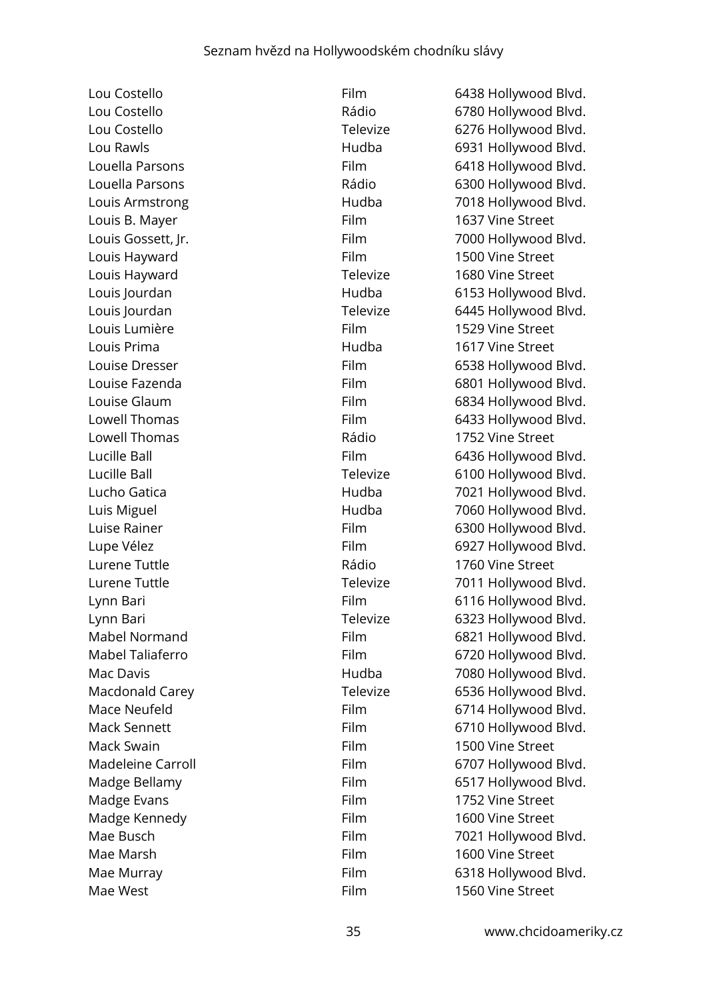Lou Costello **Film** 6438 Hollywood Blvd. Louis B. Mayer **Film** 1637 Vine Street Louis Hayward Film 1500 Vine Street Louis Hayward Televize 1680 Vine Street Louis Lumière Film 1529 Vine Street Louis Prima Hudba 1617 Vine Street Lowell Thomas **Example 20** Thomas Rádio 1752 Vine Street Lurene Tuttle Rádio 1760 Vine Street Mack Swain Film 1500 Vine Street Madge Evans **Film** Film 1752 Vine Street Madge Kennedy **Film** 1600 Vine Street Mae Marsh **Film** Film 1600 Vine Street

Mae West **Film** Film 1560 Vine Street

Lou Costello Rádio 6780 Hollywood Blvd. Lou Costello **Costello Televize** 6276 Hollywood Blvd. Lou Rawls **Example 2018** Hudba 6931 Hollywood Blvd. Louella Parsons Film 6418 Hollywood Blvd. Louella Parsons **Example 2018** Rádio 6300 Hollywood Blvd. Louis Armstrong The Hudba 1990 Hollywood Blvd. Louis Gossett, Jr. **Film** 7000 Hollywood Blvd. Louis Jourdan **Example 2018** Hudba 6153 Hollywood Blvd. Louis Jourdan Televize 6445 Hollywood Blvd. Louise Dresser **Film** 6538 Hollywood Blvd. Louise Fazenda **Film** Film 6801 Hollywood Blvd. Louise Glaum **Film** Film 6834 Hollywood Blvd. Lowell Thomas **Film** 6433 Hollywood Blvd. Lucille Ball **Film** 6436 Hollywood Blvd. Lucille Ball **Televize** 6100 Hollywood Blvd. Lucho Gatica Hudba 7021 Hollywood Blvd. Luis Miguel **Algebra 2008** Hudba **1998** Hudba 1998 Hollywood Blvd. Luise Rainer **Film** Film 6300 Hollywood Blvd. Lupe Vélez Film 6927 Hollywood Blvd. Lurene Tuttle Tuttle Tuttle Televize Televize 7011 Hollywood Blvd. Lynn Bari **Example 2011** Eilm 6116 Hollywood Blvd. Lynn Bari Televize 6323 Hollywood Blvd. Mabel Normand Film 6821 Hollywood Blvd. Mabel Taliaferro Film Film 6720 Hollywood Blvd. Mac Davis **Mac Davis Mac Davis Hudba** 7080 Hollywood Blvd. Macdonald Carey Televize 6536 Hollywood Blvd. Mace Neufeld **Film** Film 6714 Hollywood Blvd. Mack Sennett **Film** 6710 Hollywood Blvd. Madeleine Carroll **Film** 6707 Hollywood Blvd. Madge Bellamy **Film** 6517 Hollywood Blvd. Mae Busch **Film** Film 7021 Hollywood Blvd. Mae Murray **Film** Film 6318 Hollywood Blvd.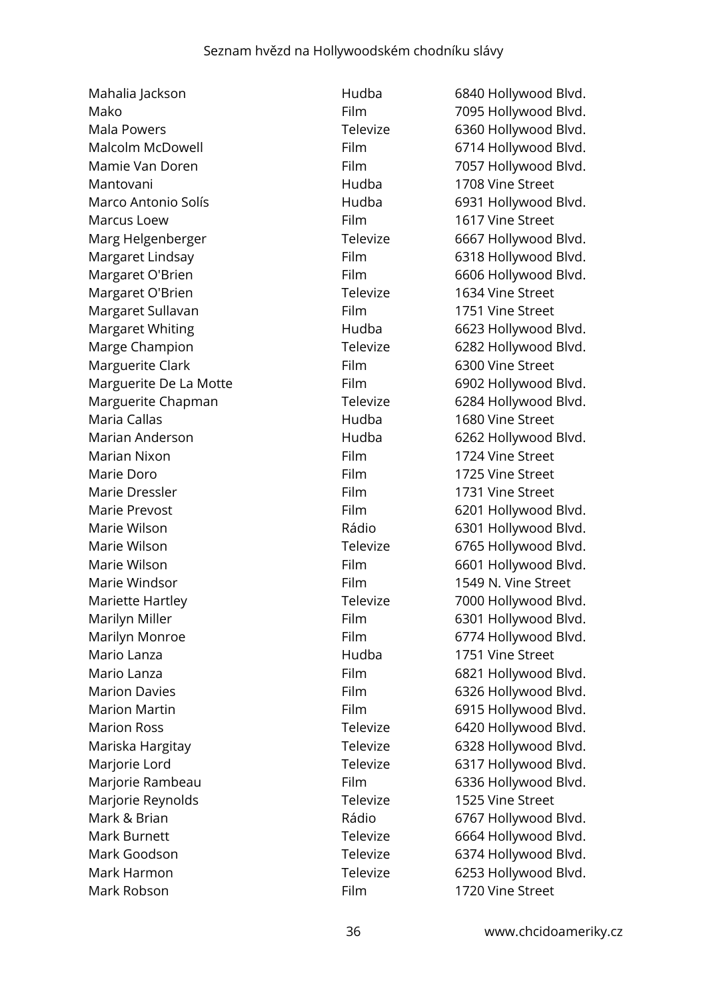Mahalia Jackson **Hudba** 6840 Hollywood Blvd. Mako Film 7095 Hollywood Blvd. Mala Powers **Televize** 6360 Hollywood Blvd. Mamie Van Doren Film 7057 Hollywood Blvd. Mantovani Hudba 1708 Vine Street Marco Antonio Solís **Marco Antonio Solís** entre a Hudba **6931 Hollywood Blvd.** Marcus Loew **Film** Film 1617 Vine Street Marg Helgenberger Televize 6667 Hollywood Blvd. Margaret Lindsay Film 6318 Hollywood Blvd. Margaret O'Brien Film Film 6606 Hollywood Blvd. Margaret O'Brien **Televize** 1634 Vine Street Margaret Sullavan Film Film 1751 Vine Street Margaret Whiting **Margaret Whiting Hudba** 6623 Hollywood Blvd. Marge Champion Televize 6282 Hollywood Blvd. Marguerite Clark **Film** 6300 Vine Street Marguerite De La Motte Film 6902 Hollywood Blvd. Marguerite Chapman Televize 6284 Hollywood Blvd. Maria Callas **Maria Callas Hudba** 1680 Vine Street Marian Anderson Hudba 6262 Hollywood Blvd. Marian Nixon **Film** Film 1724 Vine Street Marie Doro **Film** 1725 Vine Street Marie Dressler Film Film 1731 Vine Street Marie Prevost **Film** 6201 Hollywood Blvd. Marie Wilson **Marie Wilson Communist Communist Communist Communist Communist Communist Communist Communist Communist Communist Communist Communist Communist Communist Communist Communist Communist Communist Communist Commu** Marie Wilson **Marie Wilson** Connection Marie Wilson Connection Televize 6765 Hollywood Blvd. Marie Wilson **Film** Film 6601 Hollywood Blvd. Marie Windsor **Film** Film 1549 N. Vine Street Mariette Hartley **Televize** 7000 Hollywood Blvd. Marilyn Miller **Film** 6301 Hollywood Blvd. Marilyn Monroe Film 6774 Hollywood Blvd. Mario Lanza Hudba 1751 Vine Street Mario Lanza **Film 5821 Hollywood Blvd.** Film 6821 Hollywood Blvd. Marion Davies **Film** 6326 Hollywood Blvd. Marion Martin **Film** Film 6915 Hollywood Blvd. Marion Ross **Marion Ross** Televize 6420 Hollywood Blvd. Mariska Hargitay **Mariska Hargitay Mariska Hargitay Mariska Hargitay Mariska Hargitay Mariska Hargita** Marjorie Lord **Televize** 6317 Hollywood Blvd. Marjorie Rambeau Film 6336 Hollywood Blvd. Marjorie Reynolds Televize 1525 Vine Street Mark & Brian **Mark & Brian Rádio** Rádio 6767 Hollywood Blvd. Mark Burnett **Televize** 6664 Hollywood Blvd. Mark Goodson **Mark Goodson** Televize 6374 Hollywood Blvd. Mark Harmon **Mark Harmon** Mark Harmon **Televize** 6253 Hollywood Blvd. Mark Robson **Film** 1720 Vine Street

Malcolm McDowell **Film** Film 6714 Hollywood Blvd.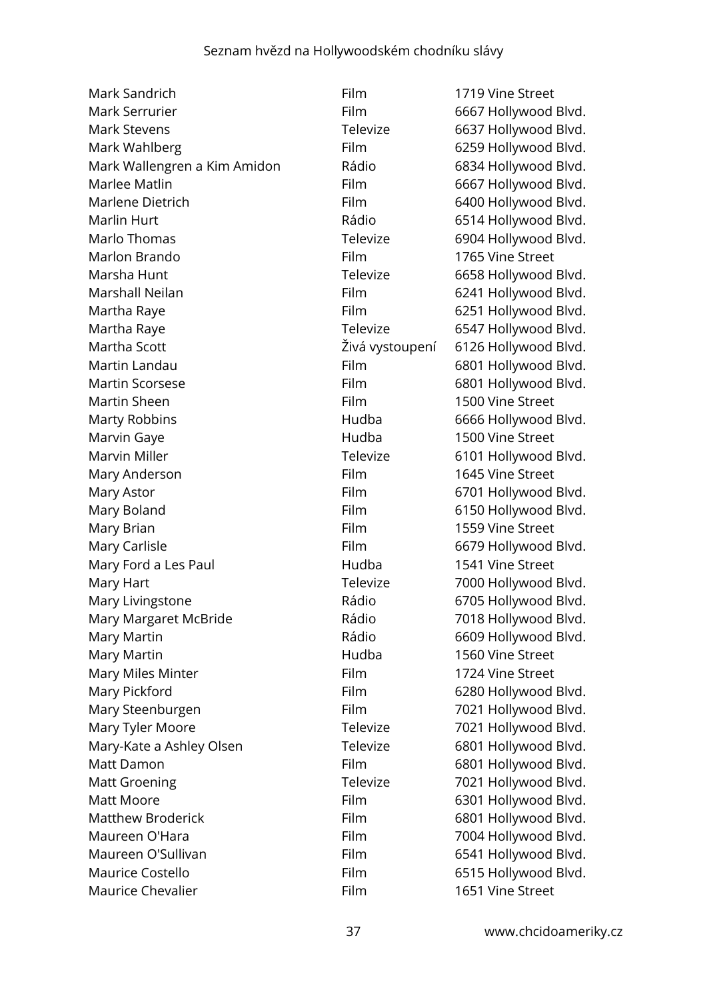| Mark Sandrich                | Film            | 1719 Vine Street     |
|------------------------------|-----------------|----------------------|
| Mark Serrurier               | Film            | 6667 Hollywood Blvd. |
| <b>Mark Stevens</b>          | Televize        | 6637 Hollywood Blvd. |
| Mark Wahlberg                | Film            | 6259 Hollywood Blvd. |
| Mark Wallengren a Kim Amidon | Rádio           | 6834 Hollywood Blvd. |
| Marlee Matlin                | Film            | 6667 Hollywood Blvd. |
| Marlene Dietrich             | Film            | 6400 Hollywood Blvd. |
| Marlin Hurt                  | Rádio           | 6514 Hollywood Blvd. |
| Marlo Thomas                 | Televize        | 6904 Hollywood Blvd. |
| Marlon Brando                | Film            | 1765 Vine Street     |
| Marsha Hunt                  | Televize        | 6658 Hollywood Blvd. |
| Marshall Neilan              | Film            | 6241 Hollywood Blvd. |
| Martha Raye                  | Film            | 6251 Hollywood Blvd. |
| Martha Raye                  | Televize        | 6547 Hollywood Blvd. |
| Martha Scott                 | Živá vystoupení | 6126 Hollywood Blvd. |
| Martin Landau                | Film            | 6801 Hollywood Blvd. |
| <b>Martin Scorsese</b>       | Film            | 6801 Hollywood Blvd. |
| Martin Sheen                 | Film            | 1500 Vine Street     |
| <b>Marty Robbins</b>         | Hudba           | 6666 Hollywood Blvd. |
| Marvin Gaye                  | Hudba           | 1500 Vine Street     |
| Marvin Miller                | Televize        | 6101 Hollywood Blvd. |
| Mary Anderson                | Film            | 1645 Vine Street     |
| Mary Astor                   | Film            | 6701 Hollywood Blvd. |
| Mary Boland                  | Film            | 6150 Hollywood Blvd. |
| Mary Brian                   | Film            | 1559 Vine Street     |
| Mary Carlisle                | Film            | 6679 Hollywood Blvd. |
| Mary Ford a Les Paul         | Hudba           | 1541 Vine Street     |
| Mary Hart                    | Televize        | 7000 Hollywood Blvd. |
| Mary Livingstone             | Rádio           | 6705 Hollywood Blvd. |
| Mary Margaret McBride        | Rádio           | 7018 Hollywood Blvd. |
| Mary Martin                  | Rádio           | 6609 Hollywood Blvd. |
| Mary Martin                  | Hudba           | 1560 Vine Street     |
| Mary Miles Minter            | Film            | 1724 Vine Street     |
| Mary Pickford                | Film            | 6280 Hollywood Blvd. |
| Mary Steenburgen             | Film            | 7021 Hollywood Blvd. |
| Mary Tyler Moore             | Televize        | 7021 Hollywood Blvd. |
| Mary-Kate a Ashley Olsen     | Televize        | 6801 Hollywood Blvd. |
| Matt Damon                   | Film            | 6801 Hollywood Blvd. |
| <b>Matt Groening</b>         | Televize        | 7021 Hollywood Blvd. |
| Matt Moore                   | Film            | 6301 Hollywood Blvd. |
| <b>Matthew Broderick</b>     | Film            | 6801 Hollywood Blvd. |
| Maureen O'Hara               | Film            | 7004 Hollywood Blvd. |
| Maureen O'Sullivan           | Film            | 6541 Hollywood Blvd. |
| Maurice Costello             | Film            | 6515 Hollywood Blvd. |
| Maurice Chevalier            | Film            | 1651 Vine Street     |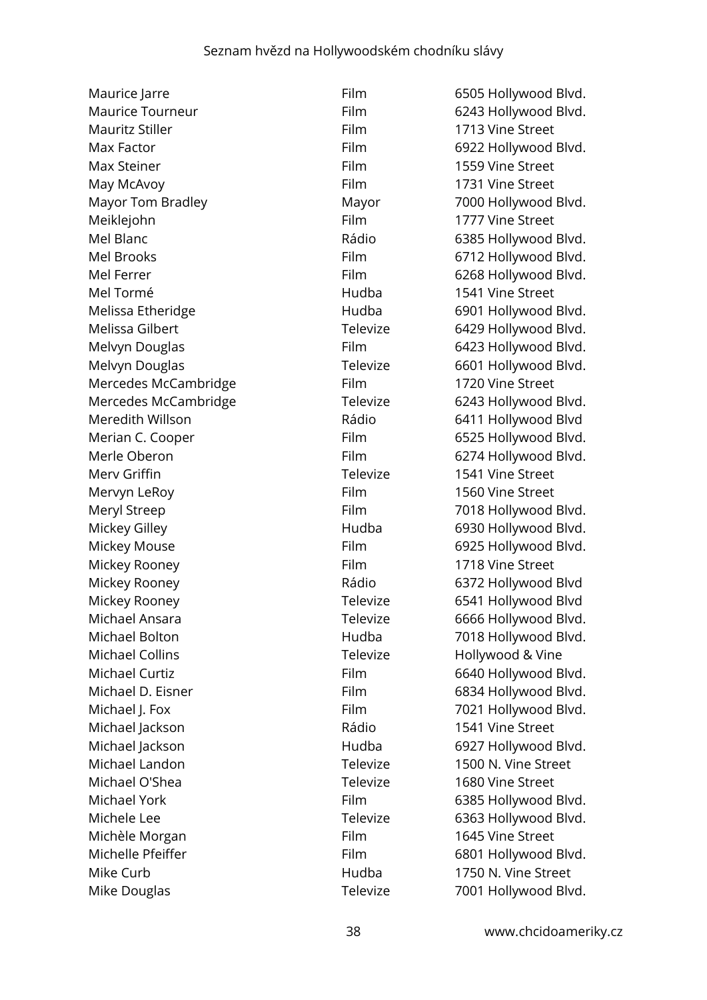Maurice Jarre **Film** 6505 Hollywood Blvd. Maurice Tourneur **Film** 6243 Hollywood Blvd. Mauritz Stiller Film Film 1713 Vine Street Max Factor **Film** 6922 Hollywood Blvd. Max Steiner The Street Eilm 1559 Vine Street May McAvoy **Film** 1731 Vine Street Mayor Tom Bradley Mayor Mayor 7000 Hollywood Blyd. Meiklejohn Film Film 1777 Vine Street Mel Blanc **Mateurs Accord Rádio** 6385 Hollywood Blvd. Mel Brooks Film 6712 Hollywood Blvd. Mel Ferrer Film 6268 Hollywood Blvd. Mel Tormé Hudba 1541 Vine Street Melissa Etheridge **Hudba** 6901 Hollywood Blvd. Melissa Gilbert Televize 6429 Hollywood Blvd. Melvyn Douglas **Film** 6423 Hollywood Blvd. Melvyn Douglas Televize 6601 Hollywood Blvd. Mercedes McCambridge Film Film 1720 Vine Street Mercedes McCambridge Televize 6243 Hollywood Blvd. Meredith Willson Rádio 6411 Hollywood Blvd Merian C. Cooper Film 6525 Hollywood Blvd. Merle Oberon Film 6274 Hollywood Blvd. Merv Griffin **Televize** 1541 Vine Street Mervyn LeRoy **Film** Film 1560 Vine Street Meryl Streep **Film** Film 7018 Hollywood Blvd. Mickey Gilley **Mickey Gilley Hudba** 6930 Hollywood Blvd. Mickey Mouse **Film** 6925 Hollywood Blvd. Mickey Rooney **Film** 1718 Vine Street Mickey Rooney **Example 2018** Rádio 6372 Hollywood Blvd Mickey Rooney **Televize** 6541 Hollywood Blvd Michael Ansara **Televize** 6666 Hollywood Blvd. Michael Bolton **Michael Bolton** Hudba 7018 Hollywood Blvd. Michael Collins **Televize** Hollywood & Vine Michael Curtiz **Film** 6640 Hollywood Blvd. Michael D. Eisner Film 6834 Hollywood Blvd. Michael J. Fox **Film** 7021 Hollywood Blvd. Michael Jackson **1541 Vine Street** Rádio 1541 Vine Street Michael Jackson Hudba 6927 Hollywood Blvd. Michael Landon Televize 1500 N. Vine Street Michael O'Shea Televize 1680 Vine Street Michael York **Film** 6385 Hollywood Blvd. Michele Lee Televize Controller Controller Controller Controller Controller Controller Controller Controller Co Michèle Morgan **Film** Film 1645 Vine Street Michelle Pfeiffer Film Film 6801 Hollywood Blvd. Mike Curb Hudba 1750 N. Vine Street Mike Douglas **Televize** 7001 Hollywood Blvd.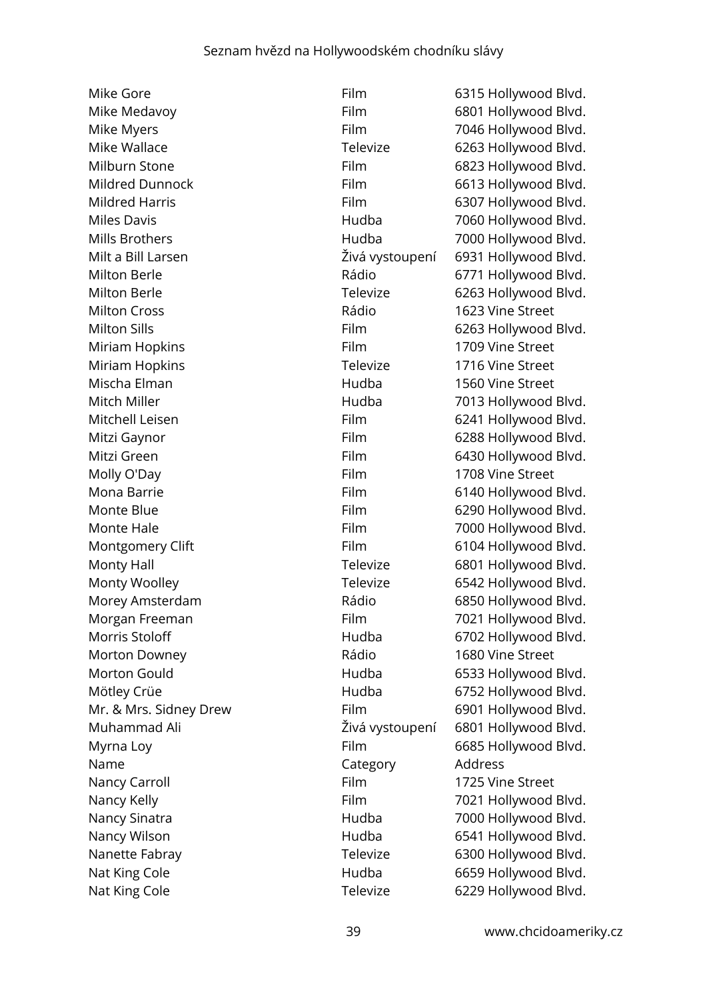Mike Gore **Film** 6315 Hollywood Blvd. Mike Medavoy **Film** 6801 Hollywood Blvd. Mike Myers **Film** 7046 Hollywood Blvd. Mike Wallace Televize 6263 Hollywood Blvd. Milburn Stone **Film** 6823 Hollywood Blvd. Mildred Dunnock Film 6613 Hollywood Blvd. Mildred Harris **Film** 6307 Hollywood Blvd. Miles Davis **Miles Davis Hudba** 7060 Hollywood Blvd. Mills Brothers **Mills Brothers** Hudba 7000 Hollywood Blvd. Milt a Bill Larsen Živá vystoupení 6931 Hollywood Blvd. Milton Berle **Milton Berle Rádio** 6771 Hollywood Blvd. Milton Berle **Televize** 6263 Hollywood Blvd. Milton Cross **Milton Cross Rádio** 1623 Vine Street Milton Sills **Film** 6263 Hollywood Blvd. Miriam Hopkins **Film** Film 1709 Vine Street Miriam Hopkins **Televize** 1716 Vine Street Mischa Elman Hudba 1560 Vine Street Mitch Miller **Mitch Miller Hudba** 7013 Hollywood Blvd. Mitchell Leisen Film 6241 Hollywood Blvd. Mitzi Gaynor **Film** 6288 Hollywood Blvd. Mitzi Green **Film** Film 6430 Hollywood Blvd. Molly O'Day **Film** 1708 Vine Street Mona Barrie Film 6140 Hollywood Blvd. Monte Blue **Film** 6290 Hollywood Blvd. Monte Hale **Film** 7000 Hollywood Blvd. Montgomery Clift **Film** Film 6104 Hollywood Blvd. Monty Hall Monty Hall Controller Monty Hall Monty Hall Controller Media Televize 6801 Hollywood Blvd. Monty Woolley **Televize** 6542 Hollywood Blvd. Morey Amsterdam **Morey Amsterdam** Rádio 6850 Hollywood Blvd. Morgan Freeman Film 7021 Hollywood Blvd. Morris Stoloff **Hudba** 6702 Hollywood Blvd. Morton Downey **1680** Vine Street Morton Gould Hudba 6533 Hollywood Blvd. Mötley Crüe **Mötley Crüe Hudba** 6752 Hollywood Blvd. Mr. & Mrs. Sidney Drew Film 6901 Hollywood Blvd. Muhammad Ali Živá vystoupení 6801 Hollywood Blvd. Myrna Loy **Film** 6685 Hollywood Blvd. Name Category Address Nancy Carroll **Example 20 Film** 1725 Vine Street Nancy Kelly **Film** 7021 Hollywood Blvd. Nancy Sinatra **1988** Hudba 7000 Hollywood Blvd. Nancy Wilson **Mancy Wilson** Hudba 6541 Hollywood Blvd. Nanette Fabray **Televize** 6300 Hollywood Blvd. Nat King Cole **Hudba** 6659 Hollywood Blvd. Nat King Cole **Televize** 6229 Hollywood Blvd.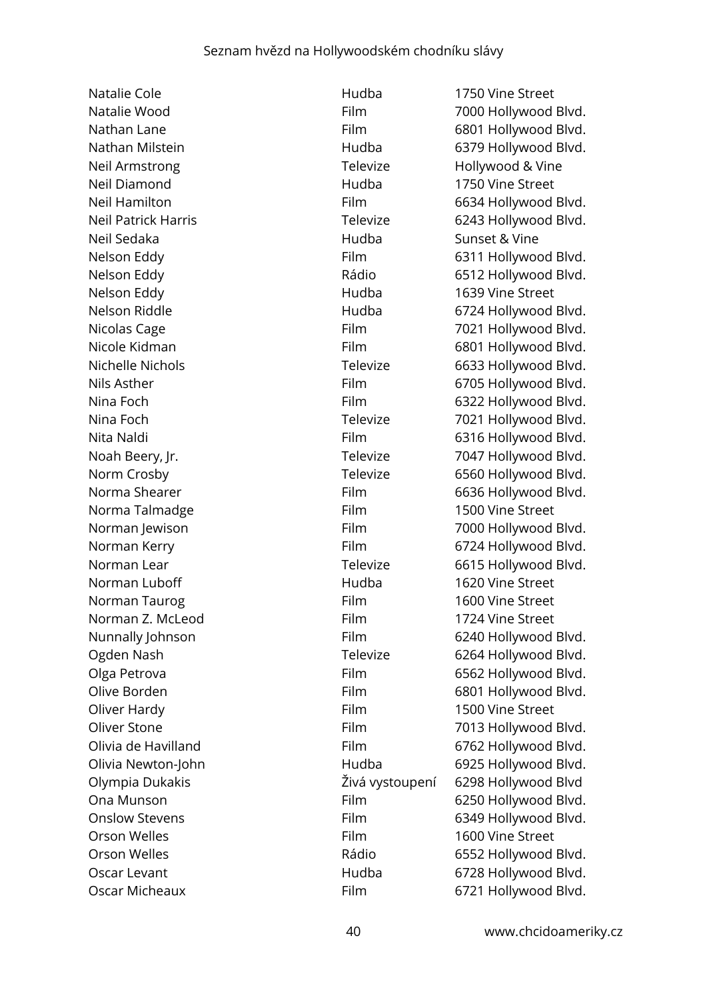Natalie Cole **1750** Vine Street Neil Armstrong Televize Hollywood & Vine Neil Diamond Hudba 1750 Vine Street Neil Sedaka Hudba Sunset & Vine Nelson Eddy **Nelson Eddy Hudba** 1639 Vine Street Norma Talmadge Film Film 1500 Vine Street Norman Luboff **Hudba** 1620 Vine Street Norman Taurog **Film** Film 1600 Vine Street Norman Z. McLeod Film Film 1724 Vine Street Oliver Hardy **Film** 1500 Vine Street Orson Welles Film 1600 Vine Street Oscar Micheaux Film 6721 Hollywood Blvd.

Natalie Wood **Film 5000 Hollywood Blvd.** Film 5000 Hollywood Blvd. Nathan Lane **Film** 6801 Hollywood Blvd. Nathan Milstein **Miltimes Community** Hudba 6379 Hollywood Blvd. Neil Hamilton **Film** 6634 Hollywood Blvd. Neil Patrick Harris Televize 6243 Hollywood Blvd. Nelson Eddy **Film** 6311 Hollywood Blvd. Nelson Eddy **Nelson Eddy Rádio** 6512 Hollywood Blvd. Nelson Riddle **Hudba Hudba** 6724 Hollywood Blvd. Nicolas Cage The Film Tool 2021 Hollywood Blvd. Nicole Kidman **Film** 6801 Hollywood Blvd. Nichelle Nichols **Televize** 6633 Hollywood Blvd. Nils Asther **Film** 6705 Hollywood Blvd. Nina Foch **Film** 6322 Hollywood Blvd. Nina Foch **Televize** 7021 Hollywood Blvd. Nita Naldi **Nita Naldi** Film 6316 Hollywood Blvd. Noah Beery, Jr. Televize 7047 Hollywood Blvd. Norm Crosby **Norm Crosby Televize** 6560 Hollywood Blvd. Norma Shearer **Film** Film 6636 Hollywood Blvd. Norman Jewison Film Film 7000 Hollywood Blvd. Norman Kerry **Film** Film 6724 Hollywood Blvd. Norman Lear **Norman Lear Televize** 6615 Hollywood Blvd. Nunnally Johnson Film 6240 Hollywood Blvd. Ogden Nash **Televize** 6264 Hollywood Blvd. Olga Petrova **Film** 6562 Hollywood Blvd. Olive Borden **Film** 6801 Hollywood Blvd. Oliver Stone **Film** Film 7013 Hollywood Blvd. Olivia de Havilland **Film** 6762 Hollywood Blvd. Olivia Newton-John **Example 2018** Hudba 6925 Hollywood Blvd. Olympia Dukakis Živá vystoupení 6298 Hollywood Blvd Ona Munson **Film** 6250 Hollywood Blvd. Onslow Stevens **Film** 6349 Hollywood Blvd. Orson Welles **Calculation Contract Contract Contract Contract Contract Contract Contract Contract Contract Contract Contract Contract Contract Contract Contract Contract Contract Contract Contract Contract Contract Contrac** Oscar Levant **Example 20** Hudba 6728 Hollywood Blvd.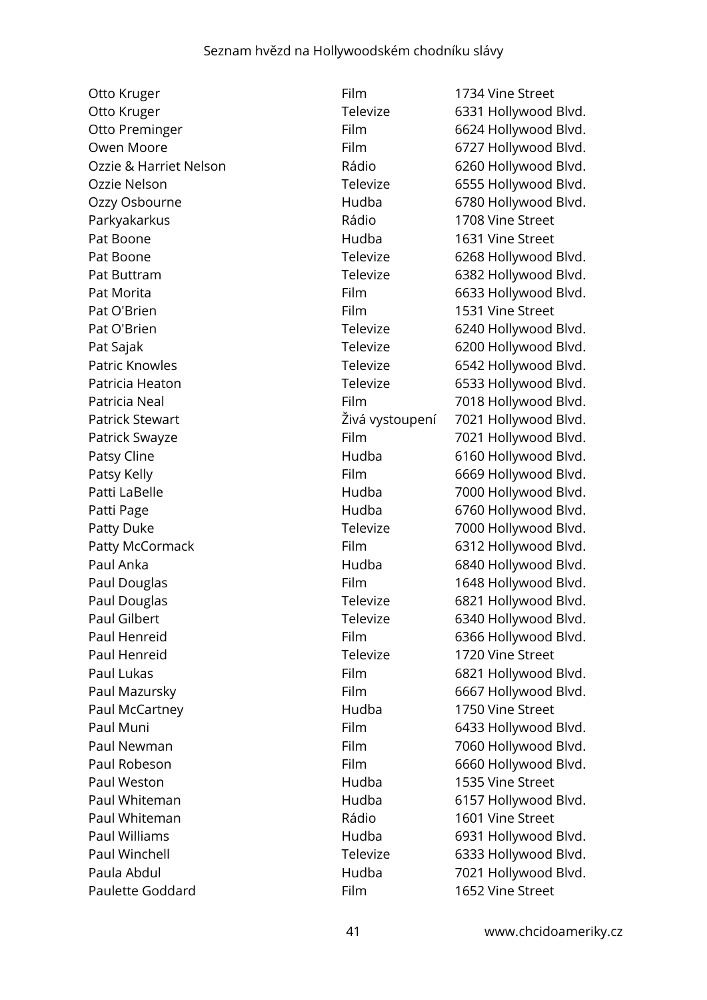Otto Kruger **Film** 1734 Vine Street Parkyakarkus **Parkyakarkus** Rádio 1708 Vine Street Pat Boone **1631** Vine Street Pat O'Brien Film Film 1531 Vine Street Paul Henreid **Televize** 1720 Vine Street Paul McCartney **1750** Vine Street Paul Weston **1535 Vine Street Hudba** 1535 Vine Street Paul Whiteman **Rádio** 1601 Vine Street Paulette Goddard Film 1652 Vine Street

Otto Kruger **Televize** 6331 Hollywood Blvd. Otto Preminger Film 6624 Hollywood Blvd. Owen Moore **Film** 6727 Hollywood Blvd. Ozzie & Harriet Nelson Rádio 6260 Hollywood Blvd. Ozzie Nelson **Calculation Contract Contract Contract Contract Contract Contract Contract Contract Contract Contract Contract Contract Contract Contract Contract Contract Contract Contract Contract Contract Contract Contrac** Ozzy Osbourne Hudba 6780 Hollywood Blvd. Pat Boone **Televize** 6268 Hollywood Blvd. Pat Buttram Televize 6382 Hollywood Blvd. Pat Morita **Film** 6633 Hollywood Blvd. Pat O'Brien **Televize** 6240 Hollywood Blvd. Pat Sajak **Televize** 6200 Hollywood Blvd. Patric Knowles **Televize** 6542 Hollywood Blvd. Patricia Heaton **Televize** 6533 Hollywood Blvd. Patricia Neal **Film** Film 7018 Hollywood Blvd. Patrick Stewart **Exercise 2018** Zivá vystoupení 7021 Hollywood Blvd. Patrick Swayze **Film** 7021 Hollywood Blvd. Patsy Cline **Figure 2018** Hudba 6160 Hollywood Blvd. Patsy Kelly **Film** 6669 Hollywood Blvd. Patti LaBelle **Francisch Edge Hudba** 7000 Hollywood Blvd. Patti Page **Hudba** 6760 Hollywood Blvd. Patty Duke Televize 7000 Hollywood Blvd. Patty McCormack Film 6312 Hollywood Blvd. Paul Anka **Hudba** Hudba 6840 Hollywood Blvd. Paul Douglas **Film** Film 1648 Hollywood Blvd. Paul Douglas **Televize** 6821 Hollywood Blvd. Paul Gilbert **Televize** 6340 Hollywood Blvd. Paul Henreid Film 6366 Hollywood Blvd. Paul Lukas **Film** 6821 Hollywood Blvd. Paul Mazursky **Film** 6667 Hollywood Blvd. Paul Muni **Film** 6433 Hollywood Blvd. Paul Newman Film Film 7060 Hollywood Blvd. Paul Robeson Film 6660 Hollywood Blvd. Paul Whiteman **Example 2018** Hudba 6157 Hollywood Blvd. Paul Williams **Fraul Williams Hudba** 6931 Hollywood Blvd. Paul Winchell **Televize** 6333 Hollywood Blvd. Paula Abdul **Paula Abdul** Hudba 7021 Hollywood Blvd.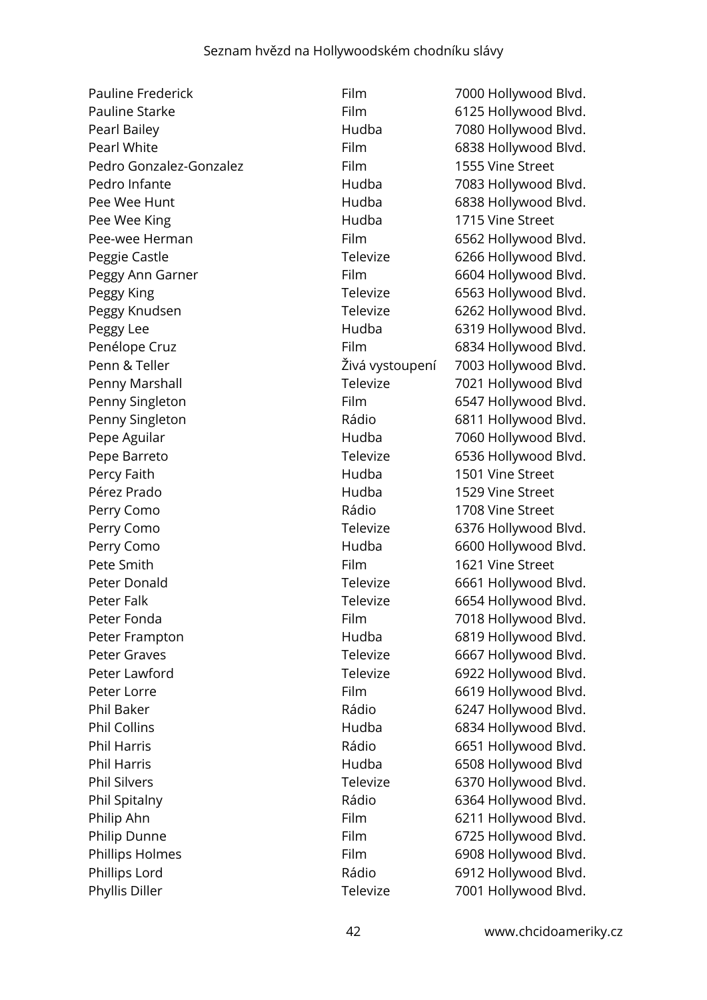Pauline Frederick Film Film 7000 Hollywood Blvd. Pauline Starke Film Film 6125 Hollywood Blvd. Pearl Bailey **Figure 10 Contract Contract Contract Contract Contract Contract Contract Contract Contract Contract Contract Contract Contract Contract Contract Contract Contract Contract Contract Contract Contract Contract** Pearl White **Film** 6838 Hollywood Blvd. Pedro Gonzalez-Gonzalez Film 1555 Vine Street Pedro Infante **1988** Hudba 1983 Hollywood Blvd. Pee Wee Hunt **Number 19 September 100 Hudba** 6838 Hollywood Blvd. Pee Wee King **National Community Community** Hudba 1715 Vine Street Pee-wee Herman Film 6562 Hollywood Blvd. Peggie Castle Televize 6266 Hollywood Blvd. Peggy Ann Garner Film 6604 Hollywood Blvd. Peggy King **Televize** 6563 Hollywood Blvd. Peggy Knudsen Televize 6262 Hollywood Blvd. Peggy Lee **Hudba** 6319 Hollywood Blvd. Penélope Cruz **Film 6834 Hollywood Blvd.** Penn & Teller **Europenia Elias Estabate de La Senata Z**ivá vystoupení 7003 Hollywood Blvd. Penny Marshall Televize 7021 Hollywood Blvd Penny Singleton Film 6547 Hollywood Blvd. Penny Singleton **Rádio** Rádio 6811 Hollywood Blvd. Pepe Aguilar **National Accord Blue Aguilar** Hudba **7060 Hollywood Blvd.** Pepe Barreto **Televize** 6536 Hollywood Blvd. Percy Faith **1501** Vine Street Pérez Prado Hudba 1529 Vine Street Perry Como **1708** Vine Street Perry Como **Televize** 6376 Hollywood Blvd. Perry Como **Exercise Exercise Servers Hudba** 6600 Hollywood Blvd. Pete Smith **Film** 1621 Vine Street Peter Donald Televize 6661 Hollywood Blvd. Peter Falk Televize 6654 Hollywood Blvd. Peter Fonda **Film** 7018 Hollywood Blvd. Peter Frampton **Frampton** Hudba 6819 Hollywood Blvd. Peter Graves **Televize** 6667 Hollywood Blvd. Peter Lawford **Televize** 6922 Hollywood Blvd. Peter Lorre Film 6619 Hollywood Blvd. Phil Baker **Rádio** Rádio 6247 Hollywood Blvd. Phil Collins **Hudba** 6834 Hollywood Blvd. Phil Harris **Phil Harris 2018** Rádio 6651 Hollywood Blvd. Phil Harris **Example 2018** Hudba 6508 Hollywood Blvd Phil Silvers **Televize** 6370 Hollywood Blvd. Phil Spitalny **Example 2018** Rádio 6364 Hollywood Blvd. Philip Ahn Film 6211 Hollywood Blvd. Philip Dunne Film 6725 Hollywood Blvd. Phillips Holmes Film 6908 Hollywood Blvd. Phillips Lord **Example 2012** Rádio 6912 Hollywood Blvd. Phyllis Diller Televize 7001 Hollywood Blvd.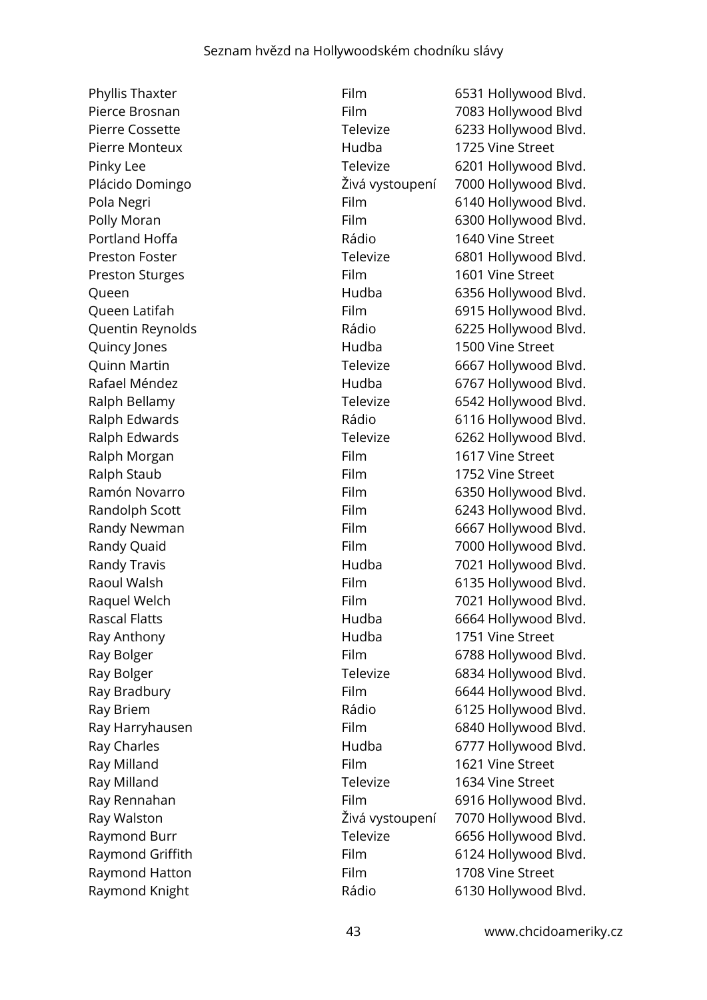Phyllis Thaxter **Film** 6531 Hollywood Blvd. Pierce Brosnan Film 7083 Hollywood Blvd Pierre Cossette Televize 6233 Hollywood Blvd. Pierre Monteux **Music Exercise Street** Hudba 1725 Vine Street Pinky Lee Televize 6201 Hollywood Blvd. Plácido Domingo Živá vystoupení 7000 Hollywood Blvd. Pola Negri **Film** 6140 Hollywood Blvd. Polly Moran **Film** 6300 Hollywood Blvd. Portland Hoffa **Rádio** Rádio 1640 Vine Street Preston Foster Televize 6801 Hollywood Blvd. Preston Sturges Film Film 1601 Vine Street Queen Hudba 6356 Hollywood Blvd. Queen Latifah **Film** 6915 Hollywood Blvd. Quentin Reynolds **Caucasia Rádio** Rádio 6225 Hollywood Blvd. Quincy Jones **1500** Vine Street Quinn Martin **Televize** 6667 Hollywood Blvd. Rafael Méndez **Example 20** Hudba 6767 Hollywood Blvd. Ralph Bellamy **Televize** 6542 Hollywood Blvd. Ralph Edwards **Rádio** Rádio 6116 Hollywood Blvd. Ralph Edwards Televize 6262 Hollywood Blvd. Ralph Morgan **Film** Film 1617 Vine Street Ralph Staub **Film** 1752 Vine Street Ramón Novarro **Film 6350 Hollywood Blvd.** Randolph Scott Film 6243 Hollywood Blvd. Randy Newman Film 6667 Hollywood Blvd. Randy Quaid **Film** 7000 Hollywood Blvd. Randy Travis **Example 2018** Hudba 7021 Hollywood Blvd. Raoul Walsh **Film** Film 6135 Hollywood Blvd. Raquel Welch Film Film 7021 Hollywood Blvd. Rascal Flatts **Hudba Hudba** 6664 Hollywood Blvd. Ray Anthony **Ray Anthony Ray Anthony Hudba** 1751 Vine Street Ray Bolger **Film** 6788 Hollywood Blvd. Ray Bolger **Televize** 6834 Hollywood Blvd. Ray Bradbury **Film** 6644 Hollywood Blvd. Ray Briem **Rádio** Rádio 6125 Hollywood Blvd. Ray Harryhausen Film 6840 Hollywood Blvd. Ray Charles **Ray Charles Ray Charles Hudba** 6777 Hollywood Blvd. Ray Milland **Film** 1621 Vine Street Ray Milland **National Community Community** Televize 1634 Vine Street Ray Rennahan Film 6916 Hollywood Blvd. Ray Walston Živá vystoupení 7070 Hollywood Blvd. Raymond Burr **Televize** 6656 Hollywood Blvd. Raymond Griffith Film Film 6124 Hollywood Blvd. Raymond Hatton Film Film 1708 Vine Street Raymond Knight **Rádio** Rádio 6130 Hollywood Blvd.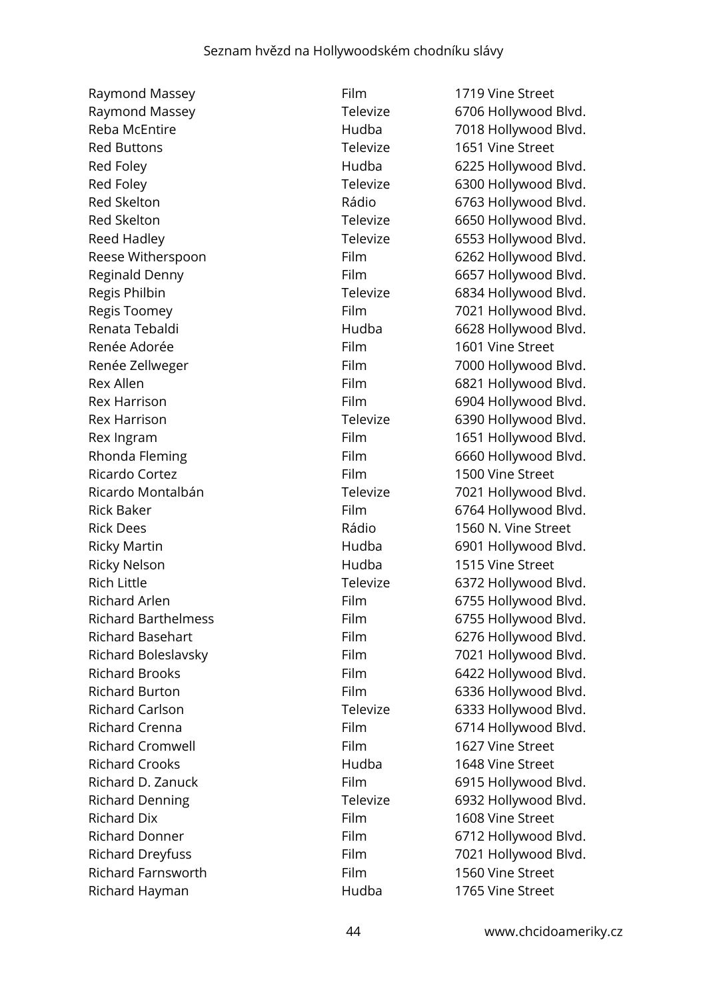| Raymond Massey             |
|----------------------------|
| Raymond Massey             |
| <b>Reba McEntire</b>       |
| <b>Red Buttons</b>         |
| Red Foley                  |
| Red Foley                  |
| <b>Red Skelton</b>         |
| <b>Red Skelton</b>         |
| <b>Reed Hadley</b>         |
| Reese Witherspoon          |
| Reginald Denny             |
| Regis Philbin              |
| Regis Toomey               |
| Renata Tebaldi             |
| Renée Adorée               |
| Renée Zellweger            |
| <b>Rex Allen</b>           |
| <b>Rex Harrison</b>        |
| <b>Rex Harrison</b>        |
| Rex Ingram                 |
| Rhonda Fleming             |
| Ricardo Cortez             |
| Ricardo Montalbán          |
| <b>Rick Baker</b>          |
| <b>Rick Dees</b>           |
| <b>Ricky Martin</b>        |
| <b>Ricky Nelson</b>        |
| <b>Rich Little</b>         |
| <b>Richard Arlen</b>       |
| <b>Richard Barthelmess</b> |
| <b>Richard Basehart</b>    |
| Richard Boleslavsky        |
| <b>Richard Brooks</b>      |
| <b>Richard Burton</b>      |
| <b>Richard Carlson</b>     |
| <b>Richard Crenna</b>      |
| <b>Richard Cromwell</b>    |
| <b>Richard Crooks</b>      |
| Richard D. Zanuck          |
| <b>Richard Denning</b>     |
| <b>Richard Dix</b>         |
| <b>Richard Donner</b>      |
| <b>Richard Dreyfuss</b>    |
| <b>Richard Farnsworth</b>  |
| Richard Hayman             |

Film 1719 Vine Street Televize 6706 Hollywood Blvd. Hudba 7018 Hollywood Blvd. Televize 1651 Vine Street Hudba 6225 Hollywood Blvd. Televize 6300 Hollywood Blvd. Rádio 6763 Hollywood Blvd. Televize 6650 Hollywood Blvd. Televize 6553 Hollywood Blvd. Film 6262 Hollywood Blvd. Film 6657 Hollywood Blvd. Televize 6834 Hollywood Blvd. Film 7021 Hollywood Blvd. Hudba 6628 Hollywood Blvd. Film 1601 Vine Street Film 7000 Hollywood Blvd. Film 6821 Hollywood Blvd. Film 6904 Hollywood Blvd. Televize 6390 Hollywood Blvd. Film 1651 Hollywood Blvd. Film 6660 Hollywood Blvd. Film 1500 Vine Street Televize 7021 Hollywood Blvd. Film 6764 Hollywood Blvd. Rádio 1560 N. Vine Street Hudba 6901 Hollywood Blvd. Hudba 1515 Vine Street Televize 6372 Hollywood Blvd. Film 6755 Hollywood Blvd. Film 6755 Hollywood Blvd. Film 6276 Hollywood Blvd. Film 7021 Hollywood Blvd. Film 6422 Hollywood Blvd. Film 6336 Hollywood Blvd. Televize 6333 Hollywood Blvd. Film 6714 Hollywood Blvd. Film 1627 Vine Street Richard Crooks Hudba 1648 Vine Street Film 6915 Hollywood Blvd. Televize 6932 Hollywood Blvd. Film 1608 Vine Street Film 6712 Hollywood Blvd. Film 7021 Hollywood Blvd. Film 1560 Vine Street Richard Hayman Hudba 1765 Vine Street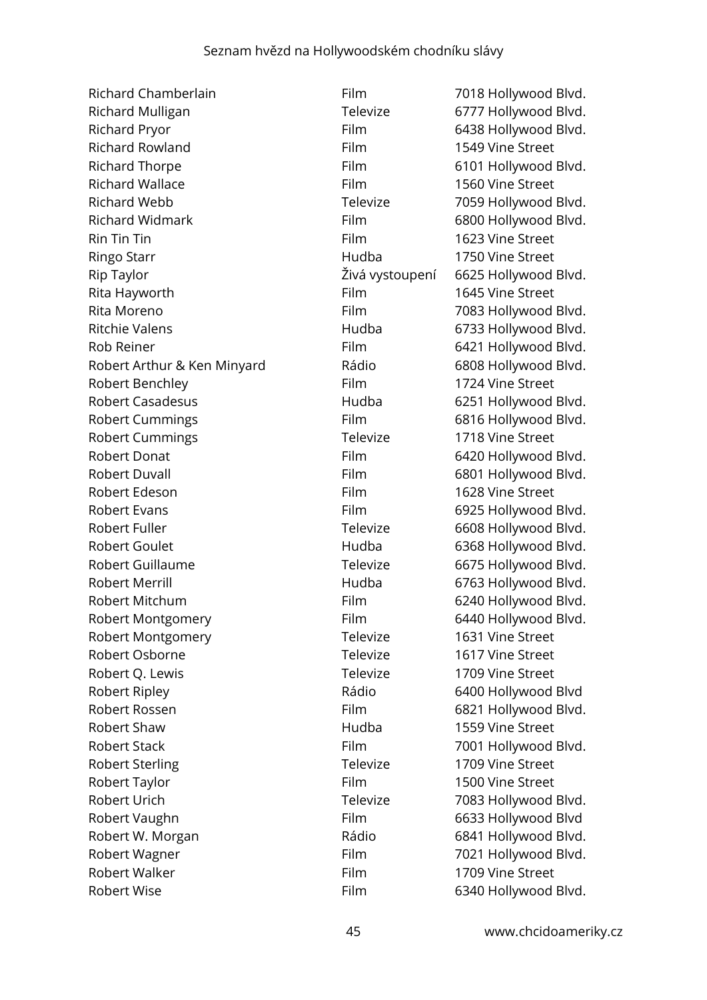Richard Chamberlain Film Film 7018 Hollywood Blvd. Richard Mulligan Televize 6777 Hollywood Blvd. Richard Pryor **Film** 6438 Hollywood Blvd. Richard Rowland **Film** 1549 Vine Street Richard Thorpe **Film** Film 6101 Hollywood Blvd. Richard Wallace **Film** Film 1560 Vine Street Richard Webb **Televize** 7059 Hollywood Blvd. Richard Widmark Film 6800 Hollywood Blvd. Rin Tin Tin 1623 Vine Street Ringo Starr **National Starr Community Community** Hudba 1750 Vine Street Rip Taylor Živá vystoupení 6625 Hollywood Blvd. Rita Hayworth **Film** Film 1645 Vine Street Rita Moreno **Film** 7083 Hollywood Blvd. Ritchie Valens **Exercise Exercise State Hudba** 6733 Hollywood Blvd. Rob Reiner **Film** 6421 Hollywood Blvd. Robert Arthur & Ken Minyard Rádio 6808 Hollywood Blvd. Robert Benchley **Film** Film 1724 Vine Street Robert Casadesus **Example 2018** Hudba 6251 Hollywood Blvd. Robert Cummings Film 6816 Hollywood Blvd. Robert Cummings Televize 1718 Vine Street Robert Donat **Film** 6420 Hollywood Blvd. Robert Duvall **Film** 6801 Hollywood Blvd. Robert Edeson Film Film 1628 Vine Street Robert Evans **Film** 6925 Hollywood Blvd. Robert Fuller Televize Fuller Televize 6608 Hollywood Blvd. Robert Goulet **Example 20 Found Hudba** 6368 Hollywood Blvd. Robert Guillaume Televize 6675 Hollywood Blvd. Robert Merrill **Robert Merrill Hudba** 6763 Hollywood Blvd. Robert Mitchum Film Film 6240 Hollywood Blvd. Robert Montgomery Film 6440 Hollywood Blvd. Robert Montgomery Televize 1631 Vine Street Robert Osborne Televize 1617 Vine Street Robert O. Lewis **Televize** 1709 Vine Street Robert Ripley **Rádio** Rádio 6400 Hollywood Blvd Robert Rossen Film 6821 Hollywood Blvd. Robert Shaw Hudba 1559 Vine Street Robert Stack Film Film 7001 Hollywood Blvd. Robert Sterling Televize 1709 Vine Street Robert Taylor **Film** 1500 Vine Street Robert Urich Televize 7083 Hollywood Blvd. Robert Vaughn Film Film 6633 Hollywood Blvd Robert W. Morgan **Rádio** Rádio 6841 Hollywood Blvd. Robert Wagner **Film** Film 7021 Hollywood Blvd. Robert Walker **Film** 1709 Vine Street Robert Wise **Film** 6340 Hollywood Blvd.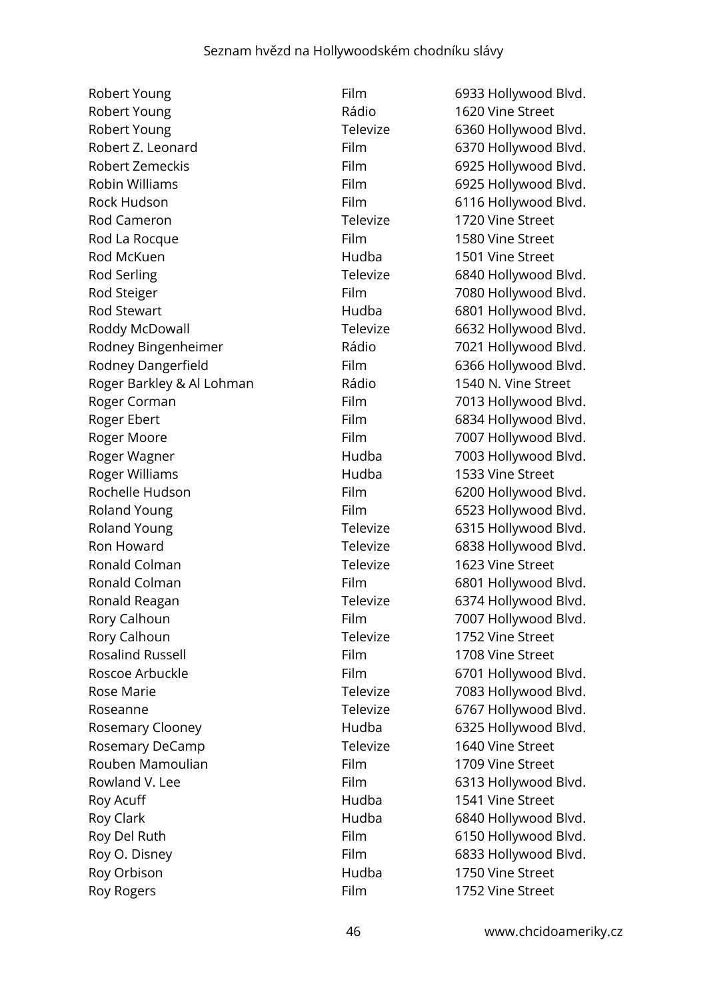Robert Young **Film** 6933 Hollywood Blvd. Robert Young **Rádio** Rádio 1620 Vine Street Robert Young Televize 6360 Hollywood Blvd. Robert Z. Leonard Film 6370 Hollywood Blvd. Robert Zemeckis Film 6925 Hollywood Blvd. Robin Williams **Film** 6925 Hollywood Blvd. Rock Hudson **Film** Film 6116 Hollywood Blvd. Rod Cameron Televize 1720 Vine Street Rod La Rocque **Film** 1580 Vine Street Rod McKuen 1988 1999 1999 Hudba 1501 Vine Street Rod Serling Televize 6840 Hollywood Blvd. Rod Steiger Film Film 7080 Hollywood Blvd. Rod Stewart **Rod Stewart Rod Stewart Rod Stewart Hudba** 6801 Hollywood Blvd. Roddy McDowall **Televize** 6632 Hollywood Blvd. Rodney Bingenheimer Rádio 7021 Hollywood Blvd. Rodney Dangerfield Film 6366 Hollywood Blvd. Roger Barkley & Al Lohman Rádio 1540 N. Vine Street Roger Corman Film Film 7013 Hollywood Blvd. Roger Ebert **Film** 6834 Hollywood Blvd. Roger Moore **Film** 7007 Hollywood Blvd. Roger Wagner Names Controller Hudba 2003 Hollywood Blvd. Roger Williams **Number 1533** Vine Street Rochelle Hudson Film 6200 Hollywood Blvd. Roland Young **Film** 6523 Hollywood Blvd. Roland Young Televize 6315 Hollywood Blvd. Ron Howard Televize 6838 Hollywood Blvd. Ronald Colman Televize 1623 Vine Street Ronald Colman Film Film 6801 Hollywood Blvd. Ronald Reagan Televize 6374 Hollywood Blvd. Rory Calhoun **Film** Film 7007 Hollywood Blvd. Rory Calhoun **Televize** 1752 Vine Street Rosalind Russell **Film** Film 1708 Vine Street Roscoe Arbuckle Film Film 6701 Hollywood Blvd. Rose Marie **Televize** 7083 Hollywood Blvd. Roseanne **Televize** 6767 Hollywood Blvd. Rosemary Clooney **Example 28** Hudba 6325 Hollywood Blvd. Rosemary DeCamp Televize 1640 Vine Street Rouben Mamoulian Film Film 1709 Vine Street Rowland V. Lee **Film** 6313 Hollywood Blvd. Roy Acuff **Notify Acuff Hudba** 1541 Vine Street Roy Clark **Hudba** 6840 Hollywood Blvd. Roy Del Ruth Film Film 6150 Hollywood Blvd. Roy O. Disney **Film** 6833 Hollywood Blvd. Roy Orbison **Number 1750** Vine Street Roy Rogers **Film** 1752 Vine Street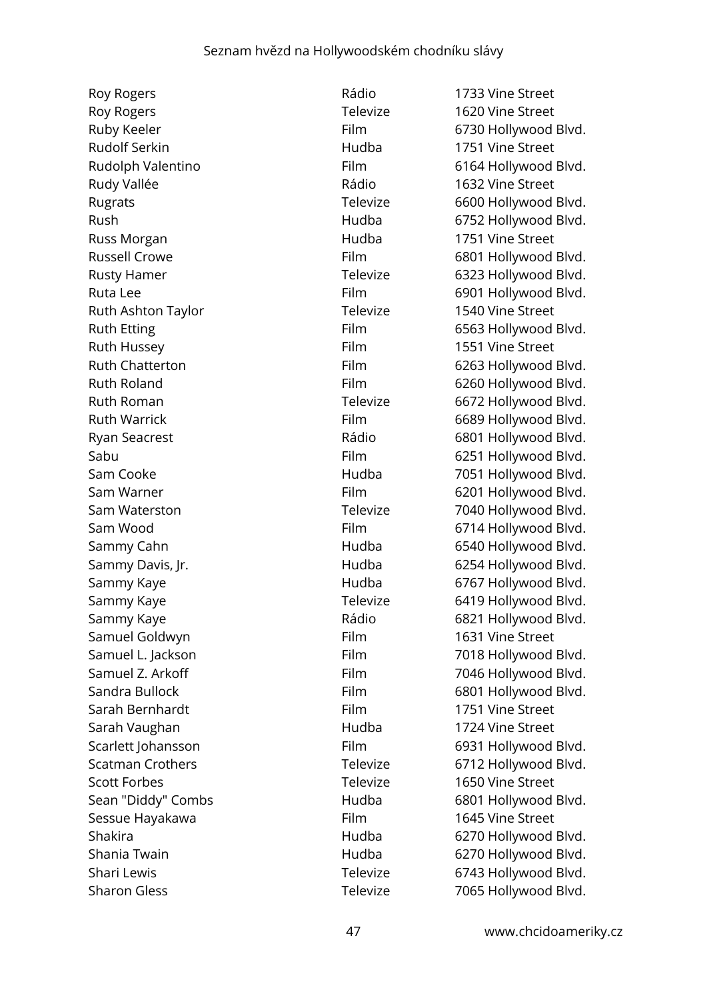Roy Rogers **Rádio** 1733 Vine Street Roy Rogers **No. 2018** Televize 1620 Vine Street Rudolf Serkin **Matter Street** Hudba 1751 Vine Street Rudy Vallée **Radio** 1632 Vine Street Russ Morgan **Number 1751** Vine Street Ruth Ashton Taylor Televize 1540 Vine Street Ruth Hussey **Film** 1551 Vine Street Samuel Goldwyn Film Film 1631 Vine Street Sarah Bernhardt **Film** Film 1751 Vine Street Sarah Vaughan **Manada III Sarah Vaughan** Hudba 1724 Vine Street Scott Forbes Televize 1650 Vine Street Sessue Hayakawa **Film** 1645 Vine Street Sharon Gless Televize 7065 Hollywood Blvd.

Ruby Keeler **Film** Film 6730 Hollywood Blvd. Rudolph Valentino **Film** Film 6164 Hollywood Blvd. Rugrats Rugrats Televize 6600 Hollywood Blvd. Rush Rush Hudba 6752 Hollywood Blvd. Russell Crowe **Film** 6801 Hollywood Blvd. Rusty Hamer **Televize** 6323 Hollywood Blvd. Ruta Lee Film 6901 Hollywood Blvd. Ruth Etting **Film** 6563 Hollywood Blvd. Ruth Chatterton Film 6263 Hollywood Blvd. Ruth Roland **Film** 6260 Hollywood Blvd. Ruth Roman **Televize** 6672 Hollywood Blvd. Ruth Warrick **Film 6689 Hollywood Blvd.** Ryan Seacrest **Rádio** Rádio 6801 Hollywood Blvd. Sabu Film 6251 Hollywood Blvd. Sam Cooke **Hudba** 7051 Hollywood Blvd. Sam Warner **Film** 6201 Hollywood Blvd. Sam Waterston **Televize** 7040 Hollywood Blvd. Sam Wood **Film** 6714 Hollywood Blvd. Sammy Cahn **Example 2018** Hudba 6540 Hollywood Blvd. Sammy Davis, Jr. No. 1991 - Hudba 6254 Hollywood Blvd. Sammy Kaye **Example 20 For the Hudba** 6767 Hollywood Blvd. Sammy Kaye **Televize** 6419 Hollywood Blvd. Sammy Kaye **Example 20 Solution Contract Contract Contract Contract Contract Contract Contract Contract Contract Contract Contract Contract Contract Contract Contract Contract Contract Contract Contract Contract Contract C** Samuel L. Jackson Film Film 7018 Hollywood Blvd. Samuel Z. Arkoff Film Film 7046 Hollywood Blvd. Sandra Bullock Film 6801 Hollywood Blvd. Scarlett Johansson Film 6931 Hollywood Blvd. Scatman Crothers Televize 6712 Hollywood Blvd. Sean "Diddy" Combs **Hudba** 6801 Hollywood Blvd. Shakira **1988** - The Hudba 6270 Hollywood Blvd. Shania Twain **Example 2018** Hudba 6270 Hollywood Blvd. Shari Lewis **Televize** 6743 Hollywood Blvd.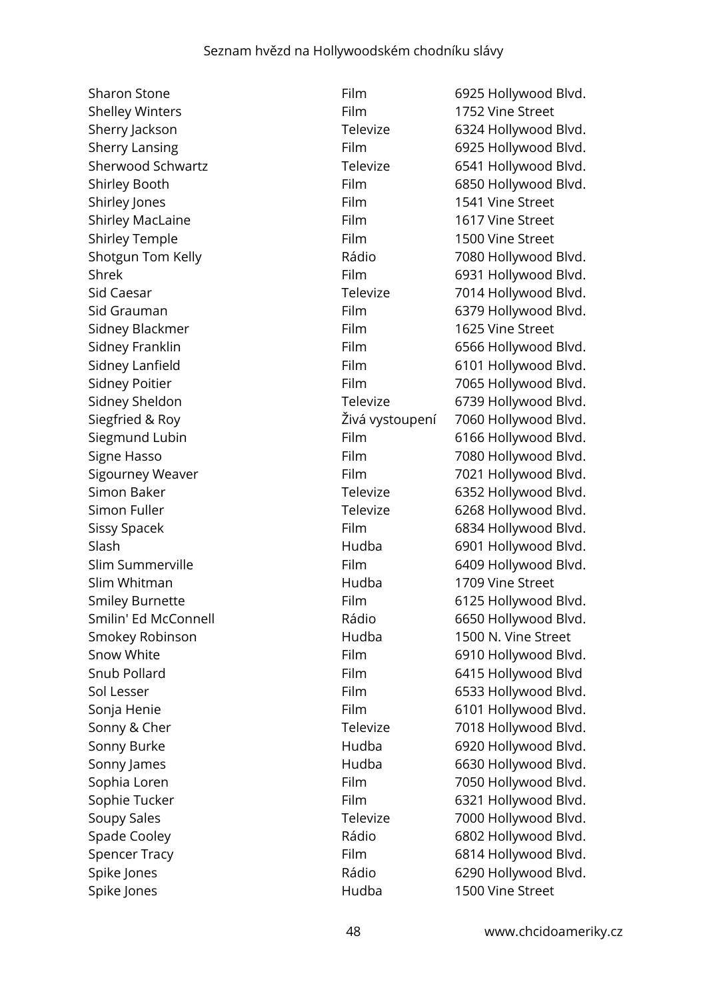Shelley Winters **Film** Film 1752 Vine Street Shirley Jones **Film** 1541 Vine Street Shirley MacLaine **Film** Film 1617 Vine Street Shirley Temple **Film** 1500 Vine Street Sidney Blackmer Film Film 1625 Vine Street Slim Whitman **1709** Vine Street Spike Jones **1500** Vine Street

Sharon Stone **Film** 6925 Hollywood Blvd. Sherry Jackson **Televize** 6324 Hollywood Blvd. Sherry Lansing **Film** 6925 Hollywood Blvd. Sherwood Schwartz Televize 6541 Hollywood Blvd. Shirley Booth Film 6850 Hollywood Blvd. Shotgun Tom Kelly **Example 2018** Rádio 7080 Hollywood Blvd. Shrek Film 6931 Hollywood Blvd. Sid Caesar **Televize** 7014 Hollywood Blvd. Sid Grauman Film 6379 Hollywood Blvd. Sidney Franklin Film Film 6566 Hollywood Blvd. Sidney Lanfield Film Film 6101 Hollywood Blvd. Sidney Poitier **Film** Film 7065 Hollywood Blvd. Sidney Sheldon Televize 6739 Hollywood Blvd. Siegfried & Roy Živá vystoupení 7060 Hollywood Blvd. Siegmund Lubin Film Film 6166 Hollywood Blvd. Signe Hasso **Film** 7080 Hollywood Blvd. Sigourney Weaver **Film** Film 7021 Hollywood Blvd. Simon Baker Televize 6352 Hollywood Blvd. Simon Fuller **Televize** 6268 Hollywood Blvd. Sissy Spacek Film 6834 Hollywood Blvd. Slash **Hudba** 6901 Hollywood Blvd. Slim Summerville Film 6409 Hollywood Blvd. Smiley Burnette Film Film 6125 Hollywood Blvd. Smilin' Ed McConnell **Rádio** Rádio 6650 Hollywood Blvd. Smokey Robinson **1500 N. Vine Street** Snow White **Film** 6910 Hollywood Blvd. Snub Pollard Film 6415 Hollywood Blvd Sol Lesser Film 6533 Hollywood Blvd. Sonja Henie Film 6101 Hollywood Blvd. Sonny & Cher Televize 7018 Hollywood Blvd. Sonny Burke **Marke Communist Hudba** 6920 Hollywood Blvd. Sonny James **Markow Hudba** 6630 Hollywood Blvd. Sophia Loren **Film** Film 7050 Hollywood Blvd. Sophie Tucker Film Film 6321 Hollywood Blvd. Soupy Sales Televize 7000 Hollywood Blvd. Spade Cooley **Rádio** Rádio 6802 Hollywood Blvd. Spencer Tracy **Film** 6814 Hollywood Blvd. Spike Jones **Example 2018** Rádio 6290 Hollywood Blvd.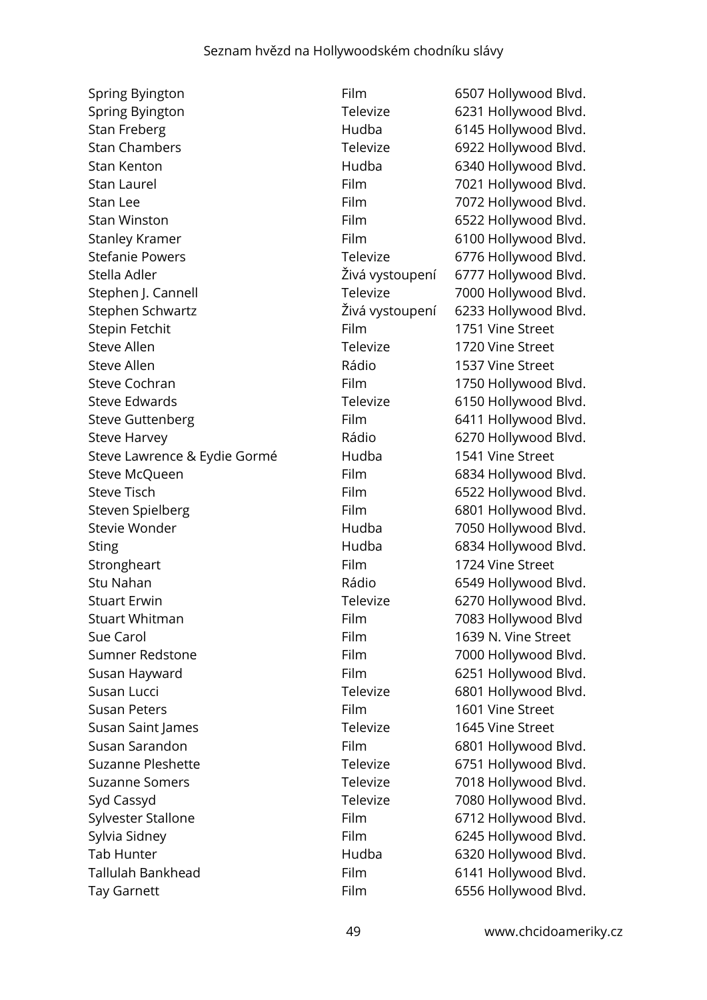Spring Byington **Film** 6507 Hollywood Blvd. Spring Byington Televize 6231 Hollywood Blvd. Stan Freberg **Example 2018** Hudba 6145 Hollywood Blvd. Stan Chambers **Televize** 6922 Hollywood Blvd. Stan Kenton Hudba 6340 Hollywood Blvd. Stan Laurel **Film** 7021 Hollywood Blvd. Stan Lee Film 5072 Hollywood Blvd. Stan Winston **Film** 6522 Hollywood Blvd. Stanley Kramer Film Film 6100 Hollywood Blvd. Stefanie Powers Televize 6776 Hollywood Blvd. Stella Adler Živá vystoupení 6777 Hollywood Blvd. Stephen J. Cannell **Televize** 7000 Hollywood Blvd. Stephen Schwartz Živá vystoupení 6233 Hollywood Blvd. Stepin Fetchit **Film** Film 1751 Vine Street Steve Allen Televize 1720 Vine Street Steve Allen 1537 Vine Street Steve Cochran **Film** Film 1750 Hollywood Blvd. Steve Edwards Televize 6150 Hollywood Blvd. Steve Guttenberg Film 6411 Hollywood Blvd. Steve Harvey **Example 2018** Rádio 6270 Hollywood Blvd. Steve Lawrence & Eydie Gormé Hudba 1541 Vine Street Steve McQueen Film 6834 Hollywood Blvd. Steve Tisch **Film** 6522 Hollywood Blvd. Steven Spielberg Film 6801 Hollywood Blvd. Stevie Wonder Hudba 7050 Hollywood Blvd. Sting Hudba 6834 Hollywood Blvd. Strongheart **Film** Film 1724 Vine Street Stu Nahan **Rádio** Rádio 6549 Hollywood Blvd. Stuart Erwin **Example 2018** Televize 6270 Hollywood Blvd. Stuart Whitman **Film** Film 7083 Hollywood Blvd Sue Carol Film 1639 N. Vine Street Sumner Redstone Film Film 7000 Hollywood Blvd. Susan Hayward **Film** 6251 Hollywood Blvd. Susan Lucci **Televize** 6801 Hollywood Blvd. Susan Peters **Film** 1601 Vine Street Susan Saint James Televize 1645 Vine Street Susan Sarandon Film 6801 Hollywood Blvd. Suzanne Pleshette Televize Felevize 6751 Hollywood Blvd. Suzanne Somers Televize 7018 Hollywood Blvd. Syd Cassyd **Televize** 7080 Hollywood Blvd. Sylvester Stallone Film Film 6712 Hollywood Blvd. Sylvia Sidney **Film** 6245 Hollywood Blvd. Tab Hunter **Figure 1.1 Tab Hudba** 6320 Hollywood Blvd. Tallulah Bankhead Film 6141 Hollywood Blvd. Tay Garnett **Film** 6556 Hollywood Blvd.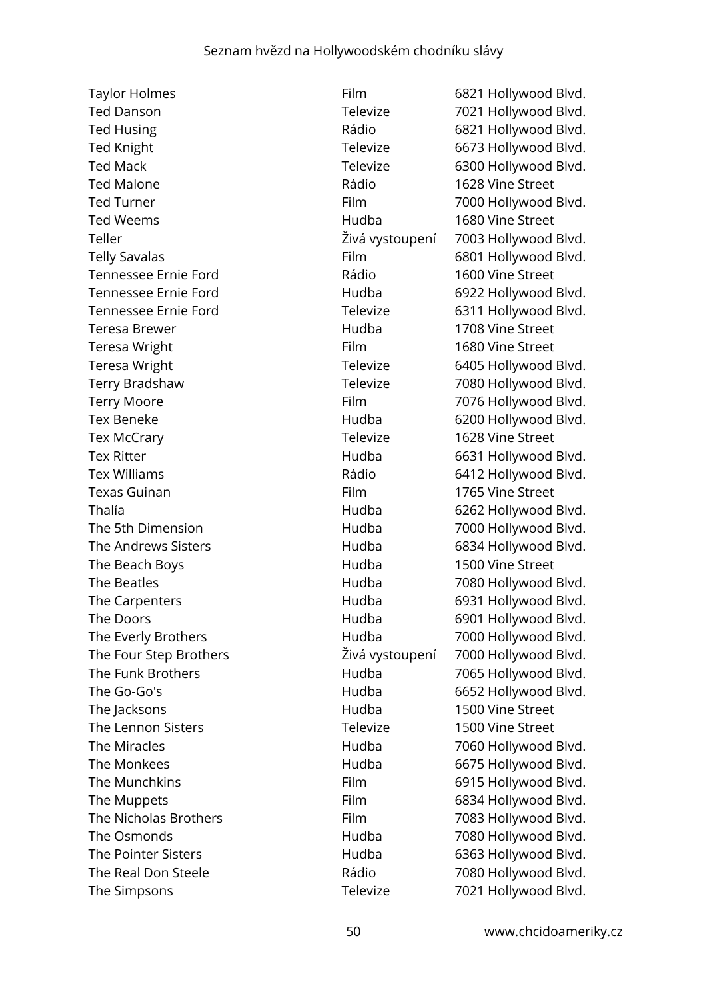Taylor Holmes **Film** 6821 Hollywood Blvd. Ted Danson Televize 7021 Hollywood Blvd. Ted Husing Ted Husing Communication Communication Communication Communication Communication Communication Communication Communication Communication Communication Communication Communication Communication Communication Comm Ted Knight Televize **Televize** 6673 Hollywood Blvd. Ted Mack Televize 6300 Hollywood Blvd. Ted Malone Rádio 1628 Vine Street Ted Turner Ted Turner Film Film 2000 Hollywood Blvd. Ted Weems **1680** Vine Street Teller Živá vystoupení 7003 Hollywood Blvd. Telly Savalas **Film** Film 6801 Hollywood Blvd. Tennessee Ernie Ford **1600** Vine Street Tennessee Ernie Ford **Hudba** 6922 Hollywood Blvd. Tennessee Ernie Ford Televize 6311 Hollywood Blvd. Teresa Brewer Hudba 1708 Vine Street Teresa Wright **Film** Film 1680 Vine Street Teresa Wright Televize 6405 Hollywood Blvd. Terry Bradshaw Televize 7080 Hollywood Blvd. Terry Moore **Film** Film 7076 Hollywood Blvd. Tex Beneke **Hudba** 6200 Hollywood Blvd. Tex McCrary Televize 1628 Vine Street Tex Ritter **No. 2018** Hudba 6631 Hollywood Blvd. Tex Williams **Tex Williams Rádio** 6412 Hollywood Blvd. Texas Guinan **Film** Film 1765 Vine Street Thalía Hudba 6262 Hollywood Blvd. The 5th Dimension **Figure 10** Hudba 7000 Hollywood Blvd. The Andrews Sisters The Andrews Sisters and the Hudba Controller and the Andrews Sisters and Hudba Controller and Blvd. The Beach Boys **Hudba** 1500 Vine Street The Beatles **The Beatles** Hudba 7080 Hollywood Blvd. The Carpenters **Figure 2018** Hudba 6931 Hollywood Blvd. The Doors **Example 2018** Hudba 6901 Hollywood Blvd. The Everly Brothers **Figure 2000** Hudba 7000 Hollywood Blvd. The Four Step Brothers Živá vystoupení 7000 Hollywood Blvd. The Funk Brothers **Funk Brothers** Hudba 7065 Hollywood Blvd. The Go-Go's **Hudba** 6652 Hollywood Blvd. The Jacksons **1500 Vine Street** Hudba 1500 Vine Street The Lennon Sisters Televize 1500 Vine Street The Miracles **All Accords** Hudba 7060 Hollywood Blvd. The Monkees **Hudba Hudba** 6675 Hollywood Blvd. The Munchkins **Film** 6915 Hollywood Blvd. The Muppets **Film** 6834 Hollywood Blvd. The Nicholas Brothers Film Film 7083 Hollywood Blvd. The Osmonds The Osmonds **Hudba** 7080 Hollywood Blvd. The Pointer Sisters **Exercise Sisters** Hudba 6363 Hollywood Blvd. The Real Don Steele **The Rádio** Rádio 7080 Hollywood Blvd. The Simpsons Televize 7021 Hollywood Blvd.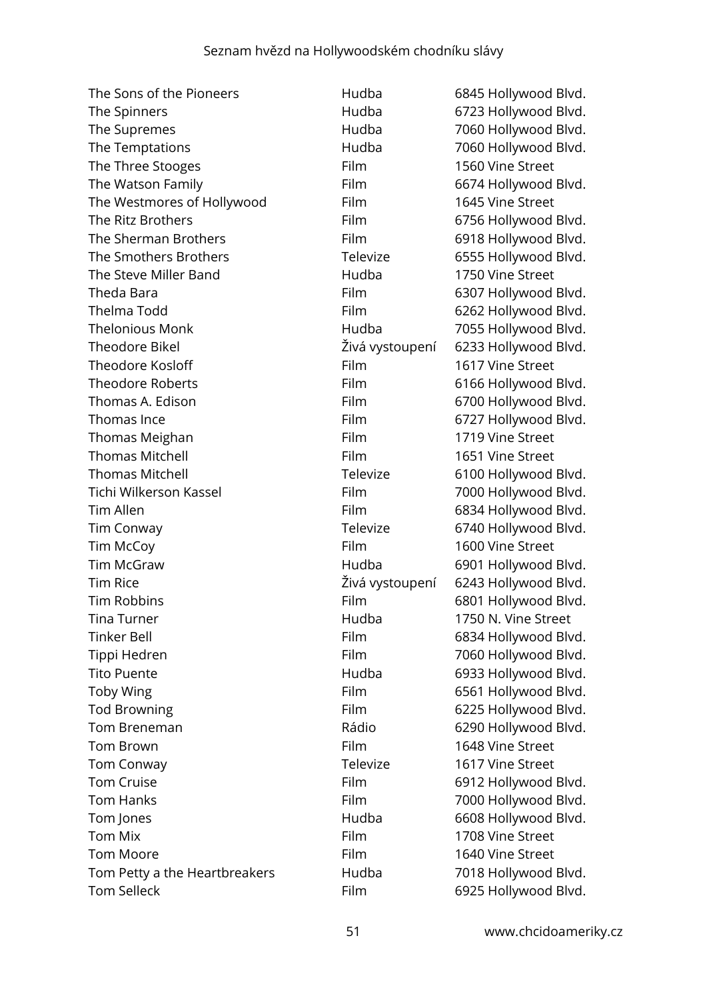| The Sons of the Pioneers      | Hudba           | 6845 Hollywood Blvd. |
|-------------------------------|-----------------|----------------------|
| The Spinners                  | Hudba           | 6723 Hollywood Blvd. |
| The Supremes                  | Hudba           | 7060 Hollywood Blvd. |
| The Temptations               | Hudba           | 7060 Hollywood Blvd. |
| The Three Stooges             | Film            | 1560 Vine Street     |
| The Watson Family             | Film            | 6674 Hollywood Blvd. |
| The Westmores of Hollywood    | Film            | 1645 Vine Street     |
| The Ritz Brothers             | Film            | 6756 Hollywood Blvd. |
| The Sherman Brothers          | Film            | 6918 Hollywood Blvd. |
| The Smothers Brothers         | Televize        | 6555 Hollywood Blvd. |
| The Steve Miller Band         | Hudba           | 1750 Vine Street     |
| Theda Bara                    | Film            | 6307 Hollywood Blvd. |
| Thelma Todd                   | Film            | 6262 Hollywood Blvd. |
| <b>Thelonious Monk</b>        | Hudba           | 7055 Hollywood Blvd. |
| <b>Theodore Bikel</b>         | Živá vystoupení | 6233 Hollywood Blvd. |
| <b>Theodore Kosloff</b>       | Film            | 1617 Vine Street     |
| <b>Theodore Roberts</b>       | Film            | 6166 Hollywood Blvd. |
| Thomas A. Edison              | Film            | 6700 Hollywood Blvd. |
| Thomas Ince                   | Film            | 6727 Hollywood Blvd. |
| Thomas Meighan                | Film            | 1719 Vine Street     |
| <b>Thomas Mitchell</b>        | Film            | 1651 Vine Street     |
| <b>Thomas Mitchell</b>        | Televize        | 6100 Hollywood Blvd. |
| Tichi Wilkerson Kassel        | Film            | 7000 Hollywood Blvd. |
| <b>Tim Allen</b>              | Film            | 6834 Hollywood Blvd. |
| <b>Tim Conway</b>             | Televize        | 6740 Hollywood Blvd. |
| Tim McCoy                     | Film            | 1600 Vine Street     |
| <b>Tim McGraw</b>             | Hudba           | 6901 Hollywood Blvd. |
| <b>Tim Rice</b>               | Živá vystoupení | 6243 Hollywood Blvd. |
| <b>Tim Robbins</b>            | Film            | 6801 Hollywood Blvd. |
| Tina Turner                   | Hudba           | 1750 N. Vine Street  |
| Tinker Bell                   | Film            | 6834 Hollywood Blvd. |
| Tippi Hedren                  | Film            | 7060 Hollywood Blvd. |
| <b>Tito Puente</b>            | Hudba           | 6933 Hollywood Blvd. |
| Toby Wing                     | Film            | 6561 Hollywood Blvd. |
| <b>Tod Browning</b>           | Film            | 6225 Hollywood Blvd. |
| Tom Breneman                  | Rádio           | 6290 Hollywood Blvd. |
| <b>Tom Brown</b>              | Film            | 1648 Vine Street     |
| <b>Tom Conway</b>             | Televize        | 1617 Vine Street     |
| <b>Tom Cruise</b>             | Film            | 6912 Hollywood Blvd. |
| <b>Tom Hanks</b>              | Film            | 7000 Hollywood Blvd. |
| Tom Jones                     | Hudba           | 6608 Hollywood Blvd. |
| <b>Tom Mix</b>                | Film            | 1708 Vine Street     |
| <b>Tom Moore</b>              | <b>Film</b>     | 1640 Vine Street     |
| Tom Petty a the Heartbreakers | Hudba           | 7018 Hollywood Blvd. |
| <b>Tom Selleck</b>            | Film            | 6925 Hollywood Blvd. |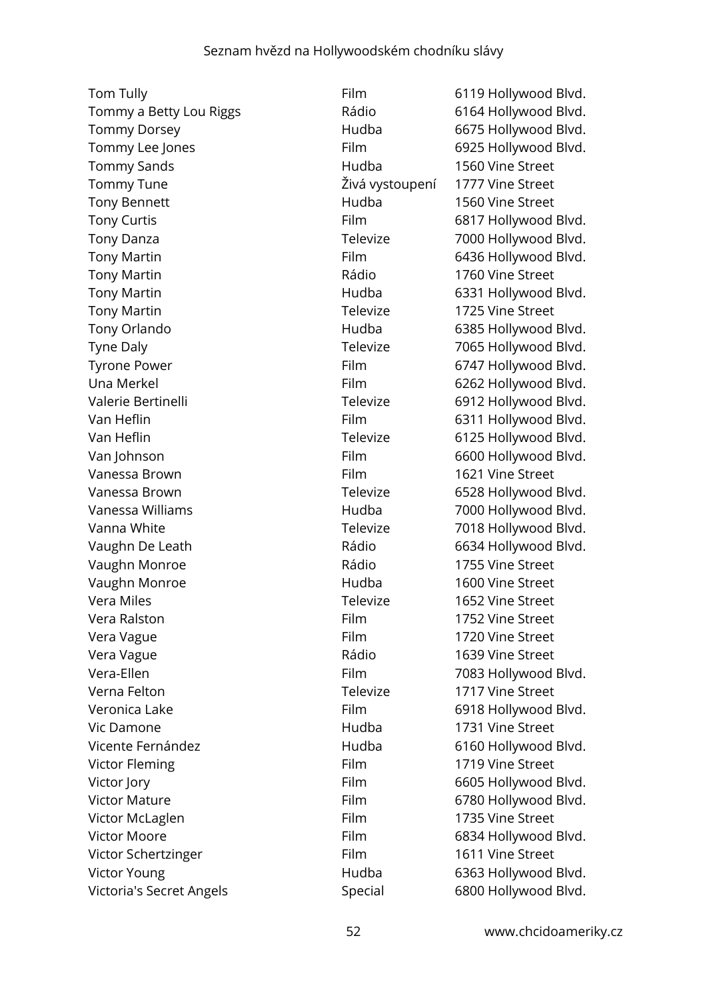Tom Tully **Film** 6119 Hollywood Blvd. Tommy a Betty Lou Riggs Rádio 6164 Hollywood Blvd. Tommy Dorsey **Figure 10 Community** Hudba 6675 Hollywood Blvd. Tommy Lee Jones Film 6925 Hollywood Blvd. Tommy Sands **1560** Vine Street Tommy Tune Živá vystoupení 1777 Vine Street Tony Bennett **1560** Vine Street Tony Curtis **Film** 6817 Hollywood Blvd. Tony Danza **Televize** 7000 Hollywood Blvd. Tony Martin **Film** Film 6436 Hollywood Blvd. Tony Martin **1760** Vine Street Tony Martin **Francisco Edge Control** Hudba 6331 Hollywood Blvd. Tony Martin **Televize** 1725 Vine Street Tony Orlando Hudba 6385 Hollywood Blvd. Tyne Daly **Televize** 7065 Hollywood Blvd. Tyrone Power **Film** Film 6747 Hollywood Blvd. Una Merkel **Film** 6262 Hollywood Blvd. Valerie Bertinelli **Valerie Bertinelli Televize** 6912 Hollywood Blvd. Van Heflin **Film** Film 6311 Hollywood Blvd. Van Heflin **Van Heflin** Controller Controller Televize 6125 Hollywood Blvd. Van Johnson **Film** 6600 Hollywood Blvd. Vanessa Brown The Street Control Communist Control Film The Street Street Control of Street Street Vanessa Brown **Televize** 6528 Hollywood Blvd. Vanessa Williams **Market Communist Communist Communist Communist Communist Communist Communist Communist Communist Communist Communist Communist Communist Communist Communist Communist Communist Communist Communist Communi** Vanna White **Televize** 7018 Hollywood Blvd. Vaughn De Leath **Rádio** Rádio 6634 Hollywood Blvd. Vaughn Monroe **1755** Vine Street Vaughn Monroe **1600** Vine Street Vera Miles Televize 1652 Vine Street Vera Ralston Film 1752 Vine Street Vera Vague **Vague 1720** Vine Street Vera Vague **1639** Vera Vague 1639 Vine Street Vera-Ellen Film Film 7083 Hollywood Blvd. Verna Felton **Televize** 1717 Vine Street Veronica Lake Film 6918 Hollywood Blvd. Vic Damone Hudba 1731 Vine Street Vicente Fernández **Hudba** 6160 Hollywood Blvd. Victor Fleming The Time of Time Street Film 1719 Vine Street Victor Jory **Film** 6605 Hollywood Blvd. Victor Mature **Film** 6780 Hollywood Blvd. Victor McLaglen Film Film 1735 Vine Street Victor Moore **Film** 6834 Hollywood Blvd. Victor Schertzinger Film Film 1611 Vine Street Victor Young **Markow Communist Communist Communist Communist Communist Communist Communist Communist Communist Communist Communist Communist Communist Communist Communist Communist Communist Communist Communist Communist C** Victoria's Secret Angels Summan Special 6800 Hollywood Blvd.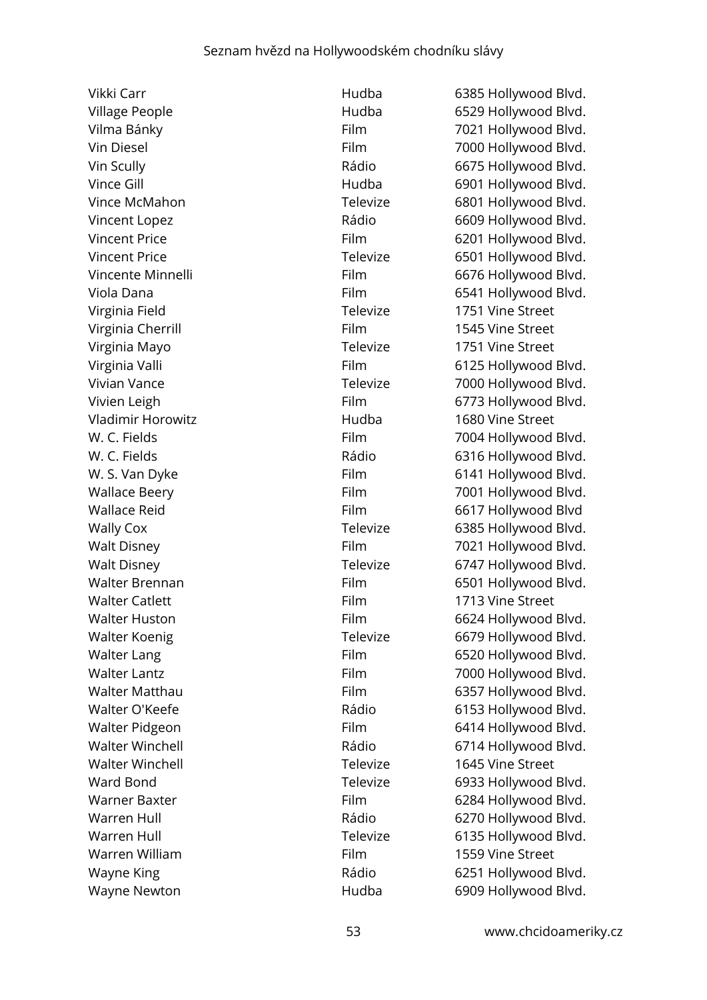Virginia Field **Televize** 1751 Vine Street Virginia Cherrill **Virginia Cherrill Film** 1545 Vine Street Virginia Mayo **Televize** 1751 Vine Street Vladimir Horowitz Hudba 1680 Vine Street Walter Catlett **Film** Film 1713 Vine Street Walter Winchell Televize 1645 Vine Street Warren William **Film** Film 1559 Vine Street

Vikki Carr **Marson Carr** Hudba 6385 Hollywood Blvd. Village People **Figure 2018** Hudba 6529 Hollywood Blvd. Vilma Bánky **Film 1021 Hollywood Blvd.** Film 1021 Hollywood Blvd. Vin Diesel **Film** 7000 Hollywood Blvd. Vin Scully Rádio 6675 Hollywood Blvd. Vince Gill **Vince Gill Contract Contract Contract Contract Contract Contract Contract Contract Contract Contract Contract Contract Contract Contract Contract Contract Contract Contract Contract Contract Contract Contract** Vince McMahon **Televize** 6801 Hollywood Blvd. Vincent Lopez **Calcular Contract Contract Contract Contract Contract Contract Contract Contract Contract Contract Contract Contract Contract Contract Contract Contract Contract Contract Contract Contract Contract Contract** Vincent Price **Film** 6201 Hollywood Blvd. Vincent Price **Televize Televize** 6501 Hollywood Blvd. Vincente Minnelli **Film** 6676 Hollywood Blvd. Viola Dana **Film** 6541 Hollywood Blvd. Virginia Valli **Film** 6125 Hollywood Blvd. Vivian Vance **Televize** 7000 Hollywood Blvd. Vivien Leigh Film Film 6773 Hollywood Blvd. W. C. Fields **Film** Film 7004 Hollywood Blvd. W. C. Fields **Example 2018** Rádio 6316 Hollywood Blvd. W. S. Van Dyke Film Film 6141 Hollywood Blvd. Wallace Beery **Film** Film 7001 Hollywood Blvd. Wallace Reid **Film** 6617 Hollywood Blvd Wally Cox **Televize** 6385 Hollywood Blvd. Walt Disney **Film** 7021 Hollywood Blvd. Walt Disney **Televize** 6747 Hollywood Blvd. Walter Brennan Film Film 6501 Hollywood Blvd. Walter Huston **Film** Film 6624 Hollywood Blvd. Walter Koenig **Televize** 6679 Hollywood Blvd. Walter Lang **Film** 6520 Hollywood Blvd. Walter Lantz **Film** 7000 Hollywood Blvd. Walter Matthau **Film** 6357 Hollywood Blvd. Walter O'Keefe **Example 2018** Rádio 6153 Hollywood Blvd. Walter Pidgeon Film Film 6414 Hollywood Blvd. Walter Winchell **Example 2018** Rádio 6714 Hollywood Blvd. Ward Bond **Televize** 6933 Hollywood Blvd. Warner Baxter **Film** 6284 Hollywood Blvd. Warren Hull **Warren Hull Rádio** 6270 Hollywood Blvd. Warren Hull **Televize** 6135 Hollywood Blvd. Wayne King **Mayne King Community Community** Rádio 6251 Hollywood Blvd. Wayne Newton **Mayne Newton Hudba** 6909 Hollywood Blvd.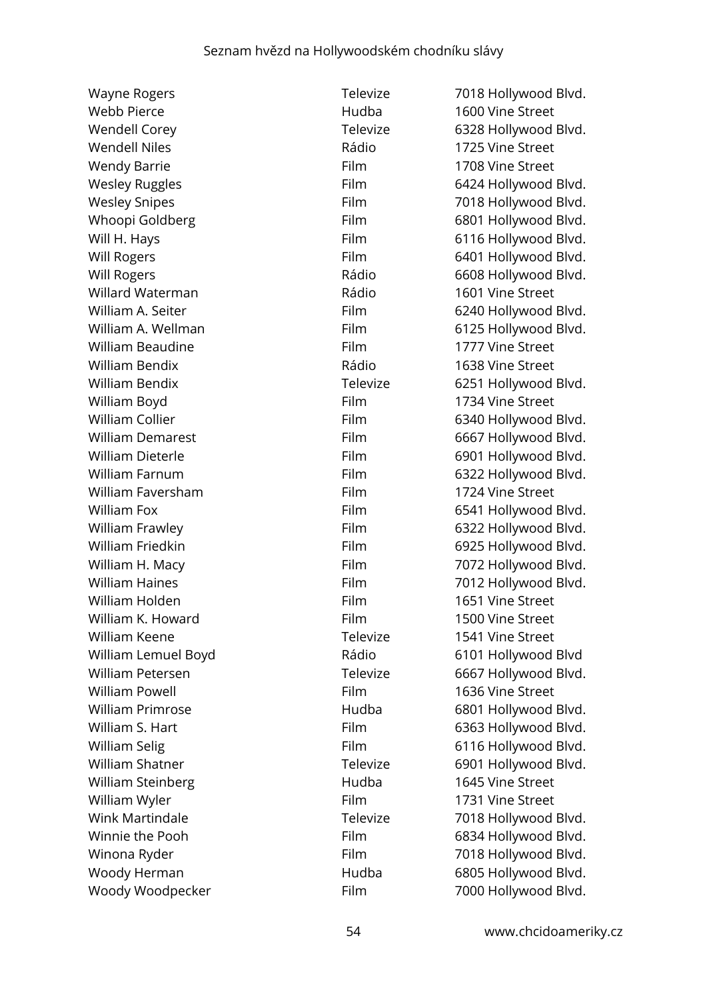Wayne Rogers Televize 7018 Hollywood Blvd. Webb Pierce **1600 Vine Street** Hudba 1600 Vine Street Wendell Corey **Televize** 6328 Hollywood Blvd. Wendell Niles **Night Communist Communist Communist Communist Communist Communist Communist Communist Communist Communist Communist Communist Communist Communist Communist Communist Communist Communist Communist Communist C** Wendy Barrie **Film** Film 1708 Vine Street Wesley Ruggles **Film** 6424 Hollywood Blvd. Wesley Snipes **Film** Film 7018 Hollywood Blvd. Whoopi Goldberg Film 6801 Hollywood Blvd. Will H. Hays **Film** 6116 Hollywood Blvd. Will Rogers **Film** 6401 Hollywood Blvd. Will Rogers **Mill Rogers Rádio** 6608 Hollywood Blvd. Willard Waterman **National Communist Communist Communist Communist Communist Communist Communist Communist Communist Communist Communist Communist Communist Communist Communist Communist Communist Communist Communist Commu** William A. Seiter **Film** 6240 Hollywood Blvd. William A. Wellman Film Film 6125 Hollywood Blvd. William Beaudine **Film** Film 1777 Vine Street William Bendix **No. 2018** Vine Street Rádio 1638 Vine Street William Bendix **Televize** 6251 Hollywood Blvd. William Boyd **Film** 1734 Vine Street William Collier **Film** 6340 Hollywood Blvd. William Demarest Film 6667 Hollywood Blvd. William Dieterle **Film** 6901 Hollywood Blvd. William Farnum Film Film 6322 Hollywood Blvd. William Faversham **Film** Film 1724 Vine Street William Fox **Film** 6541 Hollywood Blvd. William Frawley **Film** 6322 Hollywood Blvd. William Friedkin **Film** Film 6925 Hollywood Blvd. William H. Macy **Film** Film 7072 Hollywood Blvd. William Haines **Film** Film 7012 Hollywood Blvd. William Holden **Film** Film 1651 Vine Street William K. Howard **Film** Film 1500 Vine Street William Keene **Televize** 1541 Vine Street William Lemuel Boyd **Rádio** Rádio 6101 Hollywood Blvd William Petersen Televize 6667 Hollywood Blvd. William Powell **Film** 1636 Vine Street William Primrose **Matter Communist Hudba** 6801 Hollywood Blvd. William S. Hart **Film** 6363 Hollywood Blvd. William Selig **Film** Film 6116 Hollywood Blvd. William Shatner Televize 6901 Hollywood Blvd. William Steinberg **1645** Vine Street William Wyler **Film** Film 1731 Vine Street Wink Martindale Televize 7018 Hollywood Blvd. Winnie the Pooh Film 6834 Hollywood Blvd. Winona Ryder **Film** Film 7018 Hollywood Blvd. Woody Herman **Manufath Hudba** 6805 Hollywood Blvd. Woody Woodpecker Film Film 7000 Hollywood Blvd.